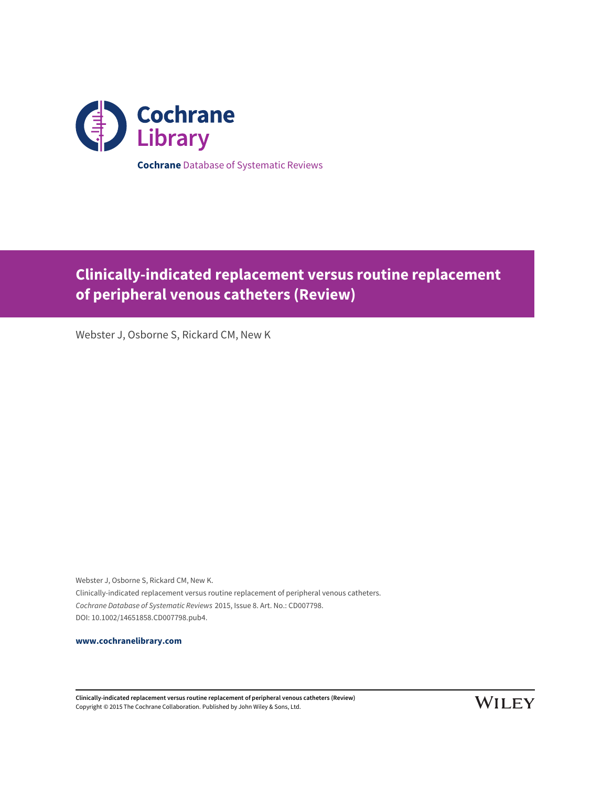

**Clinically-indicated replacement versus routine replacement of peripheral venous catheters (Review)**

Webster J, Osborne S, Rickard CM, New K

Webster J, Osborne S, Rickard CM, New K. Clinically-indicated replacement versus routine replacement of peripheral venous catheters. Cochrane Database of Systematic Reviews 2015, Issue 8. Art. No.: CD007798. DOI: 10.1002/14651858.CD007798.pub4.

**[www.cochranelibrary.com](http://www.cochranelibrary.com)**

**Clinically-indicated replacement versus routine replacement of peripheral venous catheters (Review)** Copyright © 2015 The Cochrane Collaboration. Published by John Wiley & Sons, Ltd.

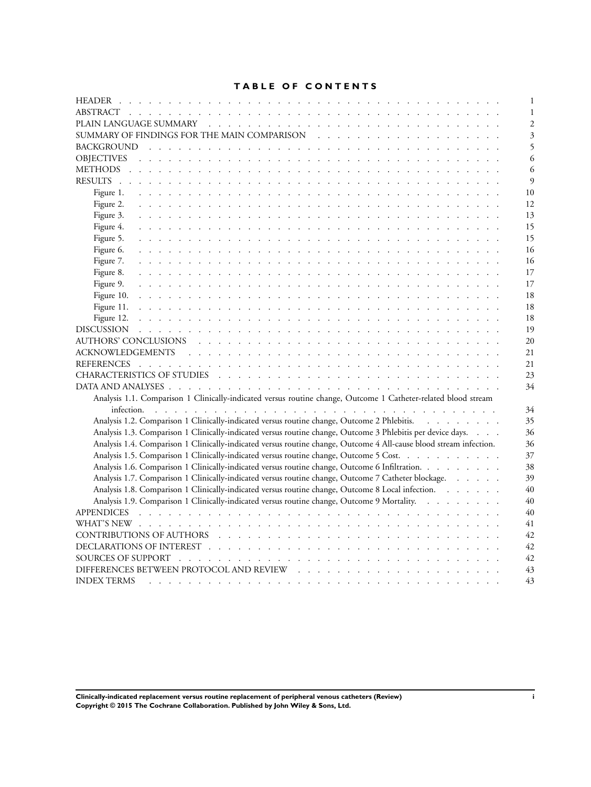# **TABLE OF CONTENTS**

| 1                                                                                                                                                                                                                                                              |
|----------------------------------------------------------------------------------------------------------------------------------------------------------------------------------------------------------------------------------------------------------------|
| <b>ABSTRACT</b><br>1                                                                                                                                                                                                                                           |
| $\overline{c}$                                                                                                                                                                                                                                                 |
| 3                                                                                                                                                                                                                                                              |
| <b>BACKGROUND</b><br><u>. In the second contract of the second contract of the second contract of the second contract of the second contract of the second contract of the second contract of the second contract of the second contract of the secon</u><br>5 |
| <b>OBJECTIVES</b><br>6                                                                                                                                                                                                                                         |
| 6                                                                                                                                                                                                                                                              |
| RESULTS<br>$\overline{Q}$                                                                                                                                                                                                                                      |
| Figure 1.<br>10                                                                                                                                                                                                                                                |
| Figure 2.<br>12                                                                                                                                                                                                                                                |
| Figure 3.<br>13                                                                                                                                                                                                                                                |
| Figure 4.<br>15                                                                                                                                                                                                                                                |
| Figure 5.<br>15                                                                                                                                                                                                                                                |
| Figure 6.<br>16                                                                                                                                                                                                                                                |
| Figure 7.<br>16<br>a constitution de la constitution de la constitution de la constitution de la constitution de la constitution                                                                                                                               |
| 17<br>Figure 8.<br>a de la caractería de la caractería de la caractería de la caractería de la caractería de la caractería                                                                                                                                     |
| Figure 9.<br>17                                                                                                                                                                                                                                                |
| Figure 10.<br>18                                                                                                                                                                                                                                               |
| Figure 11.<br>18                                                                                                                                                                                                                                               |
| Figure 12.<br>18                                                                                                                                                                                                                                               |
| <b>DISCUSSION</b><br>19                                                                                                                                                                                                                                        |
| 20                                                                                                                                                                                                                                                             |
| 21                                                                                                                                                                                                                                                             |
| 21                                                                                                                                                                                                                                                             |
| 23                                                                                                                                                                                                                                                             |
| 34                                                                                                                                                                                                                                                             |
| Analysis 1.1. Comparison 1 Clinically-indicated versus routine change, Outcome 1 Catheter-related blood stream                                                                                                                                                 |
| 34                                                                                                                                                                                                                                                             |
| Analysis 1.2. Comparison 1 Clinically-indicated versus routine change, Outcome 2 Phlebitis.<br>35                                                                                                                                                              |
| Analysis 1.3. Comparison 1 Clinically-indicated versus routine change, Outcome 3 Phlebitis per device days.<br>36                                                                                                                                              |
| Analysis 1.4. Comparison 1 Clinically-indicated versus routine change, Outcome 4 All-cause blood stream infection.<br>36                                                                                                                                       |
| Analysis 1.5. Comparison 1 Clinically-indicated versus routine change, Outcome 5 Cost.<br>37                                                                                                                                                                   |
| Analysis 1.6. Comparison 1 Clinically-indicated versus routine change, Outcome 6 Infiltration.<br>38                                                                                                                                                           |
| Analysis 1.7. Comparison 1 Clinically-indicated versus routine change, Outcome 7 Catheter blockage.<br>39                                                                                                                                                      |
| 40<br>Analysis 1.8. Comparison 1 Clinically-indicated versus routine change, Outcome 8 Local infection.                                                                                                                                                        |
| Analysis 1.9. Comparison 1 Clinically-indicated versus routine change, Outcome 9 Mortality.<br>40                                                                                                                                                              |
| 40                                                                                                                                                                                                                                                             |
| 41                                                                                                                                                                                                                                                             |
| 42                                                                                                                                                                                                                                                             |
| 42                                                                                                                                                                                                                                                             |
| 42                                                                                                                                                                                                                                                             |
| 43                                                                                                                                                                                                                                                             |
| 43<br><b>INDEX TERMS</b><br>the contract of the contract of the con-                                                                                                                                                                                           |

**Clinically-indicated replacement versus routine replacement of peripheral venous catheters (Review) i Copyright © 2015 The Cochrane Collaboration. Published by John Wiley & Sons, Ltd.**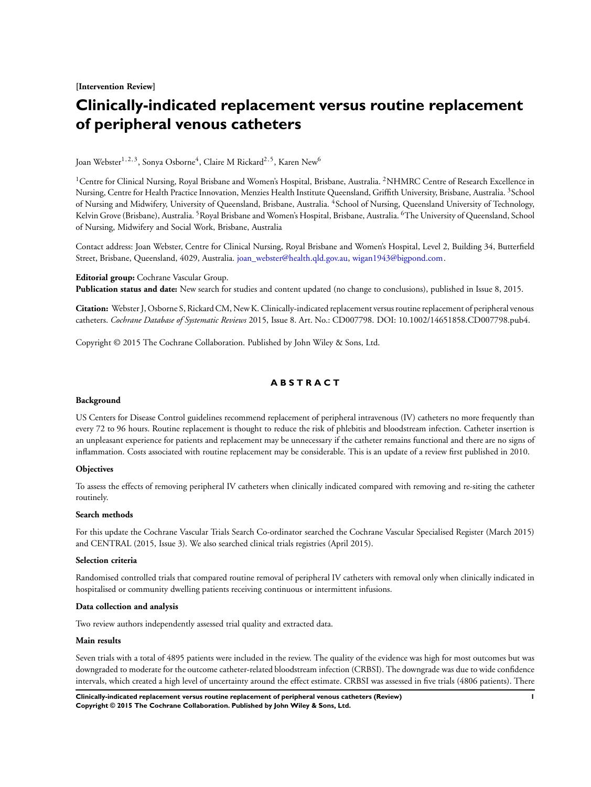**[Intervention Review]**

# **Clinically-indicated replacement versus routine replacement of peripheral venous catheters**

Joan Webster<sup>1,2,3</sup>, Sonya Osborne<sup>4</sup>, Claire M Rickard<sup>2,5</sup>, Karen New<sup>6</sup>

<sup>1</sup>Centre for Clinical Nursing, Royal Brisbane and Women's Hospital, Brisbane, Australia. <sup>2</sup>NHMRC Centre of Research Excellence in Nursing, Centre for Health Practice Innovation, Menzies Health Institute Queensland, Griffith University, Brisbane, Australia. <sup>3</sup>School of Nursing and Midwifery, University of Queensland, Brisbane, Australia. <sup>4</sup>School of Nursing, Queensland University of Technology, Kelvin Grove (Brisbane), Australia. <sup>5</sup>Royal Brisbane and Women's Hospital, Brisbane, Australia. <sup>6</sup>The University of Queensland, School of Nursing, Midwifery and Social Work, Brisbane, Australia

Contact address: Joan Webster, Centre for Clinical Nursing, Royal Brisbane and Women's Hospital, Level 2, Building 34, Butterfield Street, Brisbane, Queensland, 4029, Australia. [joan\\_webster@health.qld.gov.au](mailto:joanchar "A8penalty z@ webster@health.qld.gov.au), [wigan1943@bigpond.com.](mailto:wigan1943@bigpond.com)

**Editorial group:** Cochrane Vascular Group. **Publication status and date:** New search for studies and content updated (no change to conclusions), published in Issue 8, 2015.

**Citation:** Webster J, Osborne S, Rickard CM, New K. Clinically-indicated replacement versus routine replacement of peripheral venous catheters. *Cochrane Database of Systematic Reviews* 2015, Issue 8. Art. No.: CD007798. DOI: 10.1002/14651858.CD007798.pub4.

Copyright © 2015 The Cochrane Collaboration. Published by John Wiley & Sons, Ltd.

# **A B S T R A C T**

#### **Background**

US Centers for Disease Control guidelines recommend replacement of peripheral intravenous (IV) catheters no more frequently than every 72 to 96 hours. Routine replacement is thought to reduce the risk of phlebitis and bloodstream infection. Catheter insertion is an unpleasant experience for patients and replacement may be unnecessary if the catheter remains functional and there are no signs of inflammation. Costs associated with routine replacement may be considerable. This is an update of a review first published in 2010.

#### **Objectives**

To assess the effects of removing peripheral IV catheters when clinically indicated compared with removing and re-siting the catheter routinely.

### **Search methods**

For this update the Cochrane Vascular Trials Search Co-ordinator searched the Cochrane Vascular Specialised Register (March 2015) and CENTRAL (2015, Issue 3). We also searched clinical trials registries (April 2015).

#### **Selection criteria**

Randomised controlled trials that compared routine removal of peripheral IV catheters with removal only when clinically indicated in hospitalised or community dwelling patients receiving continuous or intermittent infusions.

#### **Data collection and analysis**

Two review authors independently assessed trial quality and extracted data.

#### **Main results**

Seven trials with a total of 4895 patients were included in the review. The quality of the evidence was high for most outcomes but was downgraded to moderate for the outcome catheter-related bloodstream infection (CRBSI). The downgrade was due to wide confidence intervals, which created a high level of uncertainty around the effect estimate. CRBSI was assessed in five trials (4806 patients). There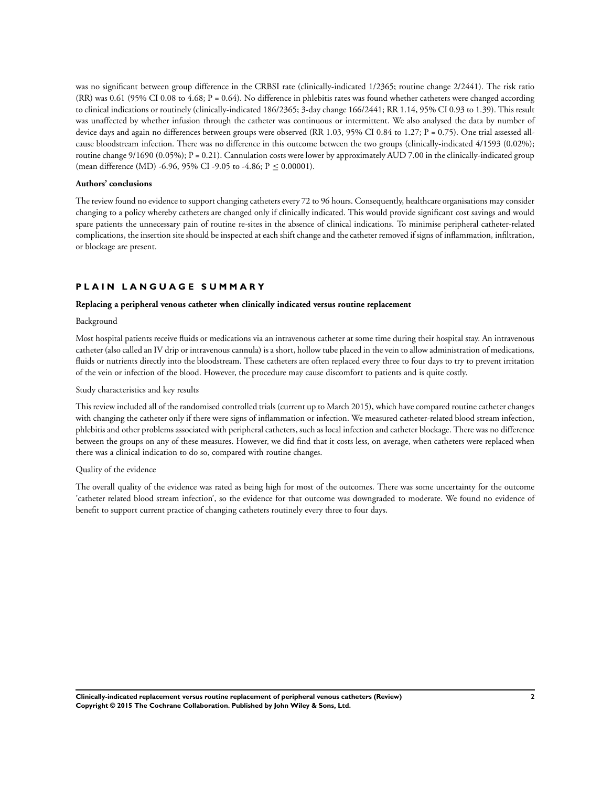was no significant between group difference in the CRBSI rate (clinically-indicated 1/2365; routine change 2/2441). The risk ratio (RR) was 0.61 (95% CI 0.08 to 4.68; P = 0.64). No difference in phlebitis rates was found whether catheters were changed according to clinical indications or routinely (clinically-indicated 186/2365; 3-day change 166/2441; RR 1.14, 95% CI 0.93 to 1.39). This result was unaffected by whether infusion through the catheter was continuous or intermittent. We also analysed the data by number of device days and again no differences between groups were observed (RR 1.03, 95% CI 0.84 to 1.27; P = 0.75). One trial assessed allcause bloodstream infection. There was no difference in this outcome between the two groups (clinically-indicated 4/1593 (0.02%); routine change  $9/1690 (0.05\%)$ ; P = 0.21). Cannulation costs were lower by approximately AUD 7.00 in the clinically-indicated group (mean difference (MD) -6.96, 95% CI -9.05 to -4.86;  $P \le 0.00001$ ).

#### **Authors' conclusions**

The review found no evidence to support changing catheters every 72 to 96 hours. Consequently, healthcare organisations may consider changing to a policy whereby catheters are changed only if clinically indicated. This would provide significant cost savings and would spare patients the unnecessary pain of routine re-sites in the absence of clinical indications. To minimise peripheral catheter-related complications, the insertion site should be inspected at each shift change and the catheter removed if signs of inflammation, infiltration, or blockage are present.

### **P L A I N L A N G U A G E S U M M A R Y**

#### **Replacing a peripheral venous catheter when clinically indicated versus routine replacement**

Background

Most hospital patients receive fluids or medications via an intravenous catheter at some time during their hospital stay. An intravenous catheter (also called an IV drip or intravenous cannula) is a short, hollow tube placed in the vein to allow administration of medications, fluids or nutrients directly into the bloodstream. These catheters are often replaced every three to four days to try to prevent irritation of the vein or infection of the blood. However, the procedure may cause discomfort to patients and is quite costly.

Study characteristics and key results

This review included all of the randomised controlled trials (current up to March 2015), which have compared routine catheter changes with changing the catheter only if there were signs of inflammation or infection. We measured catheter-related blood stream infection, phlebitis and other problems associated with peripheral catheters, such as local infection and catheter blockage. There was no difference between the groups on any of these measures. However, we did find that it costs less, on average, when catheters were replaced when there was a clinical indication to do so, compared with routine changes.

Quality of the evidence

The overall quality of the evidence was rated as being high for most of the outcomes. There was some uncertainty for the outcome 'catheter related blood stream infection', so the evidence for that outcome was downgraded to moderate. We found no evidence of benefit to support current practice of changing catheters routinely every three to four days.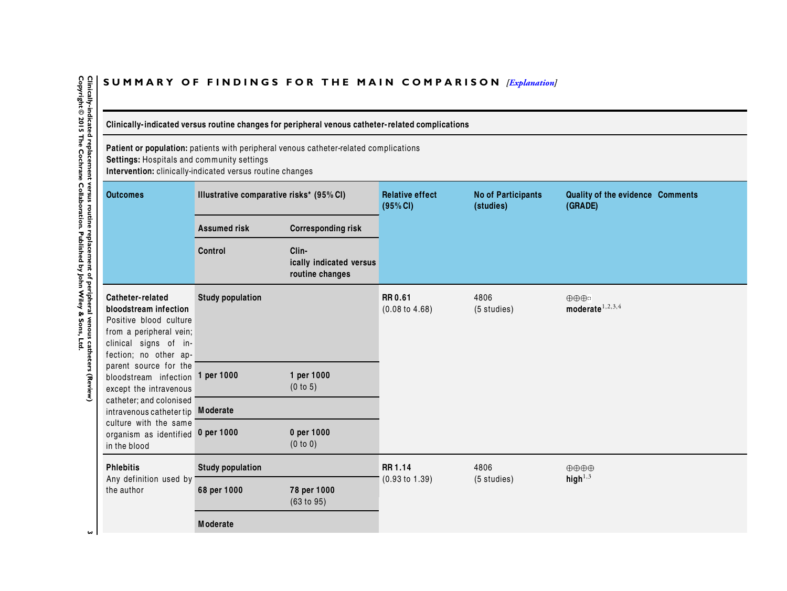# SUMMARY OF FINDINGS FOR THE MAIN COMPARISON *[\[Explanation\]](http://www.thecochranelibrary.com/view/0/SummaryFindings.html)*

Clinically-indicated versus routine changes for peripheral venous catheter-related complications

**Patient or population:** patients with peripheral venous catheter-related complications

**Settings:** Hospitals and community settings **Intervention:** clinically-indicated versus routine changes

| <b>Outcomes</b>                                                                                                                                  | Illustrative comparative risks* (95% CI)                                                      |                                                     | <b>Relative effect</b><br>(95% CI)   | <b>No of Participants</b><br>(studies) | Quality of the evidence Comments<br>(GRADE)  |  |  |
|--------------------------------------------------------------------------------------------------------------------------------------------------|-----------------------------------------------------------------------------------------------|-----------------------------------------------------|--------------------------------------|----------------------------------------|----------------------------------------------|--|--|
|                                                                                                                                                  | <b>Assumed risk</b>                                                                           | <b>Corresponding risk</b>                           |                                      |                                        |                                              |  |  |
|                                                                                                                                                  | <b>Control</b>                                                                                | Clin-<br>ically indicated versus<br>routine changes |                                      |                                        |                                              |  |  |
| Catheter-related<br>bloodstream infection<br>Positive blood culture<br>from a peripheral vein;<br>clinical signs of in-<br>fection; no other ap- | <b>Study population</b>                                                                       |                                                     | RR 0.61<br>$(0.08 \text{ to } 4.68)$ | 4806<br>(5 studies)                    | $\oplus \oplus \oplus$<br>moderate $1,2,3,4$ |  |  |
| parent source for the<br>bloodstream infection<br>except the intravenous                                                                         | 1 per 1000                                                                                    | 1 per 1000<br>(0 to 5)                              |                                      |                                        |                                              |  |  |
| catheter; and colonised<br>intravenous catheter tip Moderate                                                                                     |                                                                                               |                                                     |                                      |                                        |                                              |  |  |
| culture with the same<br>organism as identified<br>in the blood                                                                                  | 0 per 1000                                                                                    | 0 per 1000<br>(0 to 0)                              |                                      |                                        |                                              |  |  |
| <b>Phlebitis</b>                                                                                                                                 | <b>Study population</b><br>Any definition used by<br>78 per 1000<br>68 per 1000<br>(63 to 95) |                                                     | RR 1.14                              | 4806                                   | $\oplus \oplus \oplus \oplus$                |  |  |
| the author                                                                                                                                       |                                                                                               |                                                     | $(0.93 \text{ to } 1.39)$            | (5 studies)                            | high $^{1,3}$                                |  |  |
|                                                                                                                                                  | Moderate                                                                                      |                                                     |                                      |                                        |                                              |  |  |

<span id="page-4-0"></span>Clinically-indicated replacement versus routine replacement of peripheral venous catheters (Review)<br>Copyright © 2015 The Cochrane Collaboration. Published by John Wiley & Sons, Ltd. **Copyright © 2015 The Cochrane Collaboration. Published by John Wiley & Sons, Ltd.3 Clinically-indicated replacement versus routine replacement of peripheral venous catheters (Review)**

 $\overline{\mathbf{u}}$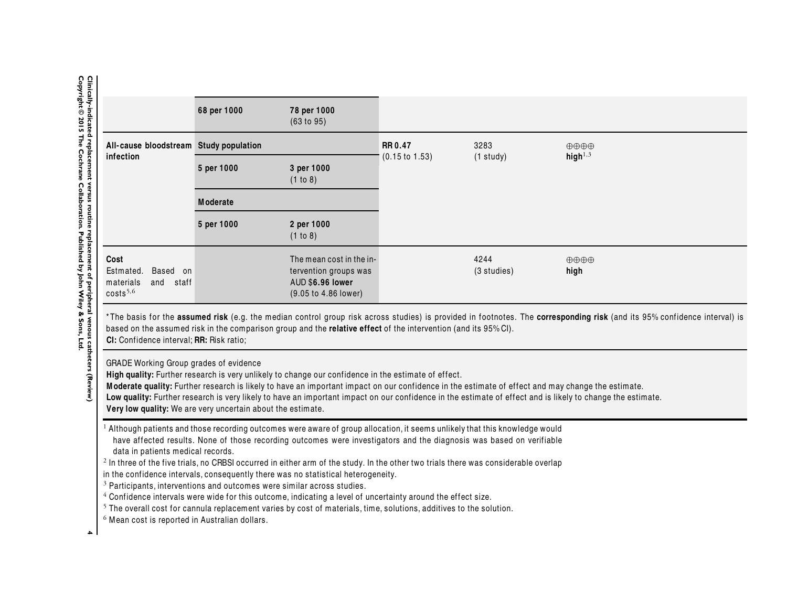|                                                                                                              | 68 per 1000                          | 78 per 1000<br>(63 to 95)                                                                                                                                                                                                                                |                           |                     |                                                                                                                                                                           |
|--------------------------------------------------------------------------------------------------------------|--------------------------------------|----------------------------------------------------------------------------------------------------------------------------------------------------------------------------------------------------------------------------------------------------------|---------------------------|---------------------|---------------------------------------------------------------------------------------------------------------------------------------------------------------------------|
| All-cause bloodstream Study population                                                                       |                                      |                                                                                                                                                                                                                                                          | RR 0.47                   | 3283                | $\oplus \oplus \oplus \oplus$                                                                                                                                             |
| infection                                                                                                    | 5 per 1000<br>3 per 1000<br>(1 to 8) |                                                                                                                                                                                                                                                          | $(0.15 \text{ to } 1.53)$ | $(1$ study)         | high $^{1,3}$                                                                                                                                                             |
|                                                                                                              | <b>Moderate</b>                      |                                                                                                                                                                                                                                                          |                           |                     |                                                                                                                                                                           |
|                                                                                                              | 5 per 1000                           | 2 per 1000<br>(1 to 8)                                                                                                                                                                                                                                   |                           |                     |                                                                                                                                                                           |
| Cost<br>Estmated.<br>Based on<br>materials<br>and staff<br>costs <sup>5,6</sup>                              |                                      | The mean cost in the in-<br>tervention groups was<br>AUD \$6.96 lower<br>(9.05 to 4.86 lower)                                                                                                                                                            |                           | 4244<br>(3 studies) | $\oplus\oplus\oplus$<br>high                                                                                                                                              |
|                                                                                                              |                                      |                                                                                                                                                                                                                                                          |                           |                     |                                                                                                                                                                           |
| CI: Confidence interval; RR: Risk ratio;                                                                     |                                      | based on the assumed risk in the comparison group and the relative effect of the intervention (and its 95%CI).                                                                                                                                           |                           |                     | *The basis for the assumed risk (e.g. the median control group risk across studies) is provided in footnotes. The corresponding risk (and its 95% confidence interval) is |
| <b>GRADE Working Group grades of evidence</b><br>Very low quality: We are very uncertain about the estimate. |                                      | High quality: Further research is very unlikely to change our confidence in the estimate of effect.<br>Moderate quality: Further research is likely to have an important impact on our confidence in the estimate of effect and may change the estimate. |                           |                     | Low quality: Further research is very likely to have an important impact on our confidence in the estimate of effect and is likely to change the estimate.                |

Clinically-indicated replacement versus routine replacement of peripheral venous catheters (Review)<br>Copyright © 2015 The Cochrane Collaboration. Published by John Wiley & Sons, Ltd. **Copyright © 2015 The Cochrane Collaboration. Published by John Wiley & Sons, Ltd.4 Clinically-indicated replacement versus routine replacement of peripheral venous catheters (Review)**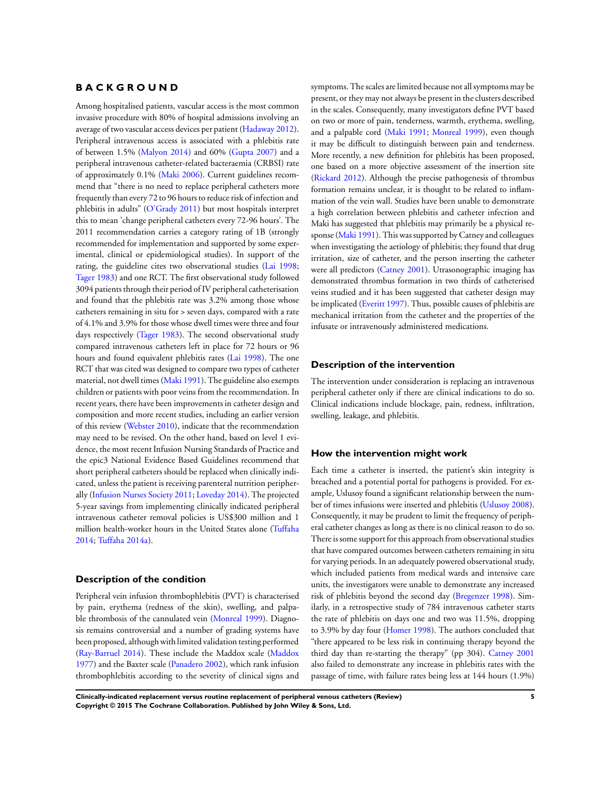# **B A C K G R O U N D**

Among hospitalised patients, vascular access is the most common invasive procedure with 80% of hospital admissions involving an average of two vascular access devices per patient ([Hadaway 2012](#page-22-0)). Peripheral intravenous access is associated with a phlebitis rate of between 1.5% ([Malyon 2014\)](#page-22-0) and 60% [\(Gupta 2007](#page-22-0)) and a peripheral intravenous catheter-related bacteraemia (CRBSI) rate of approximately 0.1% [\(Maki 2006](#page-22-0)). Current guidelines recommend that "there is no need to replace peripheral catheters more frequently than every 72 to 96 hours to reduce risk of infection and phlebitis in adults" [\(O'Grady 2011\)](#page-22-0) but most hospitals interpret this to mean 'change peripheral catheters every 72-96 hours'. The 2011 recommendation carries a category rating of 1B (strongly recommended for implementation and supported by some experimental, clinical or epidemiological studies). In support of the rating, the guideline cites two observational studies ([Lai 1998;](#page-22-0) [Tager 1983](#page-22-0)) and one RCT. The first observational study followed 3094 patients through their period of IV peripheral catheterisation and found that the phlebitis rate was 3.2% among those whose catheters remaining in situ for > seven days, compared with a rate of 4.1% and 3.9% for those whose dwell times were three and four days respectively [\(Tager 1983\)](#page-22-0). The second observational study compared intravenous catheters left in place for 72 hours or 96 hours and found equivalent phlebitis rates [\(Lai 1998](#page-22-0)). The one RCT that was cited was designed to compare two types of catheter material, not dwell times ([Maki 1991\)](#page-22-0). The guideline also exempts children or patients with poor veins from the recommendation. In recent years, there have been improvements in catheter design and composition and more recent studies, including an earlier version of this review [\(Webster 2010\)](#page-22-0), indicate that the recommendation may need to be revised. On the other hand, based on level 1 evidence, the most recent Infusion Nursing Standards of Practice and the epic3 National Evidence Based Guidelines recommend that short peripheral catheters should be replaced when clinically indicated, unless the patient is receiving parenteral nutrition peripherally ([Infusion Nurses Society 2011;](#page-22-0) [Loveday 2014](#page-22-0)). The projected 5-year savings from implementing clinically indicated peripheral intravenous catheter removal policies is US\$300 million and 1 million health-worker hours in the United States alone ([Tuffaha](#page-22-0) [2014](#page-22-0); [Tuffaha 2014a](#page-22-0)).

### **Description of the condition**

Peripheral vein infusion thrombophlebitis (PVT) is characterised by pain, erythema (redness of the skin), swelling, and palpable thrombosis of the cannulated vein ([Monreal 1999\)](#page-22-0). Diagnosis remains controversial and a number of grading systems have been proposed, although with limited validation testing performed [\(Ray-Barruel 2014](#page-22-0)). These include the Maddox scale [\(Maddox](#page-22-0) [1977](#page-22-0)) and the Baxter scale [\(Panadero 2002](#page-22-0)), which rank infusion thrombophlebitis according to the severity of clinical signs and

symptoms. The scales are limited because not all symptoms may be present, or they may not always be present in the clusters described in the scales. Consequently, many investigators define PVT based on two or more of pain, tenderness, warmth, erythema, swelling, and a palpable cord [\(Maki 1991;](#page-22-0) [Monreal 1999\)](#page-22-0), even though it may be difficult to distinguish between pain and tenderness. More recently, a new definition for phlebitis has been proposed, one based on a more objective assessment of the insertion site [\(Rickard 2012](#page-22-0)). Although the precise pathogenesis of thrombus formation remains unclear, it is thought to be related to inflammation of the vein wall. Studies have been unable to demonstrate a high correlation between phlebitis and catheter infection and Maki has suggested that phlebitis may primarily be a physical response [\(Maki 1991](#page-22-0)). This was supported by Catney and colleagues when investigating the aetiology of phlebitis; they found that drug irritation, size of catheter, and the person inserting the catheter were all predictors [\(Catney 2001](#page-22-0)). Utrasonographic imaging has demonstrated thrombus formation in two thirds of catheterised veins studied and it has been suggested that catheter design may be implicated [\(Everitt 1997](#page-22-0)). Thus, possible causes of phlebitis are mechanical irritation from the catheter and the properties of the infusate or intravenously administered medications.

### **Description of the intervention**

The intervention under consideration is replacing an intravenous peripheral catheter only if there are clinical indications to do so. Clinical indications include blockage, pain, redness, infiltration, swelling, leakage, and phlebitis.

#### **How the intervention might work**

Each time a catheter is inserted, the patient's skin integrity is breached and a potential portal for pathogens is provided. For example, Uslusoy found a significant relationship between the number of times infusions were inserted and phlebitis ([Uslusoy 2008](#page-22-0)). Consequently, it may be prudent to limit the frequency of peripheral catheter changes as long as there is no clinical reason to do so. There is some support for this approach from observational studies that have compared outcomes between catheters remaining in situ for varying periods. In an adequately powered observational study, which included patients from medical wards and intensive care units, the investigators were unable to demonstrate any increased risk of phlebitis beyond the second day ([Bregenzer 1998](#page-22-0)). Similarly, in a retrospective study of 784 intravenous catheter starts the rate of phlebitis on days one and two was 11.5%, dropping to 3.9% by day four ([Homer 1998](#page-22-0)). The authors concluded that "there appeared to be less risk in continuing therapy beyond the third day than re-starting the therapy" (pp 304). [Catney 2001](#page-22-0) also failed to demonstrate any increase in phlebitis rates with the passage of time, with failure rates being less at 144 hours (1.9%)

**Clinically-indicated replacement versus routine replacement of peripheral venous catheters (Review) 5 Copyright © 2015 The Cochrane Collaboration. Published by John Wiley & Sons, Ltd.**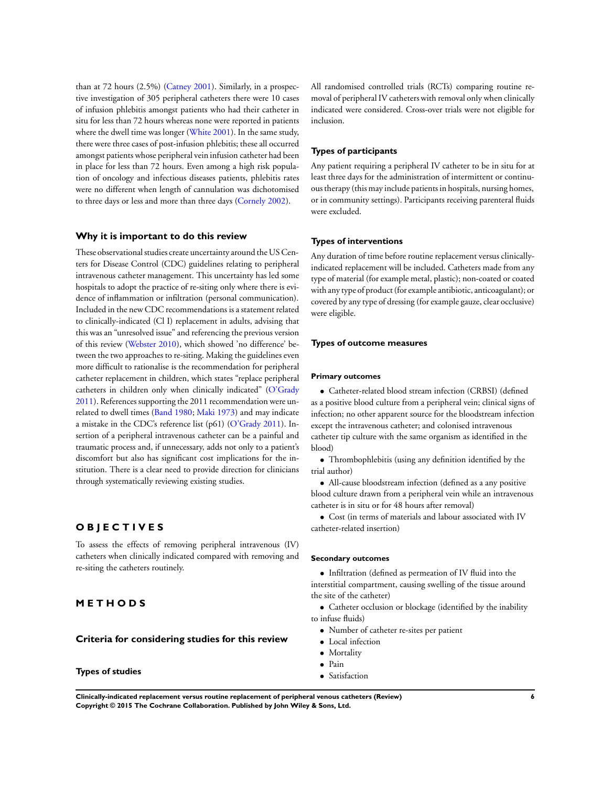than at 72 hours (2.5%) ([Catney 2001](#page-22-0)). Similarly, in a prospective investigation of 305 peripheral catheters there were 10 cases of infusion phlebitis amongst patients who had their catheter in situ for less than 72 hours whereas none were reported in patients where the dwell time was longer ([White 2001](#page-22-0)). In the same study, there were three cases of post-infusion phlebitis; these all occurred amongst patients whose peripheral vein infusion catheter had been in place for less than 72 hours. Even among a high risk population of oncology and infectious diseases patients, phlebitis rates were no different when length of cannulation was dichotomised to three days or less and more than three days [\(Cornely 2002\)](#page-22-0).

### **Why it is important to do this review**

These observational studies create uncertainty around the US Centers for Disease Control (CDC) guidelines relating to peripheral intravenous catheter management. This uncertainty has led some hospitals to adopt the practice of re-siting only where there is evidence of inflammation or infiltration (personal communication). Included in the new CDC recommendations is a statement related to clinically-indicated (Cl I) replacement in adults, advising that this was an "unresolved issue" and referencing the previous version of this review ([Webster 2010\)](#page-22-0), which showed 'no difference' between the two approaches to re-siting. Making the guidelines even more difficult to rationalise is the recommendation for peripheral catheter replacement in children, which states "replace peripheral catheters in children only when clinically indicated" [\(O'Grady](#page-22-0) [2011](#page-22-0)). References supporting the 2011 recommendation were unrelated to dwell times [\(Band 1980;](#page-22-0) [Maki 1973\)](#page-22-0) and may indicate a mistake in the CDC's reference list (p61) ([O'Grady 2011](#page-22-0)). Insertion of a peripheral intravenous catheter can be a painful and traumatic process and, if unnecessary, adds not only to a patient's discomfort but also has significant cost implications for the institution. There is a clear need to provide direction for clinicians through systematically reviewing existing studies.

# **O B J E C T I V E S**

To assess the effects of removing peripheral intravenous (IV) catheters when clinically indicated compared with removing and re-siting the catheters routinely.

# **M E T H O D S**

# **Criteria for considering studies for this review**

### **Types of studies**

All randomised controlled trials (RCTs) comparing routine removal of peripheral IV catheters with removal only when clinically indicated were considered. Cross-over trials were not eligible for inclusion.

#### **Types of participants**

Any patient requiring a peripheral IV catheter to be in situ for at least three days for the administration of intermittent or continuous therapy (this may include patients in hospitals, nursing homes, or in community settings). Participants receiving parenteral fluids were excluded.

#### **Types of interventions**

Any duration of time before routine replacement versus clinicallyindicated replacement will be included. Catheters made from any type of material (for example metal, plastic); non-coated or coated with any type of product (for example antibiotic, anticoagulant); or covered by any type of dressing (for example gauze, clear occlusive) were eligible.

#### **Types of outcome measures**

#### **Primary outcomes**

• Catheter-related blood stream infection (CRBSI) (defined as a positive blood culture from a peripheral vein; clinical signs of infection; no other apparent source for the bloodstream infection except the intravenous catheter; and colonised intravenous catheter tip culture with the same organism as identified in the blood)

• Thrombophlebitis (using any definition identified by the trial author)

• All-cause bloodstream infection (defined as a any positive blood culture drawn from a peripheral vein while an intravenous catheter is in situ or for 48 hours after removal)

• Cost (in terms of materials and labour associated with IV catheter-related insertion)

#### **Secondary outcomes**

• Infiltration (defined as permeation of IV fluid into the interstitial compartment, causing swelling of the tissue around the site of the catheter)

- Catheter occlusion or blockage (identified by the inability to infuse fluids)
	- Number of catheter re-sites per patient
	- Local infection
	- Mortality
- Pain
- Satisfaction

**Clinically-indicated replacement versus routine replacement of peripheral venous catheters (Review) 6 Copyright © 2015 The Cochrane Collaboration. Published by John Wiley & Sons, Ltd.**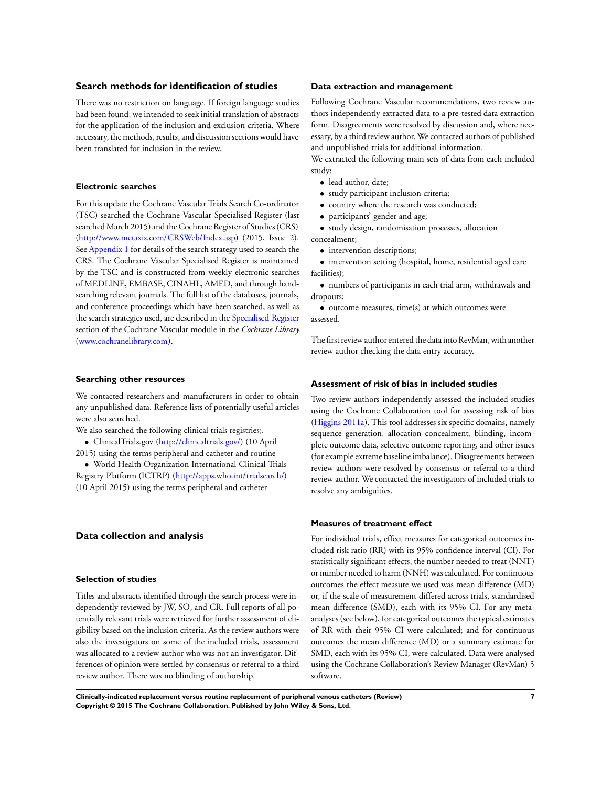### **Search methods for identification of studies**

There was no restriction on language. If foreign language studies had been found, we intended to seek initial translation of abstracts for the application of the inclusion and exclusion criteria. Where necessary, the methods, results, and discussion sections would have been translated for inclusion in the review.

#### **Electronic searches**

For this update the Cochrane Vascular Trials Search Co-ordinator (TSC) searched the Cochrane Vascular Specialised Register (last searched March 2015) and the Cochrane Register of Studies (CRS) [\(http://www.metaxis.com/CRSWeb/Index.asp](http://www.metaxis.com/CRSWeb/Index.asp)) (2015, Issue 2). See [Appendix 1](#page-42-0) for details of the search strategy used to search the CRS. The Cochrane Vascular Specialised Register is maintained by the TSC and is constructed from weekly electronic searches of MEDLINE, EMBASE, CINAHL, AMED, and through handsearching relevant journals. The full list of the databases, journals, and conference proceedings which have been searched, as well as the search strategies used, are described in the [Specialised Register](http://www.mrw.interscience.wiley.com/cochrane/clabout/articles/PVD/frame.html) section of the Cochrane Vascular module in the *Cochrane Library* [\(www.cochranelibrary.com](http://www.cochranelibrary.com)).

#### **Searching other resources**

We contacted researchers and manufacturers in order to obtain any unpublished data. Reference lists of potentially useful articles were also searched.

We also searched the following clinical trials registries;.

- ClinicalTrials.gov (<http://clinicaltrials.gov/>) (10 April
- 2015) using the terms peripheral and catheter and routine

• World Health Organization International Clinical Trials Registry Platform (ICTRP) ([http://apps.who.int/trialsearch/\)](http://apps.who.int/trialsearch/) (10 April 2015) using the terms peripheral and catheter

### **Data collection and analysis**

#### **Selection of studies**

Titles and abstracts identified through the search process were independently reviewed by JW, SO, and CR. Full reports of all potentially relevant trials were retrieved for further assessment of eligibility based on the inclusion criteria. As the review authors were also the investigators on some of the included trials, assessment was allocated to a review author who was not an investigator. Differences of opinion were settled by consensus or referral to a third review author. There was no blinding of authorship.

#### **Data extraction and management**

Following Cochrane Vascular recommendations, two review authors independently extracted data to a pre-tested data extraction form. Disagreements were resolved by discussion and, where necessary, by a third review author. We contacted authors of published and unpublished trials for additional information.

We extracted the following main sets of data from each included study:

- lead author, date;
- study participant inclusion criteria;
- country where the research was conducted;
- participants' gender and age;
- study design, randomisation processes, allocation
- concealment;
	- intervention descriptions;

• intervention setting (hospital, home, residential aged care facilities);

• numbers of participants in each trial arm, withdrawals and dropouts;

• outcome measures, time(s) at which outcomes were assessed.

The first review author entered the data into RevMan, with another review author checking the data entry accuracy.

#### **Assessment of risk of bias in included studies**

Two review authors independently assessed the included studies using the Cochrane Collaboration tool for assessing risk of bias [\(Higgins 2011a](#page-22-0)). This tool addresses six specific domains, namely sequence generation, allocation concealment, blinding, incomplete outcome data, selective outcome reporting, and other issues (for example extreme baseline imbalance). Disagreements between review authors were resolved by consensus or referral to a third review author. We contacted the investigators of included trials to resolve any ambiguities.

### **Measures of treatment effect**

For individual trials, effect measures for categorical outcomes included risk ratio (RR) with its 95% confidence interval (CI). For statistically significant effects, the number needed to treat (NNT) or number needed to harm (NNH) was calculated. For continuous outcomes the effect measure we used was mean difference (MD) or, if the scale of measurement differed across trials, standardised mean difference (SMD), each with its 95% CI. For any metaanalyses (see below), for categorical outcomes the typical estimates of RR with their 95% CI were calculated; and for continuous outcomes the mean difference (MD) or a summary estimate for SMD, each with its 95% CI, were calculated. Data were analysed using the Cochrane Collaboration's Review Manager (RevMan) 5 software.

**Clinically-indicated replacement versus routine replacement of peripheral venous catheters (Review) 7 Copyright © 2015 The Cochrane Collaboration. Published by John Wiley & Sons, Ltd.**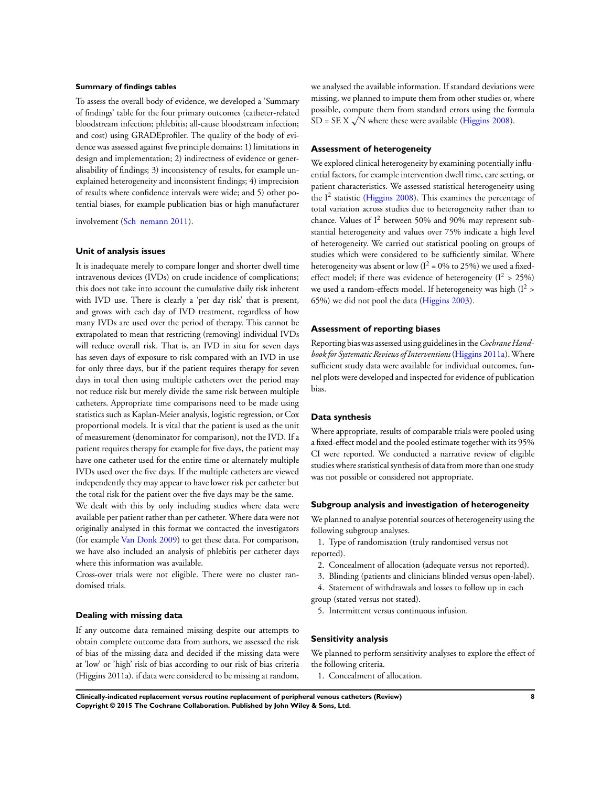#### **Summary of findings tables**

To assess the overall body of evidence, we developed a 'Summary of findings' table for the four primary outcomes (catheter-related bloodstream infection; phlebitis; all-cause bloodstream infection; and cost) using GRADEprofiler. The quality of the body of evidence was assessed against five principle domains: 1) limitations in design and implementation; 2) indirectness of evidence or generalisability of findings; 3) inconsistency of results, for example unexplained heterogeneity and inconsistent findings; 4) imprecision of results where confidence intervals were wide; and 5) other potential biases, for example publication bias or high manufacturer

involvement [\(Sch nemann 2011\)](#page-22-0).

#### **Unit of analysis issues**

It is inadequate merely to compare longer and shorter dwell time intravenous devices (IVDs) on crude incidence of complications; this does not take into account the cumulative daily risk inherent with IVD use. There is clearly a 'per day risk' that is present, and grows with each day of IVD treatment, regardless of how many IVDs are used over the period of therapy. This cannot be extrapolated to mean that restricting (removing) individual IVDs will reduce overall risk. That is, an IVD in situ for seven days has seven days of exposure to risk compared with an IVD in use for only three days, but if the patient requires therapy for seven days in total then using multiple catheters over the period may not reduce risk but merely divide the same risk between multiple catheters. Appropriate time comparisons need to be made using statistics such as Kaplan-Meier analysis, logistic regression, or Cox proportional models. It is vital that the patient is used as the unit of measurement (denominator for comparison), not the IVD. If a patient requires therapy for example for five days, the patient may have one catheter used for the entire time or alternately multiple IVDs used over the five days. If the multiple catheters are viewed independently they may appear to have lower risk per catheter but the total risk for the patient over the five days may be the same.

We dealt with this by only including studies where data were available per patient rather than per catheter. Where data were not originally analysed in this format we contacted the investigators (for example [Van Donk 2009](#page-22-0)) to get these data. For comparison, we have also included an analysis of phlebitis per catheter days where this information was available.

Cross-over trials were not eligible. There were no cluster randomised trials.

### **Dealing with missing data**

If any outcome data remained missing despite our attempts to obtain complete outcome data from authors, we assessed the risk of bias of the missing data and decided if the missing data were at 'low' or 'high' risk of bias according to our risk of bias criteria (Higgins 2011a). if data were considered to be missing at random, we analysed the available information. If standard deviations were missing, we planned to impute them from other studies or, where possible, compute them from standard errors using the formula  $SD = SE X \sqrt{N}$  where these were available ([Higgins 2008](#page-22-0)).

#### **Assessment of heterogeneity**

We explored clinical heterogeneity by examining potentially influential factors, for example intervention dwell time, care setting, or patient characteristics. We assessed statistical heterogeneity using the  $I^2$  statistic [\(Higgins 2008\)](#page-22-0). This examines the percentage of total variation across studies due to heterogeneity rather than to chance. Values of  $I^2$  between 50% and 90% may represent substantial heterogeneity and values over 75% indicate a high level of heterogeneity. We carried out statistical pooling on groups of studies which were considered to be sufficiently similar. Where heterogeneity was absent or low ( $I^2 = 0\%$  to 25%) we used a fixedeffect model; if there was evidence of heterogeneity ( $I^2 > 25\%$ ) we used a random-effects model. If heterogeneity was high  $(I^2 > I)$ 65%) we did not pool the data [\(Higgins 2003\)](#page-22-0).

### **Assessment of reporting biases**

Reporting bias was assessed using guidelines in the*Cochrane Handbook for Systematic Reviews of Interventions*([Higgins 2011a](#page-22-0)).Where sufficient study data were available for individual outcomes, funnel plots were developed and inspected for evidence of publication bias.

#### **Data synthesis**

Where appropriate, results of comparable trials were pooled using a fixed-effect model and the pooled estimate together with its 95% CI were reported. We conducted a narrative review of eligible studies where statistical synthesis of data from more than one study was not possible or considered not appropriate.

#### **Subgroup analysis and investigation of heterogeneity**

We planned to analyse potential sources of heterogeneity using the following subgroup analyses.

1. Type of randomisation (truly randomised versus not reported).

- 2. Concealment of allocation (adequate versus not reported).
- 3. Blinding (patients and clinicians blinded versus open-label).

4. Statement of withdrawals and losses to follow up in each group (stated versus not stated).

5. Intermittent versus continuous infusion.

#### **Sensitivity analysis**

We planned to perform sensitivity analyses to explore the effect of the following criteria.

1. Concealment of allocation.

**Clinically-indicated replacement versus routine replacement of peripheral venous catheters (Review) 8 Copyright © 2015 The Cochrane Collaboration. Published by John Wiley & Sons, Ltd.**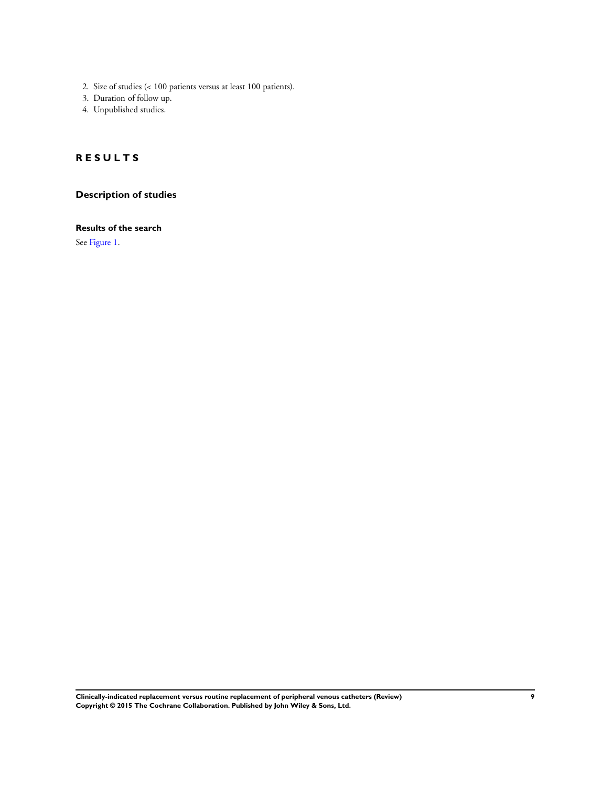- 2. Size of studies (< 100 patients versus at least 100 patients).
- 3. Duration of follow up.
- 4. Unpublished studies.

# **R E S U L T S**

# **Description of studies**

**Results of the search** See [Figure 1](#page-11-0).

**Clinically-indicated replacement versus routine replacement of peripheral venous catheters (Review) 9 Copyright © 2015 The Cochrane Collaboration. Published by John Wiley & Sons, Ltd.**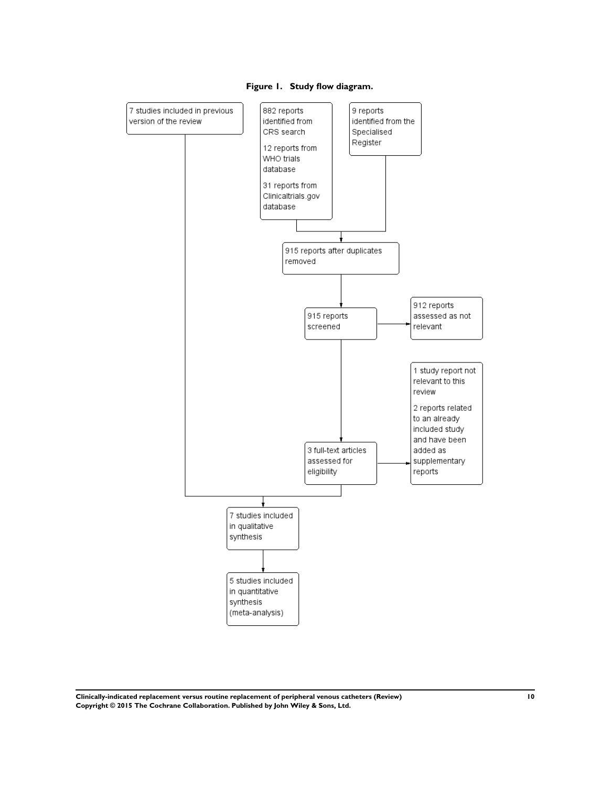<span id="page-11-0"></span>

### **Figure 1. Study flow diagram.**

**Clinically-indicated replacement versus routine replacement of peripheral venous catheters (Review) 10 Copyright © 2015 The Cochrane Collaboration. Published by John Wiley & Sons, Ltd.**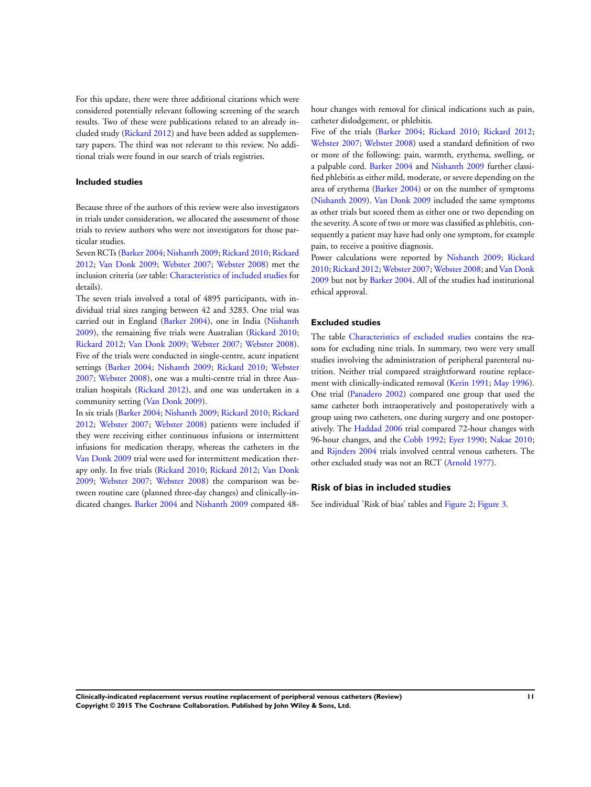For this update, there were three additional citations which were considered potentially relevant following screening of the search results. Two of these were publications related to an already included study [\(Rickard 2012\)](#page-22-0) and have been added as supplementary papers. The third was not relevant to this review. No additional trials were found in our search of trials registries.

### **Included studies**

Because three of the authors of this review were also investigators in trials under consideration, we allocated the assessment of those trials to review authors who were not investigators for those particular studies.

Seven RCTs ([Barker 2004](#page-22-0); [Nishanth 2009;](#page-22-0) [Rickard 2010](#page-22-0); [Rickard](#page-22-0) [2012](#page-22-0); [Van Donk 2009;](#page-22-0) [Webster 2007;](#page-22-0) [Webster 2008\)](#page-22-0) met the inclusion criteria (*see* table: [Characteristics of included studies](#page-25-0) for details).

The seven trials involved a total of 4895 participants, with individual trial sizes ranging between 42 and 3283. One trial was carried out in England ([Barker 2004\)](#page-22-0), one in India ([Nishanth](#page-22-0) [2009](#page-22-0)), the remaining five trials were Australian ([Rickard 2010;](#page-22-0) [Rickard 2012](#page-22-0); [Van Donk 2009](#page-22-0); [Webster 2007;](#page-22-0) [Webster 2008](#page-22-0)). Five of the trials were conducted in single-centre, acute inpatient settings ([Barker 2004;](#page-22-0) [Nishanth 2009;](#page-22-0) [Rickard 2010](#page-22-0); [Webster](#page-22-0) [2007](#page-22-0); [Webster 2008](#page-22-0)), one was a multi-centre trial in three Australian hospitals ([Rickard 2012](#page-22-0)), and one was undertaken in a community setting [\(Van Donk 2009\)](#page-22-0).

In six trials ([Barker 2004;](#page-22-0) [Nishanth 2009](#page-22-0); [Rickard 2010;](#page-22-0) [Rickard](#page-22-0) [2012](#page-22-0); [Webster 2007;](#page-22-0) [Webster 2008\)](#page-22-0) patients were included if they were receiving either continuous infusions or intermittent infusions for medication therapy, whereas the catheters in the [Van Donk 2009](#page-22-0) trial were used for intermittent medication therapy only. In five trials ([Rickard 2010](#page-22-0); [Rickard 2012](#page-22-0); [Van Donk](#page-22-0) [2009](#page-22-0); [Webster 2007;](#page-22-0) [Webster 2008](#page-22-0)) the comparison was between routine care (planned three-day changes) and clinically-indicated changes. [Barker 2004](#page-22-0) and [Nishanth 2009](#page-22-0) compared 48hour changes with removal for clinical indications such as pain, catheter dislodgement, or phlebitis.

Five of the trials ([Barker 2004;](#page-22-0) [Rickard 2010;](#page-22-0) [Rickard 2012;](#page-22-0) [Webster 2007](#page-22-0); [Webster 2008](#page-22-0)) used a standard definition of two or more of the following: pain, warmth, erythema, swelling, or a palpable cord. [Barker 2004](#page-22-0) and [Nishanth 2009](#page-22-0) further classified phlebitis as either mild, moderate, or severe depending on the area of erythema ([Barker 2004](#page-22-0)) or on the number of symptoms [\(Nishanth 2009](#page-22-0)). [Van Donk 2009](#page-22-0) included the same symptoms as other trials but scored them as either one or two depending on the severity. A score of two or more was classified as phlebitis, consequently a patient may have had only one symptom, for example pain, to receive a positive diagnosis.

Power calculations were reported by [Nishanth 2009;](#page-22-0) [Rickard](#page-22-0) [2010](#page-22-0); [Rickard 2012](#page-22-0); [Webster 2007](#page-22-0); [Webster 2008](#page-22-0); and [Van Donk](#page-22-0) [2009](#page-22-0) but not by [Barker 2004](#page-22-0). All of the studies had institutional ethical approval.

### **Excluded studies**

The table [Characteristics of excluded studies](#page-33-0) contains the reasons for excluding nine trials. In summary, two were very small studies involving the administration of peripheral parenteral nutrition. Neither trial compared straightforward routine replacement with clinically-indicated removal ([Kerin 1991](#page-22-0); [May 1996](#page-22-0)). One trial ([Panadero 2002](#page-22-0)) compared one group that used the same catheter both intraoperatively and postoperatively with a group using two catheters, one during surgery and one postoperatively. The [Haddad 2006](#page-22-0) trial compared 72-hour changes with 96-hour changes, and the [Cobb 1992;](#page-22-0) [Eyer 1990](#page-22-0); [Nakae 2010;](#page-22-0) and [Rijnders 2004](#page-22-0) trials involved central venous catheters. The other excluded study was not an RCT ([Arnold 1977\)](#page-22-0).

#### **Risk of bias in included studies**

See individual 'Risk of bias' tables and [Figure 2](#page-13-0); [Figure 3.](#page-14-0)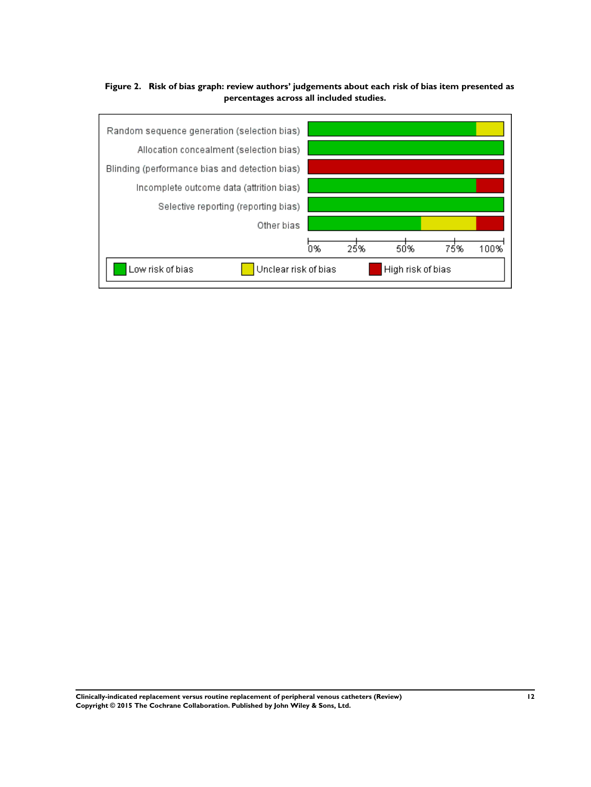# <span id="page-13-0"></span>**Figure 2. Risk of bias graph: review authors' judgements about each risk of bias item presented as percentages across all included studies.**



**Clinically-indicated replacement versus routine replacement of peripheral venous catheters (Review) 12 Copyright © 2015 The Cochrane Collaboration. Published by John Wiley & Sons, Ltd.**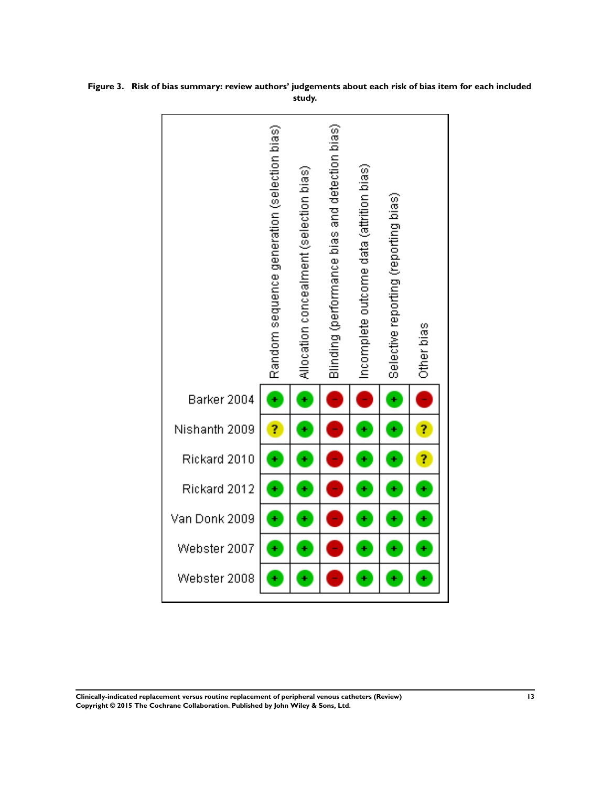

<span id="page-14-0"></span>**Figure 3. Risk of bias summary: review authors' judgements about each risk of bias item for each included study.**

**Clinically-indicated replacement versus routine replacement of peripheral venous catheters (Review) 13 Copyright © 2015 The Cochrane Collaboration. Published by John Wiley & Sons, Ltd.**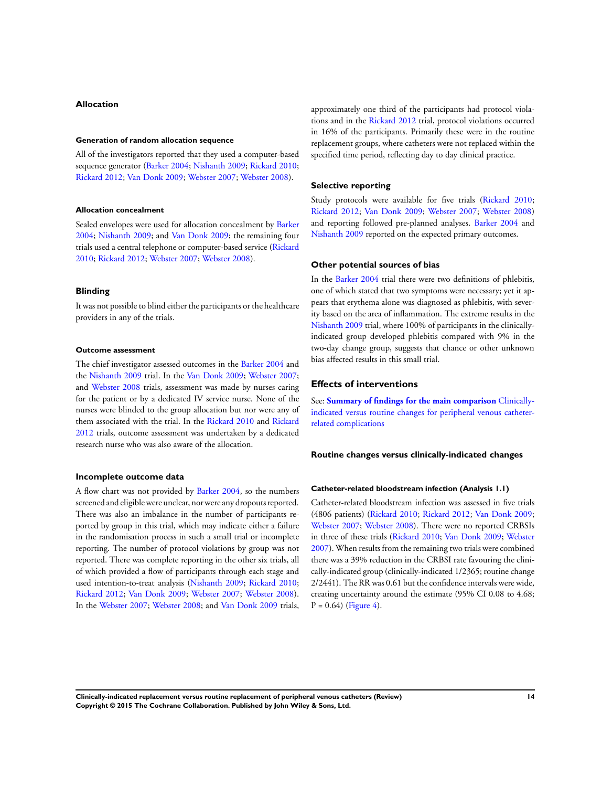#### **Allocation**

#### **Generation of random allocation sequence**

All of the investigators reported that they used a computer-based sequence generator [\(Barker 2004](#page-22-0); [Nishanth 2009](#page-22-0); [Rickard 2010;](#page-22-0) [Rickard 2012;](#page-22-0) [Van Donk 2009;](#page-22-0) [Webster 2007;](#page-22-0) [Webster 2008\)](#page-22-0).

#### **Allocation concealment**

Sealed envelopes were used for allocation concealment by [Barker](#page-22-0) [2004](#page-22-0); [Nishanth 2009](#page-22-0); and [Van Donk 2009](#page-22-0); the remaining four trials used a central telephone or computer-based service [\(Rickard](#page-22-0) [2010](#page-22-0); [Rickard 2012](#page-22-0); [Webster 2007](#page-22-0); [Webster 2008](#page-22-0)).

#### **Blinding**

It was not possible to blind either the participants or the healthcare providers in any of the trials.

#### **Outcome assessment**

The chief investigator assessed outcomes in the [Barker 2004](#page-22-0) and the [Nishanth 2009](#page-22-0) trial. In the [Van Donk 2009](#page-22-0); [Webster 2007;](#page-22-0) and [Webster 2008](#page-22-0) trials, assessment was made by nurses caring for the patient or by a dedicated IV service nurse. None of the nurses were blinded to the group allocation but nor were any of them associated with the trial. In the [Rickard 2010](#page-22-0) and [Rickard](#page-22-0) [2012](#page-22-0) trials, outcome assessment was undertaken by a dedicated research nurse who was also aware of the allocation.

#### **Incomplete outcome data**

A flow chart was not provided by [Barker 2004,](#page-22-0) so the numbers screened and eligible were unclear, nor were any dropouts reported. There was also an imbalance in the number of participants reported by group in this trial, which may indicate either a failure in the randomisation process in such a small trial or incomplete reporting. The number of protocol violations by group was not reported. There was complete reporting in the other six trials, all of which provided a flow of participants through each stage and used intention-to-treat analysis ([Nishanth 2009](#page-22-0); [Rickard 2010;](#page-22-0) [Rickard 2012](#page-22-0); [Van Donk 2009](#page-22-0); [Webster 2007;](#page-22-0) [Webster 2008](#page-22-0)). In the [Webster 2007;](#page-22-0) [Webster 2008](#page-22-0); and [Van Donk 2009](#page-22-0) trials,

approximately one third of the participants had protocol violations and in the [Rickard 2012](#page-22-0) trial, protocol violations occurred in 16% of the participants. Primarily these were in the routine replacement groups, where catheters were not replaced within the specified time period, reflecting day to day clinical practice.

#### **Selective reporting**

Study protocols were available for five trials ([Rickard 2010;](#page-22-0) [Rickard 2012;](#page-22-0) [Van Donk 2009;](#page-22-0) [Webster 2007](#page-22-0); [Webster 2008](#page-22-0)) and reporting followed pre-planned analyses. [Barker 2004](#page-22-0) and [Nishanth 2009](#page-22-0) reported on the expected primary outcomes.

#### **Other potential sources of bias**

In the [Barker 2004](#page-22-0) trial there were two definitions of phlebitis, one of which stated that two symptoms were necessary; yet it appears that erythema alone was diagnosed as phlebitis, with severity based on the area of inflammation. The extreme results in the [Nishanth 2009](#page-22-0) trial, where 100% of participants in the clinicallyindicated group developed phlebitis compared with 9% in the two-day change group, suggests that chance or other unknown bias affected results in this small trial.

#### **Effects of interventions**

See: **[Summary of findings for the main comparison](#page-4-0)** [Clinically](#page-4-0)[indicated versus routine changes for peripheral venous catheter](#page-4-0)[related complications](#page-4-0)

#### **Routine changes versus clinically-indicated changes**

#### **Catheter-related bloodstream infection (Analysis 1.1)**

Catheter-related bloodstream infection was assessed in five trials (4806 patients) ([Rickard 2010](#page-22-0); [Rickard 2012](#page-22-0); [Van Donk 2009;](#page-22-0) [Webster 2007](#page-22-0); [Webster 2008](#page-22-0)). There were no reported CRBSIs in three of these trials [\(Rickard 2010;](#page-22-0) [Van Donk 2009](#page-22-0); [Webster](#page-22-0) [2007](#page-22-0)). When results from the remaining two trials were combined there was a 39% reduction in the CRBSI rate favouring the clinically-indicated group (clinically-indicated 1/2365; routine change 2/2441). The RR was 0.61 but the confidence intervals were wide, creating uncertainty around the estimate (95% CI 0.08 to 4.68;  $P = 0.64$ ) ([Figure 4\)](#page-16-0).

**Clinically-indicated replacement versus routine replacement of peripheral venous catheters (Review) 14 Copyright © 2015 The Cochrane Collaboration. Published by John Wiley & Sons, Ltd.**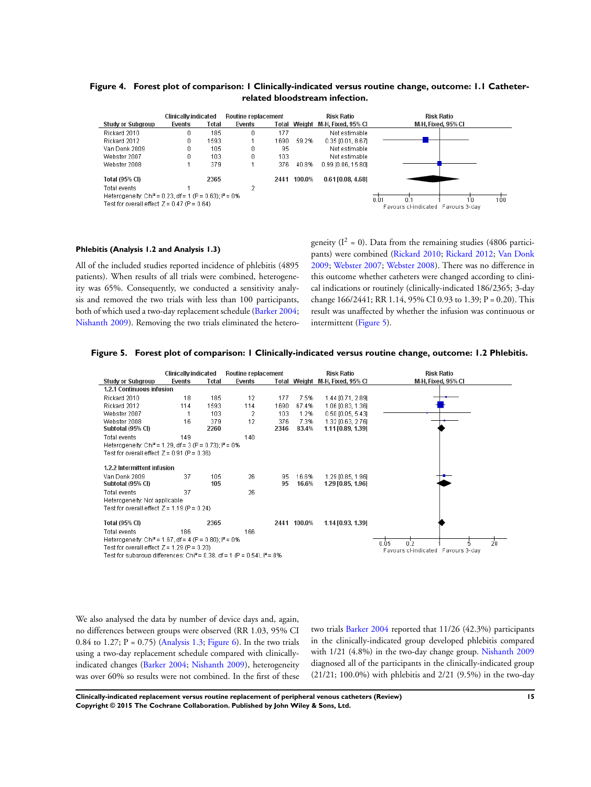|                                                                      | Clinically indicated |       | <b>Routine replacement</b> |       |        | Risk Ratio          | <b>Risk Ratio</b>                                              |
|----------------------------------------------------------------------|----------------------|-------|----------------------------|-------|--------|---------------------|----------------------------------------------------------------|
| <b>Study or Subgroup</b>                                             | Events               | Total | Events                     | Total | Weight | M-H, Fixed, 95% Cl  | M-H, Fixed, 95% CI                                             |
| Rickard 2010                                                         | 0                    | 185   | 0                          | 177   |        | Not estimable       |                                                                |
| Rickard 2012                                                         | 0                    | 1593  |                            | 1690  | 59.2%  | $0.35$ [0.01, 8.67] |                                                                |
| Van Donk 2009                                                        | ſ                    | 105   | 0                          | 95    |        | Not estimable       |                                                                |
| Webster 2007                                                         | Л                    | 103   | 0                          | 103   |        | Not estimable       |                                                                |
| Webster 2008                                                         |                      | 379   |                            | 376   | 40.8%  | 0.99 [0.06, 15.80]  |                                                                |
| Total (95% CI)                                                       |                      | 2365  |                            | 2441  | 100.0% | 0.61 [0.08, 4.68]   |                                                                |
| Total events                                                         |                      |       | 2                          |       |        |                     |                                                                |
| Heterogeneity: Chi <sup>2</sup> = 0.23, df = 1 (P = 0.63); $P = 0\%$ |                      |       |                            |       |        |                     |                                                                |
| Test for overall effect: $Z = 0.47$ (P = 0.64)                       |                      |       |                            |       |        |                     | 0.01<br>100<br>0.1<br>10<br>Favours cl-indicated Favours 3-day |

# <span id="page-16-0"></span>**Figure 4. Forest plot of comparison: 1 Clinically-indicated versus routine change, outcome: 1.1 Catheterrelated bloodstream infection.**

#### **Phlebitis (Analysis 1.2 and Analysis 1.3)**

All of the included studies reported incidence of phlebitis (4895 patients). When results of all trials were combined, heterogeneity was 65%. Consequently, we conducted a sensitivity analysis and removed the two trials with less than 100 participants, both of which used a two-day replacement schedule [\(Barker 2004;](#page-22-0) [Nishanth 2009](#page-22-0)). Removing the two trials eliminated the heterogeneity ( $I^2 = 0$ ). Data from the remaining studies (4806 participants) were combined [\(Rickard 2010](#page-22-0); [Rickard 2012;](#page-22-0) [Van Donk](#page-22-0) [2009](#page-22-0); [Webster 2007](#page-22-0); [Webster 2008\)](#page-22-0). There was no difference in this outcome whether catheters were changed according to clinical indications or routinely (clinically-indicated 186/2365; 3-day change 166/2441; RR 1.14, 95% CI 0.93 to 1.39; P = 0.20). This result was unaffected by whether the infusion was continuous or intermittent (Figure 5).

|                                                                                      | <b>Clinically indicated</b> |       |        | Routine replacement<br><b>Risk Ratio</b> |        |                                 | <b>Risk Ratio</b>                  |
|--------------------------------------------------------------------------------------|-----------------------------|-------|--------|------------------------------------------|--------|---------------------------------|------------------------------------|
| <b>Study or Subgroup</b>                                                             | Events                      | Total | Events |                                          |        | Total Weight M-H, Fixed, 95% CI | M-H, Fixed, 95% CI                 |
| <b>1.2.1 Continuous infusion</b>                                                     |                             |       |        |                                          |        |                                 |                                    |
| Rickard 2010                                                                         | 18                          | 185   | 12     | 177                                      | 7.5%   | 1.44 [0.71, 2.89]               |                                    |
| Rickard 2012                                                                         | 114                         | 1593  | 114    | 1690                                     | 67.4%  | 1.06 [0.83, 1.36]               |                                    |
| Webster 2007                                                                         |                             | 103   | 2      | 103                                      | 1.2%   | $0.50$ [0.05, 5.43]             |                                    |
| Webster 2008                                                                         | 16                          | 379   | 12     | 376                                      | 7.3%   | 1.32 [0.63, 2.76]               |                                    |
| Subtotal (95% CI)                                                                    |                             | 2260  |        | 2346                                     | 83.4%  | 1.11 [0.89, 1.39]               |                                    |
| Total events                                                                         | 149                         |       | 140    |                                          |        |                                 |                                    |
| Heterogeneity: Chi <sup>2</sup> = 1.29, df = 3 (P = 0.73); $I^2$ = 0%                |                             |       |        |                                          |        |                                 |                                    |
| Test for overall effect: $Z = 0.91$ (P = 0.36)                                       |                             |       |        |                                          |        |                                 |                                    |
| 1.2.2 Intermittent infusion                                                          |                             |       |        |                                          |        |                                 |                                    |
| Van Donk 2009                                                                        | 37                          | 105   | 26     | 95                                       | 16.6%  | 1.29 [0.85, 1.96]               |                                    |
| Subtotal (95% CI)                                                                    |                             | 105   |        | 95                                       | 16.6%  | 1.29 [0.85, 1.96]               |                                    |
| Total events                                                                         | 37                          |       | 26     |                                          |        |                                 |                                    |
| Heterogeneity: Not applicable                                                        |                             |       |        |                                          |        |                                 |                                    |
| Test for overall effect: $Z = 1.19$ (P = 0.24)                                       |                             |       |        |                                          |        |                                 |                                    |
| <b>Total (95% CI)</b>                                                                |                             | 2365  |        | 2441                                     | 100.0% | 1.14 [0.93, 1.39]               |                                    |
| Total events                                                                         | 186                         |       | 166    |                                          |        |                                 |                                    |
| Heterogeneity: Chi <sup>2</sup> = 1.67, df = 4 (P = 0.80); $P = 0\%$                 |                             |       |        |                                          |        |                                 | $20 -$<br>0.2<br>0.05<br>5         |
| Test for overall effect: $Z = 1.29$ (P = 0.20)                                       |                             |       |        |                                          |        |                                 | Favours cl-indicated Favours 3-day |
| Test for subgroup differences: Chi <sup>2</sup> = 0.38, df = 1 (P = 0.54), $P = 0\%$ |                             |       |        |                                          |        |                                 |                                    |

**Figure 5. Forest plot of comparison: 1 Clinically-indicated versus routine change, outcome: 1.2 Phlebitis.**

We also analysed the data by number of device days and, again, no differences between groups were observed (RR 1.03, 95% CI 0.84 to 1.27;  $P = 0.75$ ) [\(Analysis 1.3](#page-37-0); [Figure 6\)](#page-17-0). In the two trials using a two-day replacement schedule compared with clinicallyindicated changes [\(Barker 2004;](#page-22-0) [Nishanth 2009](#page-22-0)), heterogeneity was over 60% so results were not combined. In the first of these

two trials [Barker 2004](#page-22-0) reported that 11/26 (42.3%) participants in the clinically-indicated group developed phlebitis compared with 1/21 (4.8%) in the two-day change group. [Nishanth 2009](#page-22-0) diagnosed all of the participants in the clinically-indicated group (21/21; 100.0%) with phlebitis and 2/21 (9.5%) in the two-day

**Clinically-indicated replacement versus routine replacement of peripheral venous catheters (Review) 15 Copyright © 2015 The Cochrane Collaboration. Published by John Wiley & Sons, Ltd.**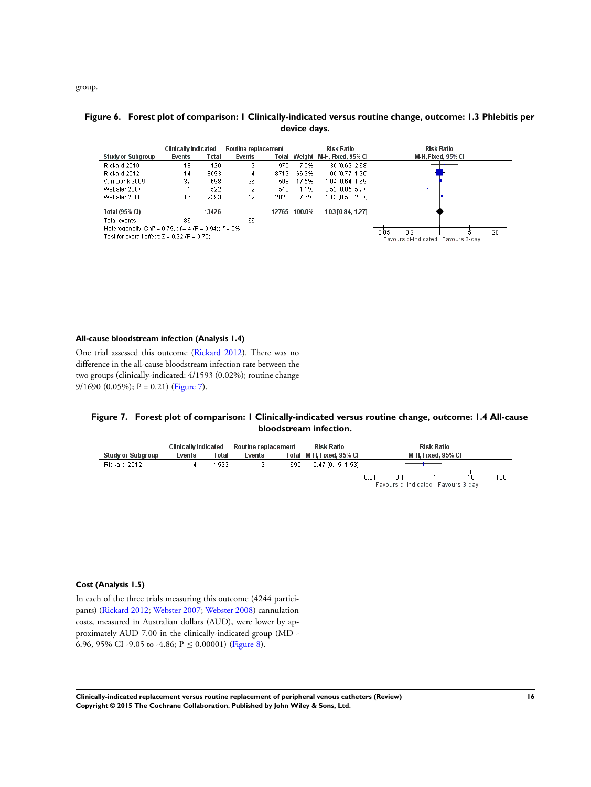<span id="page-17-0"></span>group.

# **Figure 6. Forest plot of comparison: 1 Clinically-indicated versus routine change, outcome: 1.3 Phlebitis per device days.**

|                                                                      | <b>Routine replacement</b><br>Clinically indicated |              |        |       | <b>Risk Ratio</b> | <b>Risk Ratio</b>               |                                    |
|----------------------------------------------------------------------|----------------------------------------------------|--------------|--------|-------|-------------------|---------------------------------|------------------------------------|
| Study or Subgroup                                                    | Events                                             | <b>Total</b> | Events |       |                   | Total Weight M-H, Fixed, 95% Cl | M-H, Fixed, 95% CI                 |
| Rickard 2010                                                         | 18                                                 | 1120         | 12     | 970   | 7.5%              | 1.30 [0.63, 2.68]               |                                    |
| Rickard 2012                                                         | 114                                                | 8693         | 114    | 8719  | 66.3%             | 1.00 [0.77, 1.30]               |                                    |
| Van Donk 2009                                                        | 37                                                 | 698          | 26     | 508   | 17.5%             | 1.04 [0.64, 1.69]               |                                    |
| Webster 2007                                                         |                                                    | 522          | 2.     | 548   | 1.1%              | 0.52 [0.05, 5.77]               |                                    |
| Webster 2008                                                         | 16                                                 | 2393         | 12     | 2020  | 7.6%              | 1.13 [0.53, 2.37]               |                                    |
| <b>Total (95% CI)</b>                                                |                                                    | 13426        |        | 12765 | 100.0%            | 1.03 [0.84, 1.27]               |                                    |
| Total events                                                         | 186                                                |              | 166    |       |                   |                                 |                                    |
| Heterogeneity: Chi <sup>2</sup> = 0.79, df = 4 (P = 0.94); $P = 0\%$ |                                                    |              |        |       |                   |                                 | ο'n<br>0.2<br>0.05                 |
| Test for overall effect: $Z = 0.32$ (P = 0.75)                       |                                                    |              |        |       |                   |                                 | Favours cl-indicated Favours 3-day |

#### **All-cause bloodstream infection (Analysis 1.4)**

One trial assessed this outcome [\(Rickard 2012\)](#page-22-0). There was no difference in the all-cause bloodstream infection rate between the two groups (clinically-indicated: 4/1593 (0.02%); routine change 9/1690 (0.05%);  $P = 0.21$ ) (Figure 7).

### **Figure 7. Forest plot of comparison: 1 Clinically-indicated versus routine change, outcome: 1.4 All-cause bloodstream infection.**



#### **Cost (Analysis 1.5)**

In each of the three trials measuring this outcome (4244 participants) ([Rickard 2012;](#page-22-0) [Webster 2007](#page-22-0); [Webster 2008\)](#page-22-0) cannulation costs, measured in Australian dollars (AUD), were lower by approximately AUD 7.00 in the clinically-indicated group (MD - 6.96, 95% CI -9.05 to -4.86;  $P \le 0.00001$ ) ([Figure 8](#page-18-0)).

**Clinically-indicated replacement versus routine replacement of peripheral venous catheters (Review) 16 Copyright © 2015 The Cochrane Collaboration. Published by John Wiley & Sons, Ltd.**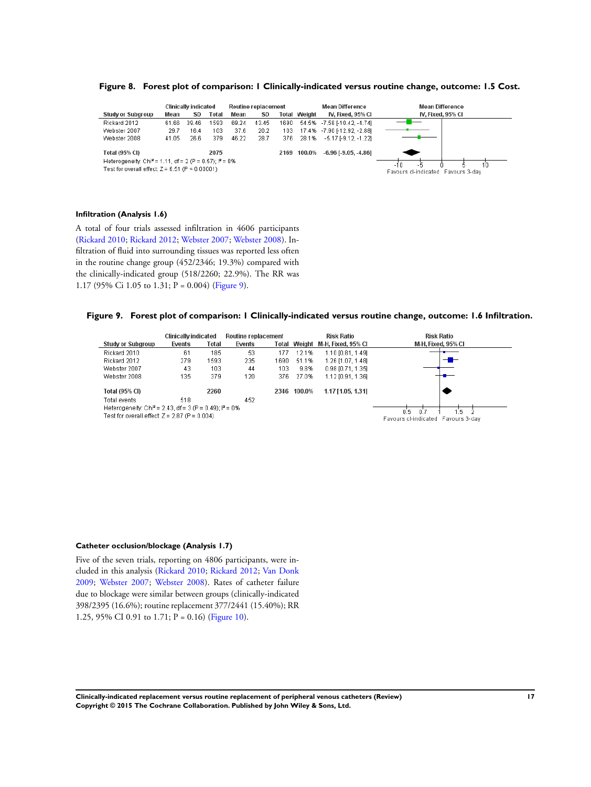|                                                                                                                           | Routine replacement<br>Clinically indicated |       |       |       |       |      |                     | <b>Mean Difference</b>      | <b>Mean Difference</b>                                  |
|---------------------------------------------------------------------------------------------------------------------------|---------------------------------------------|-------|-------|-------|-------|------|---------------------|-----------------------------|---------------------------------------------------------|
| <b>Study or Subgroup</b>                                                                                                  | Mean                                        | SD    | Total | Mean  | SD    |      | <b>Total Weight</b> | IV, Fixed, 95% CI           | IV, Fixed, 95% CI                                       |
| Rickard 2012                                                                                                              | 61.66                                       | 39.46 | 593   | 69.24 | 43.45 | 1690 |                     | 54.5% -7.58 [-10.42, -4.74] |                                                         |
| Webster 2007                                                                                                              | 29.7                                        | 16.4  | 103   | 37.6  | 20.2  | 103  |                     | 17.4% -7.90 -12.92. -2.881  |                                                         |
| Webster 2008                                                                                                              | 41.05                                       | 26.6  | 379   | 46.22 | 28.7  | 376. | 28.1%               | $-5.17$ F9.12. $-1.221$     |                                                         |
| Total (95% CI)                                                                                                            |                                             |       | 2075  |       |       | 2169 | 100.0%              | $-6.96$ [ $-9.05, -4.86$ ]  |                                                         |
| Heterogeneity: Chi <sup>2</sup> = 1.11, df = 2 (P = 0.57); $P = 0\%$<br>Test for overall effect: $Z = 6.51$ (P < 0.00001) |                                             |       |       |       |       |      |                     |                             | -10<br>10<br>$-5$<br>Favours cl-indicated Favours 3-day |

### <span id="page-18-0"></span>**Figure 8. Forest plot of comparison: 1 Clinically-indicated versus routine change, outcome: 1.5 Cost.**

#### **Infiltration (Analysis 1.6)**

A total of four trials assessed infiltration in 4606 participants [\(Rickard 2010](#page-22-0); [Rickard 2012;](#page-22-0) [Webster 2007;](#page-22-0) [Webster 2008](#page-22-0)). Infiltration of fluid into surrounding tissues was reported less often in the routine change group (452/2346; 19.3%) compared with the clinically-indicated group (518/2260; 22.9%). The RR was 1.17 (95% Ci 1.05 to 1.31; P = 0.004) (Figure 9).



|                                                                      |        | <b>Routine replacement</b><br>Clinically indicated |        |      | <b>Risk Ratio</b>                  | <b>Risk Ratio</b>               |                    |
|----------------------------------------------------------------------|--------|----------------------------------------------------|--------|------|------------------------------------|---------------------------------|--------------------|
| Study or Subgroup                                                    | Events | Total                                              | Events |      |                                    | Total Weight M-H, Fixed, 95% CI | M-H, Fixed, 95% CI |
| Rickard 2010                                                         | 61     | 185                                                | 53     | 177  | 12.1%                              | 1.10 [0.81, 1.49]               |                    |
| Rickard 2012                                                         | 279    | 1593                                               | 235    | 1690 | 51.1%                              | 1.26 [1.07, 1.48]               |                    |
| Webster 2007                                                         | 43     | 103                                                | 44     | 103  | 9.8%                               | 0.98 [0.71, 1.35]               |                    |
| Webster 2008                                                         | 135    | 379                                                | 120    | 376  | 27.0%                              | 1.12 [0.91, 1.36]               |                    |
| <b>Total (95% CI)</b>                                                |        | 2260                                               |        | 2346 | 100.0%                             | 1.17 [1.05, 1.31]               |                    |
| Total events                                                         | 518    |                                                    | 452    |      |                                    |                                 |                    |
| Heterogeneity: Chi <sup>2</sup> = 2.43, df = 3 (P = 0.49); $P = 0\%$ |        |                                                    |        |      |                                    | 0.5<br>5<br>0.7                 |                    |
| Test for overall effect: $Z = 2.87$ (P = 0.004)                      |        |                                                    |        |      | Favours cl-indicated Favours 3-day |                                 |                    |

#### **Catheter occlusion/blockage (Analysis 1.7)**

Five of the seven trials, reporting on 4806 participants, were included in this analysis ([Rickard 2010;](#page-22-0) [Rickard 2012;](#page-22-0) [Van Donk](#page-22-0) [2009](#page-22-0); [Webster 2007](#page-22-0); [Webster 2008](#page-22-0)). Rates of catheter failure due to blockage were similar between groups (clinically-indicated 398/2395 (16.6%); routine replacement 377/2441 (15.40%); RR 1.25, 95% CI 0.91 to 1.71; P = 0.16) [\(Figure 10](#page-19-0)).

**Clinically-indicated replacement versus routine replacement of peripheral venous catheters (Review) 17 Copyright © 2015 The Cochrane Collaboration. Published by John Wiley & Sons, Ltd.**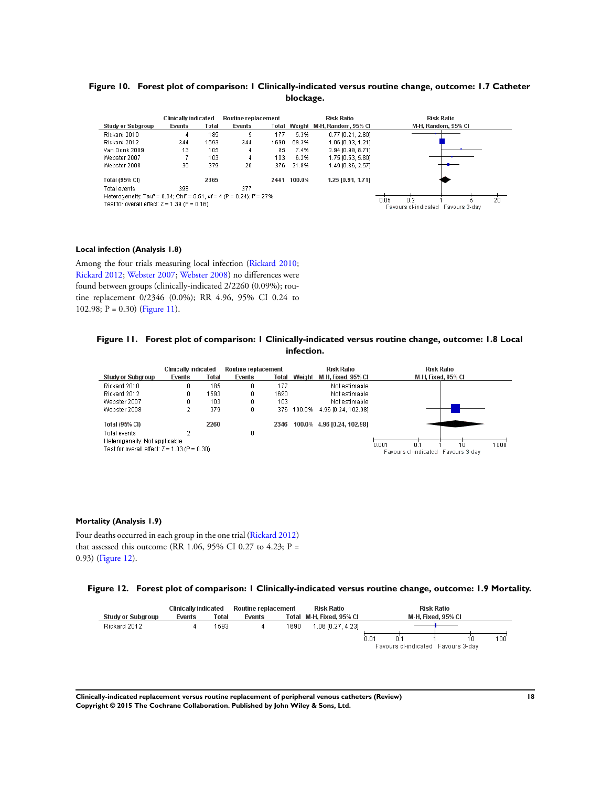# <span id="page-19-0"></span>**Figure 10. Forest plot of comparison: 1 Clinically-indicated versus routine change, outcome: 1.7 Catheter blockage.**

|                                                                                                                                                  | <b>Clinically indicated</b> | <b>Routine replacement</b>                                  |        |       |        | <b>Risk Ratio</b>   | <b>Risk Ratio</b>   |  |  |
|--------------------------------------------------------------------------------------------------------------------------------------------------|-----------------------------|-------------------------------------------------------------|--------|-------|--------|---------------------|---------------------|--|--|
| Study or Subgroup                                                                                                                                | Events                      | Total                                                       | Events | Total | Weight | M-H, Random, 95% CI | M-H, Random, 95% CI |  |  |
| Rickard 2010                                                                                                                                     | 4                           | 185                                                         | 5      | 177   | 5.3%   | $0.77$ [0.21, 2.80] |                     |  |  |
| Rickard 2012                                                                                                                                     | 344                         | 1593                                                        | 344    | 1690  | 59.3%  | 1.06 [0.93, 1.21]   |                     |  |  |
| Van Donk 2009                                                                                                                                    | 13                          | 105                                                         | 4      | 95    | 7.4%   | 2.94 [0.99, 8.71]   |                     |  |  |
| Webster 2007                                                                                                                                     |                             | 103                                                         | 4      | 103   | 6.2%   | 1.75 [0.53, 5.80]   |                     |  |  |
| Webster 2008                                                                                                                                     | 30                          | 379                                                         | 20     | 376   | 21.8%  | 1.49 [0.86, 2.57]   |                     |  |  |
| <b>Total (95% CI)</b>                                                                                                                            |                             | 2365                                                        |        | 2441  | 100.0% | 1.25 [0.91, 1.71]   |                     |  |  |
| Total events                                                                                                                                     | 398                         |                                                             | 377    |       |        |                     |                     |  |  |
| Heterogeneity: Tau <sup>2</sup> = 0.04; Chi <sup>2</sup> = 5.51, df = 4 (P = 0.24); $P = 27\%$<br>Test for overall effect: $Z = 1.39$ (P = 0.16) |                             | 2Ū.<br>0.05<br>n'e<br>Favours cl-indicated<br>Favours 3-day |        |       |        |                     |                     |  |  |

#### **Local infection (Analysis 1.8)**

Among the four trials measuring local infection ([Rickard 2010;](#page-22-0) [Rickard 2012;](#page-22-0) [Webster 2007;](#page-22-0) [Webster 2008\)](#page-22-0) no differences were found between groups (clinically-indicated 2/2260 (0.09%); routine replacement 0/2346 (0.0%); RR 4.96, 95% CI 0.24 to 102.98; P = 0.30) (Figure 11).

# **Figure 11. Forest plot of comparison: 1 Clinically-indicated versus routine change, outcome: 1.8 Local infection.**

|                                                | <b>Routine replacement</b><br>Clinically indicated |       | <b>Risk Ratio</b> |       |        | <b>Risk Ratio</b>          |                                      |
|------------------------------------------------|----------------------------------------------------|-------|-------------------|-------|--------|----------------------------|--------------------------------------|
| Study or Subgroup                              | Events                                             | Total | Events            | Total | Weight | M-H, Fixed, 95% CI         | M-H, Fixed, 95% CI                   |
| Rickard 2010                                   | 0                                                  | 185   | 0                 | 177   |        | Not estimable              |                                      |
| Rickard 2012                                   | 0                                                  | 1593  | 0                 | 1690  |        | Not estimable              |                                      |
| Webster 2007                                   | 0                                                  | 103   | 0                 | 103   |        | Not estimable              |                                      |
| Webster 2008                                   | 2                                                  | 379   | 0                 | 376   | 100.0% | 4.96 [0.24, 102.98]        |                                      |
| Total (95% CI)                                 |                                                    | 2260  |                   | 2346  |        | 100.0% 4.96 [0.24, 102.98] |                                      |
| Total events                                   |                                                    |       | 0                 |       |        |                            |                                      |
| Heterogeneity: Not applicable                  |                                                    |       |                   |       |        |                            | 0.001<br>$1000^{\circ}$<br>10<br>0.1 |
| Test for overall effect: $Z = 1.03$ (P = 0.30) |                                                    |       |                   |       |        |                            | Favours cl-indicated Favours 3-day   |

#### **Mortality (Analysis 1.9)**

Four deaths occurred in each group in the one trial ([Rickard 2012](#page-22-0)) that assessed this outcome (RR 1.06, 95% CI 0.27 to 4.23;  $P =$ 0.93) (Figure 12).

### **Figure 12. Forest plot of comparison: 1 Clinically-indicated versus routine change, outcome: 1.9 Mortality.**

|                   | Clinically indicated |       | Routine replacement |      | Risk Ratio               |                                    | Risk Ratio         |     |
|-------------------|----------------------|-------|---------------------|------|--------------------------|------------------------------------|--------------------|-----|
| Study or Subgroup | Events               | Total | Events              |      | Total M-H, Fixed, 95% CI |                                    | M-H, Fixed, 95% Cl |     |
| Rickard 2012      |                      | 1593  | 4                   | 1690 | 1.06 [0.27, 4.23]        |                                    |                    |     |
|                   |                      |       |                     |      |                          | 0.01                               | 10                 | 100 |
|                   |                      |       |                     |      |                          | Favours cl-indicated Favours 3-day |                    |     |

**Clinically-indicated replacement versus routine replacement of peripheral venous catheters (Review) 18 Copyright © 2015 The Cochrane Collaboration. Published by John Wiley & Sons, Ltd.**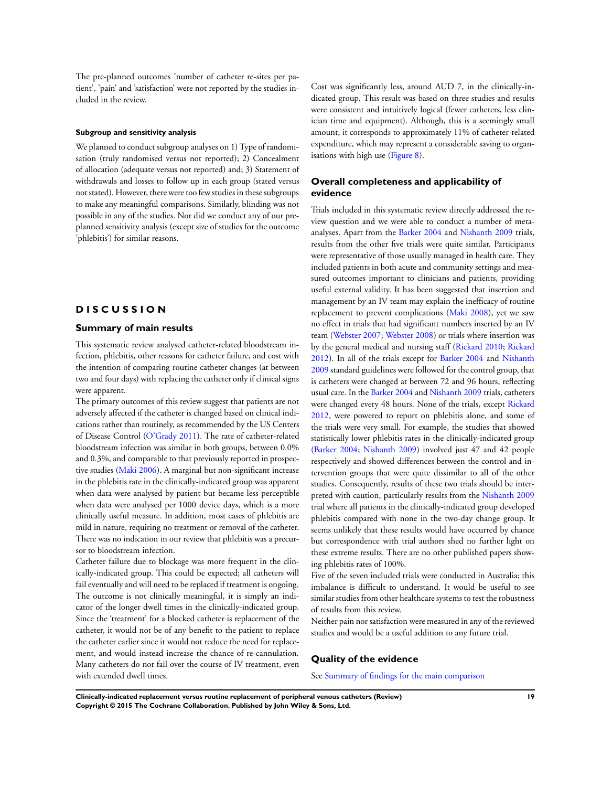The pre-planned outcomes 'number of catheter re-sites per patient', 'pain' and 'satisfaction' were not reported by the studies included in the review.

#### **Subgroup and sensitivity analysis**

We planned to conduct subgroup analyses on 1) Type of randomisation (truly randomised versus not reported); 2) Concealment of allocation (adequate versus not reported) and; 3) Statement of withdrawals and losses to follow up in each group (stated versus not stated). However, there were too few studies in these subgroups to make any meaningful comparisons. Similarly, blinding was not possible in any of the studies. Nor did we conduct any of our preplanned sensitivity analysis (except size of studies for the outcome 'phlebitis') for similar reasons.

#### **D I S C U S S I O N**

### **Summary of main results**

This systematic review analysed catheter-related bloodstream infection, phlebitis, other reasons for catheter failure, and cost with the intention of comparing routine catheter changes (at between two and four days) with replacing the catheter only if clinical signs were apparent.

The primary outcomes of this review suggest that patients are not adversely affected if the catheter is changed based on clinical indications rather than routinely, as recommended by the US Centers of Disease Control ([O'Grady 2011](#page-22-0)). The rate of catheter-related bloodstream infection was similar in both groups, between 0.0% and 0.3%, and comparable to that previously reported in prospective studies [\(Maki 2006\)](#page-22-0). A marginal but non-significant increase in the phlebitis rate in the clinically-indicated group was apparent when data were analysed by patient but became less perceptible when data were analysed per 1000 device days, which is a more clinically useful measure. In addition, most cases of phlebitis are mild in nature, requiring no treatment or removal of the catheter. There was no indication in our review that phlebitis was a precursor to bloodstream infection.

Catheter failure due to blockage was more frequent in the clinically-indicated group. This could be expected; all catheters will fail eventually and will need to be replaced if treatment is ongoing. The outcome is not clinically meaningful, it is simply an indicator of the longer dwell times in the clinically-indicated group. Since the 'treatment' for a blocked catheter is replacement of the catheter, it would not be of any benefit to the patient to replace the catheter earlier since it would not reduce the need for replacement, and would instead increase the chance of re-cannulation. Many catheters do not fail over the course of IV treatment, even with extended dwell times.

Cost was significantly less, around AUD 7, in the clinically-indicated group. This result was based on three studies and results were consistent and intuitively logical (fewer catheters, less clinician time and equipment). Although, this is a seemingly small amount, it corresponds to approximately 11% of catheter-related expenditure, which may represent a considerable saving to organisations with high use [\(Figure 8](#page-18-0)).

# **Overall completeness and applicability of evidence**

Trials included in this systematic review directly addressed the review question and we were able to conduct a number of metaanalyses. Apart from the [Barker 2004](#page-22-0) and [Nishanth 2009](#page-22-0) trials, results from the other five trials were quite similar. Participants were representative of those usually managed in health care. They included patients in both acute and community settings and measured outcomes important to clinicians and patients, providing useful external validity. It has been suggested that insertion and management by an IV team may explain the inefficacy of routine replacement to prevent complications [\(Maki 2008\)](#page-22-0), yet we saw no effect in trials that had significant numbers inserted by an IV team [\(Webster 2007;](#page-22-0) [Webster 2008](#page-22-0)) or trials where insertion was by the general medical and nursing staff ([Rickard 2010](#page-22-0); [Rickard](#page-22-0) [2012](#page-22-0)). In all of the trials except for [Barker 2004](#page-22-0) and [Nishanth](#page-22-0) [2009](#page-22-0) standard guidelines were followed for the control group, that is catheters were changed at between 72 and 96 hours, reflecting usual care. In the [Barker 2004](#page-22-0) and [Nishanth 2009](#page-22-0) trials, catheters were changed every 48 hours. None of the trials, except [Rickard](#page-22-0) [2012](#page-22-0), were powered to report on phlebitis alone, and some of the trials were very small. For example, the studies that showed statistically lower phlebitis rates in the clinically-indicated group [\(Barker 2004](#page-22-0); [Nishanth 2009\)](#page-22-0) involved just 47 and 42 people respectively and showed differences between the control and intervention groups that were quite dissimilar to all of the other studies. Consequently, results of these two trials should be interpreted with caution, particularly results from the [Nishanth 2009](#page-22-0) trial where all patients in the clinically-indicated group developed phlebitis compared with none in the two-day change group. It seems unlikely that these results would have occurred by chance but correspondence with trial authors shed no further light on these extreme results. There are no other published papers showing phlebitis rates of 100%.

Five of the seven included trials were conducted in Australia; this imbalance is difficult to understand. It would be useful to see similar studies from other healthcare systems to test the robustness of results from this review.

Neither pain nor satisfaction were measured in any of the reviewed studies and would be a useful addition to any future trial.

#### **Quality of the evidence**

See [Summary of findings for the main comparison](#page-4-0)

**Clinically-indicated replacement versus routine replacement of peripheral venous catheters (Review) 19 Copyright © 2015 The Cochrane Collaboration. Published by John Wiley & Sons, Ltd.**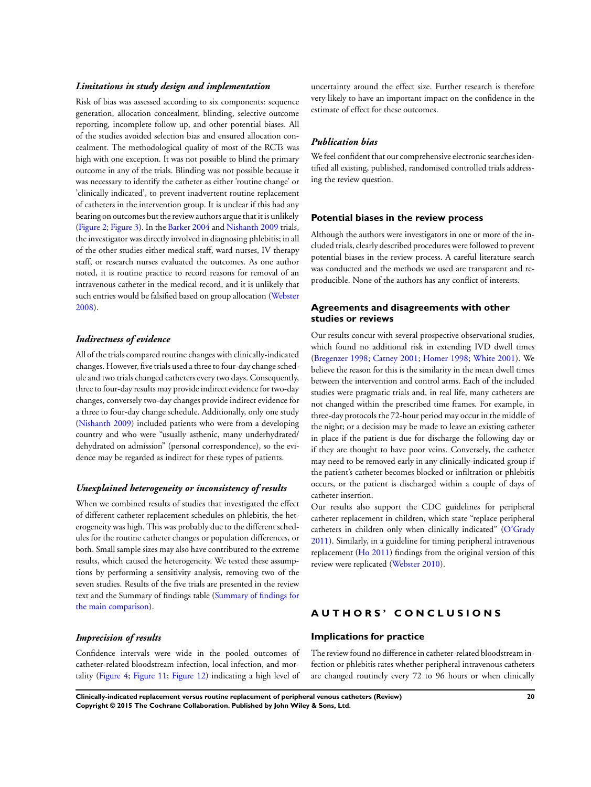### *Limitations in study design and implementation*

Risk of bias was assessed according to six components: sequence generation, allocation concealment, blinding, selective outcome reporting, incomplete follow up, and other potential biases. All of the studies avoided selection bias and ensured allocation concealment. The methodological quality of most of the RCTs was high with one exception. It was not possible to blind the primary outcome in any of the trials. Blinding was not possible because it was necessary to identify the catheter as either 'routine change' or 'clinically indicated', to prevent inadvertent routine replacement of catheters in the intervention group. It is unclear if this had any bearing on outcomes but the review authors argue that it is unlikely [\(Figure 2](#page-13-0); [Figure 3\)](#page-14-0). In the [Barker 2004](#page-22-0) and [Nishanth 2009](#page-22-0) trials, the investigator was directly involved in diagnosing phlebitis; in all of the other studies either medical staff, ward nurses, IV therapy staff, or research nurses evaluated the outcomes. As one author noted, it is routine practice to record reasons for removal of an intravenous catheter in the medical record, and it is unlikely that such entries would be falsified based on group allocation ([Webster](#page-22-0) [2008](#page-22-0)).

#### *Indirectness of evidence*

All of the trials compared routine changes with clinically-indicated changes. However, five trials used a three to four-day change schedule and two trials changed catheters every two days. Consequently, three to four-day results may provide indirect evidence for two-day changes, conversely two-day changes provide indirect evidence for a three to four-day change schedule. Additionally, only one study [\(Nishanth 2009](#page-22-0)) included patients who were from a developing country and who were "usually asthenic, many underhydrated/ dehydrated on admission" (personal correspondence), so the evidence may be regarded as indirect for these types of patients.

#### *Unexplained heterogeneity or inconsistency of results*

When we combined results of studies that investigated the effect of different catheter replacement schedules on phlebitis, the heterogeneity was high. This was probably due to the different schedules for the routine catheter changes or population differences, or both. Small sample sizes may also have contributed to the extreme results, which caused the heterogeneity. We tested these assumptions by performing a sensitivity analysis, removing two of the seven studies. Results of the five trials are presented in the review text and the Summary of findings table [\(Summary of findings for](#page-4-0) [the main comparison](#page-4-0)).

# *Imprecision of results*

Confidence intervals were wide in the pooled outcomes of catheter-related bloodstream infection, local infection, and mortality ([Figure 4](#page-16-0); [Figure 11](#page-19-0); [Figure 12](#page-19-0)) indicating a high level of uncertainty around the effect size. Further research is therefore very likely to have an important impact on the confidence in the estimate of effect for these outcomes.

### *Publication bias*

We feel confident that our comprehensive electronic searches identified all existing, published, randomised controlled trials addressing the review question.

#### **Potential biases in the review process**

Although the authors were investigators in one or more of the included trials, clearly described procedures were followed to prevent potential biases in the review process. A careful literature search was conducted and the methods we used are transparent and reproducible. None of the authors has any conflict of interests.

# **Agreements and disagreements with other studies or reviews**

Our results concur with several prospective observational studies, which found no additional risk in extending IVD dwell times [\(Bregenzer 1998;](#page-22-0) [Catney 2001](#page-22-0); [Homer 1998;](#page-22-0) [White 2001](#page-22-0)). We believe the reason for this is the similarity in the mean dwell times between the intervention and control arms. Each of the included studies were pragmatic trials and, in real life, many catheters are not changed within the prescribed time frames. For example, in three-day protocols the 72-hour period may occur in the middle of the night; or a decision may be made to leave an existing catheter in place if the patient is due for discharge the following day or if they are thought to have poor veins. Conversely, the catheter may need to be removed early in any clinically-indicated group if the patient's catheter becomes blocked or infiltration or phlebitis occurs, or the patient is discharged within a couple of days of catheter insertion.

Our results also support the CDC guidelines for peripheral catheter replacement in children, which state "replace peripheral catheters in children only when clinically indicated" [\(O'Grady](#page-22-0) [2011](#page-22-0)). Similarly, in a guideline for timing peripheral intravenous replacement ([Ho 2011](#page-22-0)) findings from the original version of this review were replicated ([Webster 2010](#page-22-0)).

# **A U T H O R S ' C O N C L U S I O N S**

### **Implications for practice**

The review found no difference in catheter-related bloodstream infection or phlebitis rates whether peripheral intravenous catheters are changed routinely every 72 to 96 hours or when clinically

**Clinically-indicated replacement versus routine replacement of peripheral venous catheters (Review) 20 Copyright © 2015 The Cochrane Collaboration. Published by John Wiley & Sons, Ltd.**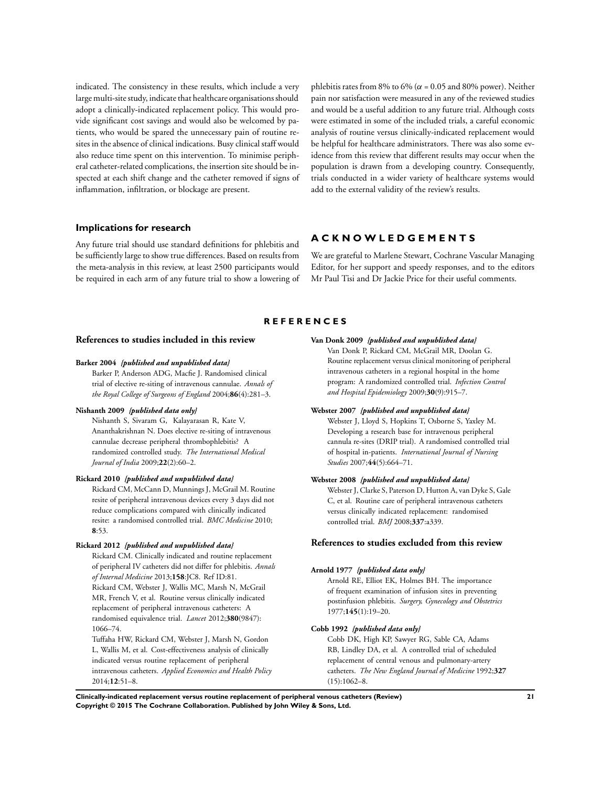<span id="page-22-0"></span>indicated. The consistency in these results, which include a very large multi-site study, indicate that healthcare organisations should adopt a clinically-indicated replacement policy. This would provide significant cost savings and would also be welcomed by patients, who would be spared the unnecessary pain of routine resites in the absence of clinical indications. Busy clinical staff would also reduce time spent on this intervention. To minimise peripheral catheter-related complications, the insertion site should be inspected at each shift change and the catheter removed if signs of inflammation, infiltration, or blockage are present.

phlebitis rates from 8% to 6% ( $\alpha$  = 0.05 and 80% power). Neither pain nor satisfaction were measured in any of the reviewed studies and would be a useful addition to any future trial. Although costs were estimated in some of the included trials, a careful economic analysis of routine versus clinically-indicated replacement would be helpful for healthcare administrators. There was also some evidence from this review that different results may occur when the population is drawn from a developing country. Consequently, trials conducted in a wider variety of healthcare systems would add to the external validity of the review's results.

### **Implications for research**

Any future trial should use standard definitions for phlebitis and be sufficiently large to show true differences. Based on results from the meta-analysis in this review, at least 2500 participants would be required in each arm of any future trial to show a lowering of

# **A C K N O W L E D G E M E N T S**

We are grateful to Marlene Stewart, Cochrane Vascular Managing Editor, for her support and speedy responses, and to the editors Mr Paul Tisi and Dr Jackie Price for their useful comments.

### **R E F E R E N C E S**

# **References to studies included in this review**

#### **Barker 2004** *{published and unpublished data}*

Barker P, Anderson ADG, Macfie J. Randomised clinical trial of elective re-siting of intravenous cannulae. *Annals of the Royal College of Surgeons of England* 2004;**86**(4):281–3.

#### **Nishanth 2009** *{published data only}*

Nishanth S, Sivaram G, Kalayarasan R, Kate V, Ananthakrishnan N. Does elective re-siting of intravenous cannulae decrease peripheral thrombophlebitis? A randomized controlled study. *The International Medical Journal of India* 2009;**22**(2):60–2.

#### **Rickard 2010** *{published and unpublished data}*

Rickard CM, McCann D, Munnings J, McGrail M. Routine resite of peripheral intravenous devices every 3 days did not reduce complications compared with clinically indicated resite: a randomised controlled trial. *BMC Medicine* 2010; **8**:53.

#### **Rickard 2012** *{published and unpublished data}*

Rickard CM. Clinically indicated and routine replacement of peripheral IV catheters did not differ for phlebitis. *Annals of Internal Medicine* 2013;**158**:JC8. Ref ID:81. Rickard CM, Webster J, Wallis MC, Marsh N, McGrail MR, French V, et al. Routine versus clinically indicated replacement of peripheral intravenous catheters: A

randomised equivalence trial. *Lancet* 2012;**380**(9847): 1066–74. Tuffaha HW, Rickard CM, Webster J, Marsh N, Gordon

L, Wallis M, et al. Cost-effectiveness analysis of clinically indicated versus routine replacement of peripheral intravenous catheters. *Applied Economics and Health Policy* 2014;**12**:51–8.

#### **Van Donk 2009** *{published and unpublished data}*

Van Donk P, Rickard CM, McGrail MR, Doolan G. Routine replacement versus clinical monitoring of peripheral intravenous catheters in a regional hospital in the home program: A randomized controlled trial. *Infection Control and Hospital Epidemiology* 2009;**30**(9):915–7.

#### **Webster 2007** *{published and unpublished data}*

Webster J, Lloyd S, Hopkins T, Osborne S, Yaxley M. Developing a research base for intravenous peripheral cannula re-sites (DRIP trial). A randomised controlled trial of hospital in-patients. *International Journal of Nursing Studies* 2007;**44**(5):664–71.

#### **Webster 2008** *{published and unpublished data}*

Webster J, Clarke S, Paterson D, Hutton A, van Dyke S, Gale C, et al. Routine care of peripheral intravenous catheters versus clinically indicated replacement: randomised controlled trial. *BMJ* 2008;**337**:a339.

#### **References to studies excluded from this review**

#### **Arnold 1977** *{published data only}*

Arnold RE, Elliot EK, Holmes BH. The importance of frequent examination of infusion sites in preventing postinfusion phlebitis. *Surgery, Gynecology and Obstetrics* 1977;**145**(1):19–20.

#### **Cobb 1992** *{published data only}*

Cobb DK, High KP, Sawyer RG, Sable CA, Adams RB, Lindley DA, et al. A controlled trial of scheduled replacement of central venous and pulmonary-artery catheters. *The New England Journal of Medicine* 1992;**327**  $(15):1062-8.$ 

**Clinically-indicated replacement versus routine replacement of peripheral venous catheters (Review) 21 Copyright © 2015 The Cochrane Collaboration. Published by John Wiley & Sons, Ltd.**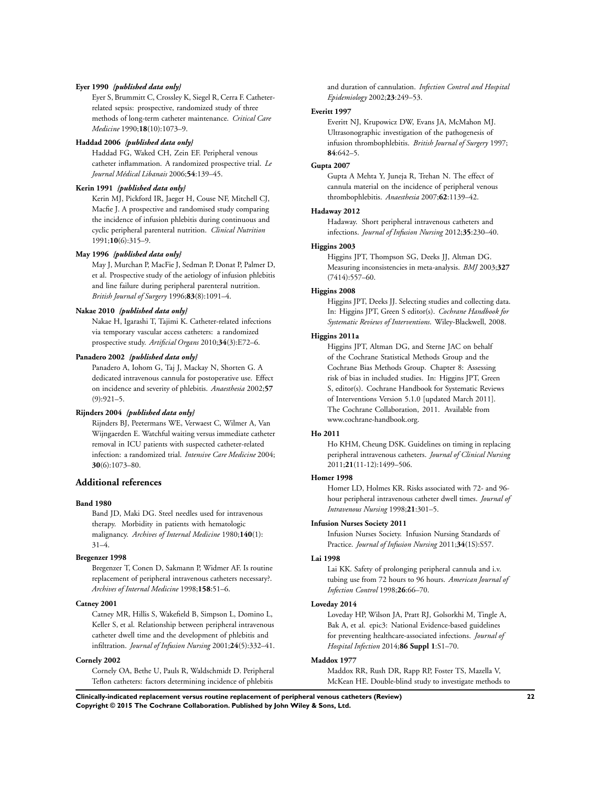#### **Eyer 1990** *{published data only}*

Eyer S, Brummitt C, Crossley K, Siegel R, Cerra F. Catheterrelated sepsis: prospective, randomized study of three methods of long-term catheter maintenance. *Critical Care Medicine* 1990;**18**(10):1073–9.

#### **Haddad 2006** *{published data only}*

Haddad FG, Waked CH, Zein EF. Peripheral venous catheter inflammation. A randomized prospective trial. *Le Journal Médical Libanais* 2006;**54**:139–45.

#### **Kerin 1991** *{published data only}*

Kerin MJ, Pickford IR, Jaeger H, Couse NF, Mitchell CJ, Macfie J. A prospective and randomised study comparing the incidence of infusion phlebitis during continuous and cyclic peripheral parenteral nutrition. *Clinical Nutrition* 1991;**10**(6):315–9.

#### **May 1996** *{published data only}*

May J, Murchan P, MacFie J, Sedman P, Donat P, Palmer D, et al. Prospective study of the aetiology of infusion phlebitis and line failure during peripheral parenteral nutrition. *British Journal of Surgery* 1996;**83**(8):1091–4.

### **Nakae 2010** *{published data only}*

Nakae H, Igarashi T, Tajimi K. Catheter-related infections via temporary vascular access catheters: a randomized prospective study. *Artificial Organs* 2010;**34**(3):E72–6.

#### **Panadero 2002** *{published data only}*

Panadero A, Iohom G, Taj J, Mackay N, Shorten G. A dedicated intravenous cannula for postoperative use. Effect on incidence and severity of phlebitis. *Anaesthesia* 2002;**57** (9):921–5.

#### **Rijnders 2004** *{published data only}*

Rijnders BJ, Peetermans WE, Verwaest C, Wilmer A, Van Wijngaerden E. Watchful waiting versus immediate catheter removal in ICU patients with suspected catheter-related infection: a randomized trial. *Intensive Care Medicine* 2004; **30**(6):1073–80.

### **Additional references**

#### **Band 1980**

Band JD, Maki DG. Steel needles used for intravenous therapy. Morbidity in patients with hematologic malignancy. *Archives of Internal Medicine* 1980;**140**(1): 31–4.

### **Bregenzer 1998**

Bregenzer T, Conen D, Sakmann P, Widmer AF. Is routine replacement of peripheral intravenous catheters necessary?. *Archives of Internal Medicine* 1998;**158**:51–6.

#### **Catney 2001**

Catney MR, Hillis S, Wakefield B, Simpson L, Domino L, Keller S, et al. Relationship between peripheral intravenous catheter dwell time and the development of phlebitis and infiltration. *Journal of Infusion Nursing* 2001;**24**(5):332–41.

#### **Cornely 2002**

Cornely OA, Bethe U, Pauls R, Waldschmidt D. Peripheral Teflon catheters: factors determining incidence of phlebitis

and duration of cannulation. *Infection Control and Hospital Epidemiology* 2002;**23**:249–53.

#### **Everitt 1997**

Everitt NJ, Krupowicz DW, Evans JA, McMahon MJ. Ultrasonographic investigation of the pathogenesis of infusion thrombophlebitis. *British Journal of Surgery* 1997; **84**:642–5.

#### **Gupta 2007**

Gupta A Mehta Y, Juneja R, Trehan N. The effect of cannula material on the incidence of peripheral venous thrombophlebitis. *Anaesthesia* 2007;**62**:1139–42.

#### **Hadaway 2012**

Hadaway. Short peripheral intravenous catheters and infections. *Journal of Infusion Nursing* 2012;**35**:230–40.

#### **Higgins 2003**

Higgins JPT, Thompson SG, Deeks JJ, Altman DG. Measuring inconsistencies in meta-analysis. *BMJ* 2003;**327** (7414):557–60.

#### **Higgins 2008**

Higgins JPT, Deeks JJ. Selecting studies and collecting data. In: Higgins JPT, Green S editor(s). *Cochrane Handbook for Systematic Reviews of Interventions*. Wiley-Blackwell, 2008.

#### **Higgins 2011a**

Higgins JPT, Altman DG, and Sterne JAC on behalf of the Cochrane Statistical Methods Group and the Cochrane Bias Methods Group. Chapter 8: Assessing risk of bias in included studies. In: Higgins JPT, Green S, editor(s). Cochrane Handbook for Systematic Reviews of Interventions Version 5.1.0 [updated March 2011]. The Cochrane Collaboration, 2011. Available from www.cochrane-handbook.org.

#### **Ho 2011**

Ho KHM, Cheung DSK. Guidelines on timing in replacing peripheral intravenous catheters. *Journal of Clinical Nursing* 2011;**21**(11-12):1499–506.

#### **Homer 1998**

Homer LD, Holmes KR. Risks associated with 72- and 96 hour peripheral intravenous catheter dwell times. *Journal of Intravenous Nursing* 1998;**21**:301–5.

#### **Infusion Nurses Society 2011**

Infusion Nurses Society. Infusion Nursing Standards of Practice. *Journal of Infusion Nursing* 2011;**34**(1S):S57.

#### **Lai 1998**

Lai KK. Safety of prolonging peripheral cannula and i.v. tubing use from 72 hours to 96 hours. *American Journal of Infection Control* 1998;**26**:66–70.

#### **Loveday 2014**

Loveday HP, Wilson JA, Pratt RJ, Golsorkhi M, Tingle A, Bak A, et al. epic3: National Evidence-based guidelines for preventing healthcare-associated infections. *Journal of Hospital Infection* 2014;**86 Suppl 1**:S1–70.

#### **Maddox 1977**

Maddox RR, Rush DR, Rapp RP, Foster TS, Mazella V, McKean HE. Double-blind study to investigate methods to

**Clinically-indicated replacement versus routine replacement of peripheral venous catheters (Review) 22 Copyright © 2015 The Cochrane Collaboration. Published by John Wiley & Sons, Ltd.**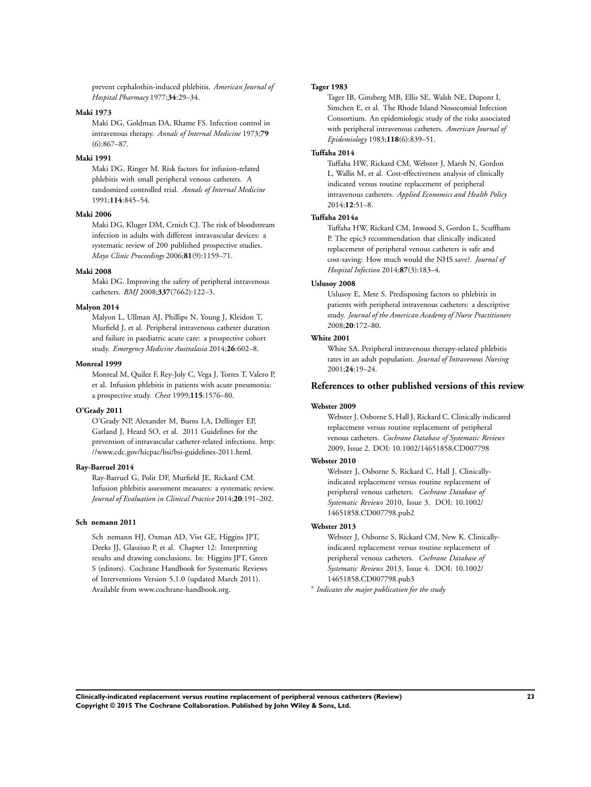prevent cephalothin-induced phlebitis. *American Journal of Hospital Pharmacy* 1977;**34**:29–34.

#### **Maki 1973**

Maki DG, Goldman DA, Rhame FS. Infection control in intravenous therapy. *Annals of Internal Medicine* 1973;**79** (6):867–87.

# **Maki 1991**

Maki DG, Ringer M. Risk factors for infusion-related phlebitis with small peripheral venous catheters. A randomized controlled trial. *Annals of Internal Medicine* 1991;**114**:845–54.

### **Maki 2006**

Maki DG, Kluger DM, Crnich CJ. The risk of bloodstream infection in adults with different intravascular devices: a systematic review of 200 published prospective studies. *Mayo Clinic Proceedings* 2006;**81**(9):1159–71.

#### **Maki 2008**

Maki DG. Improving the safety of peripheral intravenous catheters. *BMJ* 2008;**337**(7662):122–3.

#### **Malyon 2014**

Malyon L, Ullman AJ, Phillips N, Young J, Kleidon T, Murfield J, et al. Peripheral intravenous catheter duration and failure in paediatric acute care: a prospective cohort study. *Emergency Medicine Australasia* 2014;**26**:602–8.

#### **Monreal 1999**

Monreal M, Quilez F, Rey-Joly C, Vega J, Torres T, Valero P, et al. Infusion phlebitis in patients with acute pneumonia: a prospective study. *Chest* 1999;**115**:1576–80.

#### **O'Grady 2011**

O'Grady NP, Alexander M, Burns LA, Dellinger EP, Garland J, Heard SO, et al. 2011 Guidelines for the prevention of intravascular catheter-related infections. http: //www.cdc.gov/hicpac/bsi/bsi-guidelines-2011.html.

### **Ray-Barruel 2014**

Ray-Barruel G, Polit DF, Murfield JE, Rickard CM. Infusion phlebitis assessment measures: a systematic review. *Journal of Evaluation in Clinical Practice* 2014;**20**:191–202.

#### **Sch nemann 2011**

Sch nemann HJ, Oxman AD, Vist GE, Higgins JPT, Deeks JJ, Glasziuo P, et al. Chapter 12: Interpreting results and drawing conclusions. In: Higgins JPT, Green S (editors). Cochrane Handbook for Systematic Reviews of Interventions Version 5.1.0 (updated March 2011). Available from www.cochrane-handbook.org.

#### **Tager 1983**

Tager IB, Ginsberg MB, Ellis SE, Walsh NE, Dupont I, Simchen E, et al. The Rhode Island Nosocomial Infection Consortium. An epidemiologic study of the risks associated with peripheral intravenous catheters. *American Journal of Epidemiology* 1983;**118**(6):839–51.

#### **Tuffaha 2014**

Tuffaha HW, Rickard CM, Webster J, Marsh N, Gordon L, Wallis M, et al. Cost-effectiveness analysis of clinically indicated versus routine replacement of peripheral intravenous catheters. *Applied Economics and Health Policy* 2014;**12**:51–8.

### **Tuffaha 2014a**

Tuffaha HW, Rickard CM, Inwood S, Gordon L, Scuffham P. The epic3 recommendation that clinically indicated replacement of peripheral venous catheters is safe and cost-saving: How much would the NHS save?. *Journal of Hospital Infection* 2014;**87**(3):183–4.

#### **Uslusoy 2008**

Uslusoy E, Mete S. Predisposing factors to phlebitis in patients with peripheral intravenous catheters: a descriptive study. *Journal of the American Academy of Nurse Practitioners* 2008;**20**:172–80.

#### **White 2001**

White SA. Peripheral intravenous therapy-related phlebitis rates in an adult population. *Journal of Intravenous Nursing* 2001;**24**:19–24.

#### **References to other published versions of this review**

#### **Webster 2009**

Webster J, Osborne S, Hall J, Rickard C. Clinically indicated replacement versus routine replacement of peripheral venous catheters. *Cochrane Database of Systematic Reviews* 2009, Issue 2. DOI: 10.1002/14651858.CD007798

#### **Webster 2010**

Webster J, Osborne S, Rickard C, Hall J. Clinicallyindicated replacement versus routine replacement of peripheral venous catheters. *Cochrane Database of Systematic Reviews* 2010, Issue 3. DOI: 10.1002/ 14651858.CD007798.pub2

#### **Webster 2013**

Webster J, Osborne S, Rickard CM, New K. Clinicallyindicated replacement versus routine replacement of peripheral venous catheters. *Cochrane Database of Systematic Reviews* 2013, Issue 4. DOI: 10.1002/ 14651858.CD007798.pub3

∗ *Indicates the major publication for the study*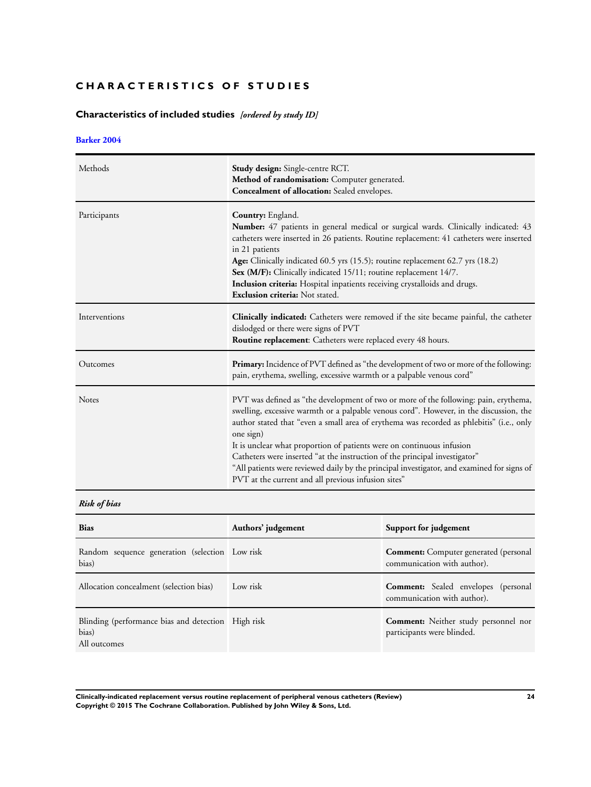# <span id="page-25-0"></span>**CHARACTERISTICS OF STUDIES**

# **Characteristics of included studies** *[ordered by study ID]*

# **[Barker 2004](#page-22-0)**

| Methods       | Study design: Single-centre RCT.<br>Method of randomisation: Computer generated.<br>Concealment of allocation: Sealed envelopes.                                                                                                                                                                                                                                                                                                                                                                                                                                                                    |
|---------------|-----------------------------------------------------------------------------------------------------------------------------------------------------------------------------------------------------------------------------------------------------------------------------------------------------------------------------------------------------------------------------------------------------------------------------------------------------------------------------------------------------------------------------------------------------------------------------------------------------|
| Participants  | Country: England.<br><b>Number:</b> 47 patients in general medical or surgical wards. Clinically indicated: 43<br>catheters were inserted in 26 patients. Routine replacement: 41 catheters were inserted<br>in 21 patients<br>Age: Clinically indicated 60.5 yrs (15.5); routine replacement 62.7 yrs (18.2)<br>Sex (M/F): Clinically indicated 15/11; routine replacement 14/7.<br>Inclusion criteria: Hospital inpatients receiving crystalloids and drugs.<br>Exclusion criteria: Not stated.                                                                                                   |
| Interventions | <b>Clinically indicated:</b> Catheters were removed if the site became painful, the catheter<br>dislodged or there were signs of PVT<br>Routine replacement: Catheters were replaced every 48 hours.                                                                                                                                                                                                                                                                                                                                                                                                |
| Outcomes      | <b>Primary:</b> Incidence of PVT defined as "the development of two or more of the following:<br>pain, erythema, swelling, excessive warmth or a palpable venous cord"                                                                                                                                                                                                                                                                                                                                                                                                                              |
| Notes         | PVT was defined as "the development of two or more of the following: pain, erythema,<br>swelling, excessive warmth or a palpable venous cord". However, in the discussion, the<br>author stated that "even a small area of erythema was recorded as phlebitis" (i.e., only<br>one sign)<br>It is unclear what proportion of patients were on continuous infusion<br>Catheters were inserted "at the instruction of the principal investigator"<br>"All patients were reviewed daily by the principal investigator, and examined for signs of<br>PVT at the current and all previous infusion sites" |

# *Risk of bias*

| <b>Bias</b>                                                                 | Authors' judgement | Support for judgement                                                       |
|-----------------------------------------------------------------------------|--------------------|-----------------------------------------------------------------------------|
| Random sequence generation (selection Low risk<br>bias)                     |                    | <b>Comment:</b> Computer generated (personal<br>communication with author). |
| Allocation concealment (selection bias)                                     | Low risk           | <b>Comment:</b> Sealed envelopes (personal<br>communication with author).   |
| Blinding (performance bias and detection High risk<br>bias)<br>All outcomes |                    | <b>Comment:</b> Neither study personnel nor<br>participants were blinded.   |

**Clinically-indicated replacement versus routine replacement of peripheral venous catheters (Review) 24 Copyright © 2015 The Cochrane Collaboration. Published by John Wiley & Sons, Ltd.**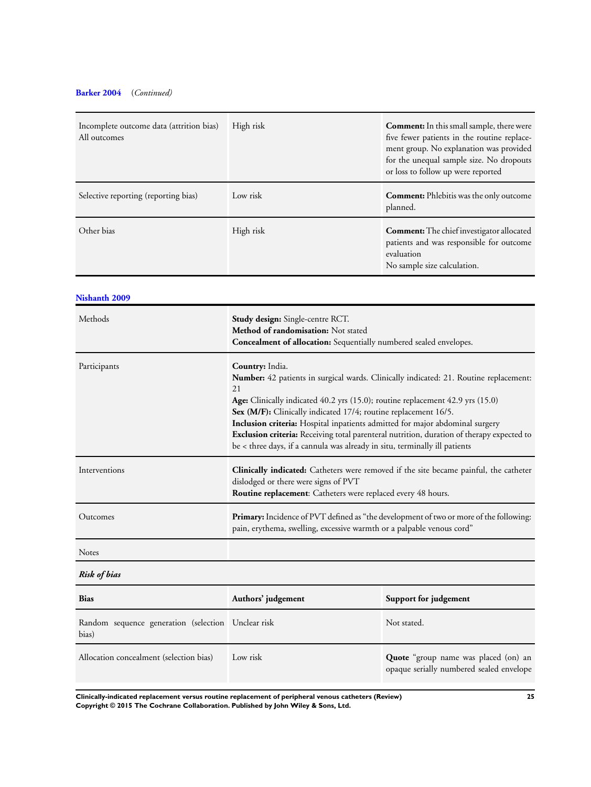# **[Barker 2004](#page-22-0)** (*Continued)*

| Incomplete outcome data (attrition bias)<br>All outcomes | High risk | <b>Comment:</b> In this small sample, there were<br>five fewer patients in the routine replace-<br>ment group. No explanation was provided<br>for the unequal sample size. No dropouts<br>or loss to follow up were reported |
|----------------------------------------------------------|-----------|------------------------------------------------------------------------------------------------------------------------------------------------------------------------------------------------------------------------------|
| Selective reporting (reporting bias)                     | Low risk  | <b>Comment:</b> Phlebitis was the only outcome<br>planned.                                                                                                                                                                   |
| Other bias                                               | High risk | <b>Comment:</b> The chief investigator allocated<br>patients and was responsible for outcome<br>evaluation<br>No sample size calculation.                                                                                    |

# **[Nishanth 2009](#page-22-0)**

| Methods                                                     | Study design: Single-centre RCT.<br>Method of randomisation: Not stated<br>Concealment of allocation: Sequentially numbered sealed envelopes.                                                                                                                                                                                                                                                                                                                                                                                         |                                                                                  |
|-------------------------------------------------------------|---------------------------------------------------------------------------------------------------------------------------------------------------------------------------------------------------------------------------------------------------------------------------------------------------------------------------------------------------------------------------------------------------------------------------------------------------------------------------------------------------------------------------------------|----------------------------------------------------------------------------------|
| Participants                                                | Country: India.<br><b>Number:</b> 42 patients in surgical wards. Clinically indicated: 21. Routine replacement:<br>21<br>Age: Clinically indicated 40.2 yrs (15.0); routine replacement 42.9 yrs (15.0)<br>Sex (M/F): Clinically indicated 17/4; routine replacement 16/5.<br>Inclusion criteria: Hospital inpatients admitted for major abdominal surgery<br>Exclusion criteria: Receiving total parenteral nutrition, duration of therapy expected to<br>be < three days, if a cannula was already in situ, terminally ill patients |                                                                                  |
| Interventions                                               | Clinically indicated: Catheters were removed if the site became painful, the catheter<br>dislodged or there were signs of PVT<br>Routine replacement: Catheters were replaced every 48 hours.                                                                                                                                                                                                                                                                                                                                         |                                                                                  |
| Outcomes                                                    | Primary: Incidence of PVT defined as "the development of two or more of the following:<br>pain, erythema, swelling, excessive warmth or a palpable venous cord"                                                                                                                                                                                                                                                                                                                                                                       |                                                                                  |
| <b>Notes</b>                                                |                                                                                                                                                                                                                                                                                                                                                                                                                                                                                                                                       |                                                                                  |
| Risk of bias                                                |                                                                                                                                                                                                                                                                                                                                                                                                                                                                                                                                       |                                                                                  |
| <b>Bias</b>                                                 | Authors' judgement                                                                                                                                                                                                                                                                                                                                                                                                                                                                                                                    | Support for judgement                                                            |
| Random sequence generation (selection Unclear risk<br>bias) |                                                                                                                                                                                                                                                                                                                                                                                                                                                                                                                                       | Not stated.                                                                      |
| Allocation concealment (selection bias)                     | Low risk                                                                                                                                                                                                                                                                                                                                                                                                                                                                                                                              | Quote "group name was placed (on) an<br>opaque serially numbered sealed envelope |

**Clinically-indicated replacement versus routine replacement of peripheral venous catheters (Review) 25 Copyright © 2015 The Cochrane Collaboration. Published by John Wiley & Sons, Ltd.**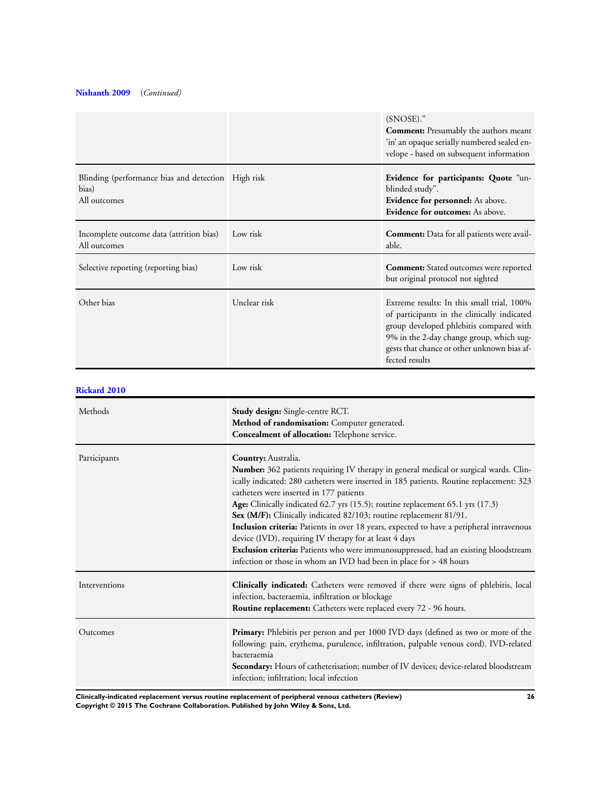# **[Nishanth 2009](#page-22-0)** (*Continued)*

|                                                                             |              | $(SNOSE).$ "<br><b>Comment:</b> Presumably the authors meant<br>'in' an opaque serially numbered sealed en-<br>velope - based on subsequent information                                                                                           |
|-----------------------------------------------------------------------------|--------------|---------------------------------------------------------------------------------------------------------------------------------------------------------------------------------------------------------------------------------------------------|
| Blinding (performance bias and detection High risk<br>bias)<br>All outcomes |              | Evidence for participants: Quote "un-<br>blinded study".<br>Evidence for personnel: As above.<br><b>Evidence for outcomes:</b> As above.                                                                                                          |
| Incomplete outcome data (attrition bias)<br>All outcomes                    | Low risk     | <b>Comment:</b> Data for all patients were avail-<br>able.                                                                                                                                                                                        |
| Selective reporting (reporting bias)                                        | Low risk     | <b>Comment:</b> Stated outcomes were reported<br>but original protocol not sighted                                                                                                                                                                |
| Other bias                                                                  | Unclear risk | Extreme results: In this small trial, 100%<br>of participants in the clinically indicated<br>group developed phlebitis compared with<br>9% in the 2-day change group, which sug-<br>gests that chance or other unknown bias af-<br>fected results |

# **[Rickard 2010](#page-22-0)**

| Methods       | <b>Study design:</b> Single-centre RCT.<br>Method of randomisation: Computer generated.<br>Concealment of allocation: Telephone service.                                                                                                                                                                                                                                                                                                                                                                                                                                                                                                                                                                                      |
|---------------|-------------------------------------------------------------------------------------------------------------------------------------------------------------------------------------------------------------------------------------------------------------------------------------------------------------------------------------------------------------------------------------------------------------------------------------------------------------------------------------------------------------------------------------------------------------------------------------------------------------------------------------------------------------------------------------------------------------------------------|
| Participants  | Country: Australia.<br>Number: 362 patients requiring IV therapy in general medical or surgical wards. Clin-<br>ically indicated: 280 catheters were inserted in 185 patients. Routine replacement: 323<br>catheters were inserted in 177 patients<br>Age: Clinically indicated 62.7 yrs (15.5); routine replacement 65.1 yrs (17.3)<br>Sex (M/F): Clinically indicated 82/103; routine replacement 81/91.<br>Inclusion criteria: Patients in over 18 years, expected to have a peripheral intravenous<br>device (IVD), requiring IV therapy for at least 4 days<br>Exclusion criteria: Patients who were immunosuppressed, had an existing bloodstream<br>infection or those in whom an IVD had been in place for > 48 hours |
| Interventions | Clinically indicated: Catheters were removed if there were signs of phlebitis, local<br>infection, bacteraemia, infiltration or blockage<br><b>Routine replacement:</b> Catheters were replaced every 72 - 96 hours.                                                                                                                                                                                                                                                                                                                                                                                                                                                                                                          |
| Outcomes      | <b>Primary:</b> Phlebitis per person and per 1000 IVD days (defined as two or more of the<br>following: pain, erythema, purulence, infiltration, palpable venous cord). IVD-related<br>bacteraemia<br><b>Secondary:</b> Hours of catheterisation; number of IV devices; device-related bloodstream<br>infection; infiltration; local infection                                                                                                                                                                                                                                                                                                                                                                                |

**Clinically-indicated replacement versus routine replacement of peripheral venous catheters (Review) 26 Copyright © 2015 The Cochrane Collaboration. Published by John Wiley & Sons, Ltd.**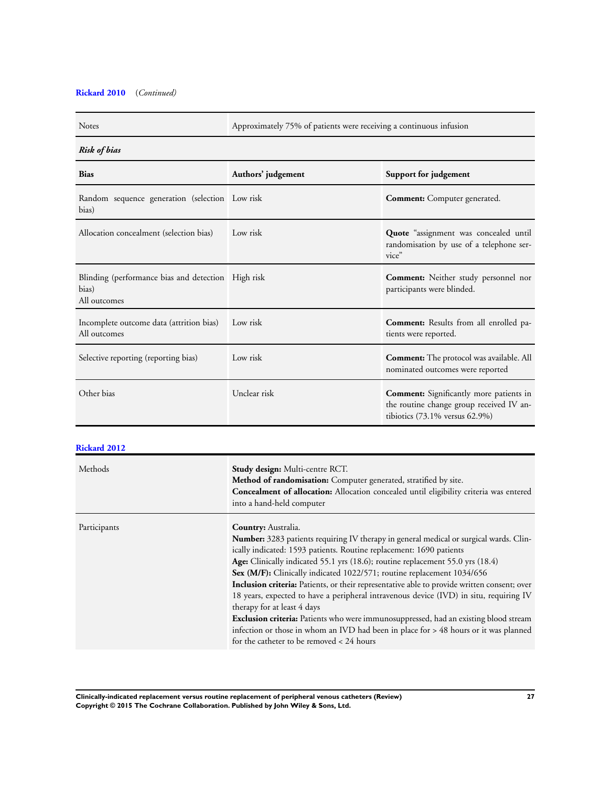# **[Rickard 2010](#page-22-0)** (*Continued)*

| <b>Notes</b>                                                                | Approximately 75% of patients were receiving a continuous infusion |                                                                                                                                    |
|-----------------------------------------------------------------------------|--------------------------------------------------------------------|------------------------------------------------------------------------------------------------------------------------------------|
| <b>Risk of bias</b>                                                         |                                                                    |                                                                                                                                    |
| <b>Bias</b>                                                                 | Authors' judgement                                                 | Support for judgement                                                                                                              |
| Random sequence generation (selection Low risk<br>bias)                     |                                                                    | <b>Comment:</b> Computer generated.                                                                                                |
| Allocation concealment (selection bias)                                     | Low risk                                                           | Quote "assignment was concealed until<br>randomisation by use of a telephone ser-<br>vice"                                         |
| Blinding (performance bias and detection High risk<br>bias)<br>All outcomes |                                                                    | <b>Comment:</b> Neither study personnel nor<br>participants were blinded.                                                          |
| Incomplete outcome data (attrition bias)<br>All outcomes                    | Low risk                                                           | <b>Comment:</b> Results from all enrolled pa-<br>tients were reported.                                                             |
| Selective reporting (reporting bias)                                        | Low risk                                                           | Comment: The protocol was available. All<br>nominated outcomes were reported                                                       |
| Other bias                                                                  | Unclear risk                                                       | <b>Comment:</b> Significantly more patients in<br>the routine change group received IV an-<br>tibiotics $(73.1\%$ versus $62.9\%)$ |

# **[Rickard 2012](#page-22-0)**

| Methods      | Study design: Multi-centre RCT.<br>Method of randomisation: Computer generated, stratified by site.<br>Concealment of allocation: Allocation concealed until eligibility criteria was entered<br>into a hand-held computer                                                                                                                                                                                                                                                                                                                                                                                                                                                                                                                                                                                     |
|--------------|----------------------------------------------------------------------------------------------------------------------------------------------------------------------------------------------------------------------------------------------------------------------------------------------------------------------------------------------------------------------------------------------------------------------------------------------------------------------------------------------------------------------------------------------------------------------------------------------------------------------------------------------------------------------------------------------------------------------------------------------------------------------------------------------------------------|
| Participants | Country: Australia.<br>Number: 3283 patients requiring IV therapy in general medical or surgical wards. Clin-<br>ically indicated: 1593 patients. Routine replacement: 1690 patients<br>Age: Clinically indicated 55.1 yrs (18.6); routine replacement 55.0 yrs (18.4)<br>Sex (M/F): Clinically indicated 1022/571; routine replacement 1034/656<br>Inclusion criteria: Patients, or their representative able to provide written consent; over<br>18 years, expected to have a peripheral intravenous device (IVD) in situ, requiring IV<br>therapy for at least 4 days<br><b>Exclusion criteria:</b> Patients who were immunosuppressed, had an existing blood stream<br>infection or those in whom an IVD had been in place for > 48 hours or it was planned<br>for the catheter to be removed $< 24$ hours |

**Clinically-indicated replacement versus routine replacement of peripheral venous catheters (Review) 27 Copyright © 2015 The Cochrane Collaboration. Published by John Wiley & Sons, Ltd.**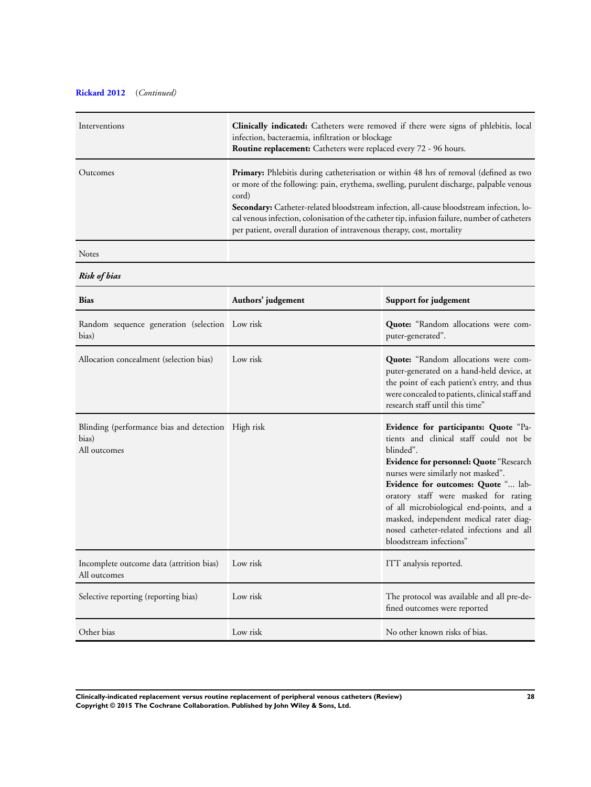# **[Rickard 2012](#page-22-0)** (*Continued)*

| Interventions | <b>Clinically indicated:</b> Catheters were removed if there were signs of phlebitis, local<br>infection, bacteraemia, infiltration or blockage<br>Routine replacement: Catheters were replaced every 72 - 96 hours.                                                                                                                                                                                                                                                         |
|---------------|------------------------------------------------------------------------------------------------------------------------------------------------------------------------------------------------------------------------------------------------------------------------------------------------------------------------------------------------------------------------------------------------------------------------------------------------------------------------------|
| Outcomes      | <b>Primary:</b> Phlebitis during catheterisation or within 48 hrs of removal (defined as two<br>or more of the following: pain, erythema, swelling, purulent discharge, palpable venous<br>cord)<br><b>Secondary:</b> Catheter-related bloodstream infection, all-cause bloodstream infection, lo-<br>cal venous infection, colonisation of the catheter tip, infusion failure, number of catheters<br>per patient, overall duration of intravenous therapy, cost, mortality |
|               |                                                                                                                                                                                                                                                                                                                                                                                                                                                                              |

Notes

# *Risk of bias*

| <b>Bias</b>                                                                 | Authors' judgement | Support for judgement                                                                                                                                                                                                                                                                                                                                                                                                               |
|-----------------------------------------------------------------------------|--------------------|-------------------------------------------------------------------------------------------------------------------------------------------------------------------------------------------------------------------------------------------------------------------------------------------------------------------------------------------------------------------------------------------------------------------------------------|
| Random sequence generation (selection Low risk<br>bias)                     |                    | Quote: "Random allocations were com-<br>puter-generated".                                                                                                                                                                                                                                                                                                                                                                           |
| Allocation concealment (selection bias)                                     | Low risk           | Quote: "Random allocations were com-<br>puter-generated on a hand-held device, at<br>the point of each patient's entry, and thus<br>were concealed to patients, clinical staff and<br>research staff until this time"                                                                                                                                                                                                               |
| Blinding (performance bias and detection High risk<br>bias)<br>All outcomes |                    | Evidence for participants: Quote "Pa-<br>tients and clinical staff could not be<br>blinded".<br><b>Evidence for personnel: Quote</b> "Research"<br>nurses were similarly not masked".<br>Evidence for outcomes: Quote " lab-<br>oratory staff were masked for rating<br>of all microbiological end-points, and a<br>masked, independent medical rater diag-<br>nosed catheter-related infections and all<br>bloodstream infections" |
| Incomplete outcome data (attrition bias)<br>All outcomes                    | Low risk           | ITT analysis reported.                                                                                                                                                                                                                                                                                                                                                                                                              |
| Selective reporting (reporting bias)                                        | Low risk           | The protocol was available and all pre-de-<br>fined outcomes were reported                                                                                                                                                                                                                                                                                                                                                          |
| Other bias                                                                  | Low risk           | No other known risks of bias.                                                                                                                                                                                                                                                                                                                                                                                                       |

**Clinically-indicated replacement versus routine replacement of peripheral venous catheters (Review) 28 Copyright © 2015 The Cochrane Collaboration. Published by John Wiley & Sons, Ltd.**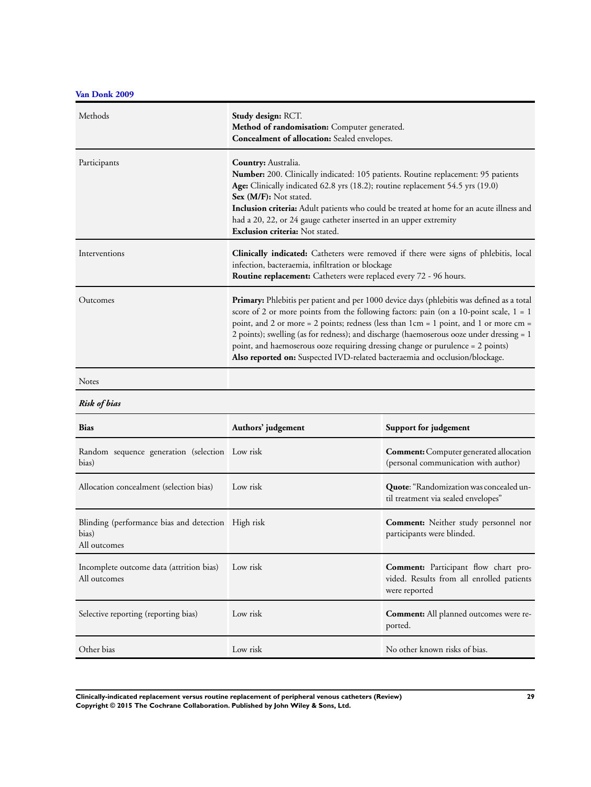**[Van Donk 2009](#page-22-0)**

| Methods       | Study design: RCT.<br>Method of randomisation: Computer generated.<br>Concealment of allocation: Sealed envelopes.                                                                                                                                                                                                                                                                                                                                                                                                                            |
|---------------|-----------------------------------------------------------------------------------------------------------------------------------------------------------------------------------------------------------------------------------------------------------------------------------------------------------------------------------------------------------------------------------------------------------------------------------------------------------------------------------------------------------------------------------------------|
| Participants  | Country: Australia.<br>Number: 200. Clinically indicated: 105 patients. Routine replacement: 95 patients<br>Age: Clinically indicated 62.8 yrs (18.2); routine replacement 54.5 yrs (19.0)<br>Sex (M/F): Not stated.<br><b>Inclusion criteria:</b> Adult patients who could be treated at home for an acute illness and<br>had a 20, 22, or 24 gauge catheter inserted in an upper extremity<br>Exclusion criteria: Not stated.                                                                                                               |
| Interventions | <b>Clinically indicated:</b> Catheters were removed if there were signs of phlebitis, local<br>infection, bacteraemia, infiltration or blockage<br><b>Routine replacement:</b> Catheters were replaced every 72 - 96 hours.                                                                                                                                                                                                                                                                                                                   |
| Outcomes      | Primary: Phlebitis per patient and per 1000 device days (phlebitis was defined as a total<br>score of 2 or more points from the following factors: pain (on a 10-point scale, $1 = 1$ )<br>point, and 2 or more = 2 points; redness (less than 1cm = 1 point, and 1 or more cm =<br>2 points); swelling (as for redness); and discharge (haemoserous ooze under dressing = 1<br>point, and haemoserous ooze requiring dressing change or purulence = 2 points)<br>Also reported on: Suspected IVD-related bacteraemia and occlusion/blockage. |
| <b>Notes</b>  |                                                                                                                                                                                                                                                                                                                                                                                                                                                                                                                                               |

*Risk of bias*

| <b>Bias</b>                                                                 | Authors' judgement | Support for judgement                                                                                     |
|-----------------------------------------------------------------------------|--------------------|-----------------------------------------------------------------------------------------------------------|
| Random sequence generation (selection Low risk<br>bias)                     |                    | <b>Comment:</b> Computer generated allocation<br>(personal communication with author)                     |
| Allocation concealment (selection bias)                                     | Low risk           | <b>Quote:</b> "Randomization was concealed un-<br>til treatment via sealed envelopes"                     |
| Blinding (performance bias and detection High risk<br>bias)<br>All outcomes |                    | <b>Comment:</b> Neither study personnel nor<br>participants were blinded.                                 |
| Incomplete outcome data (attrition bias)<br>All outcomes                    | Low risk           | <b>Comment:</b> Participant flow chart pro-<br>vided. Results from all enrolled patients<br>were reported |
| Selective reporting (reporting bias)                                        | Low risk           | <b>Comment:</b> All planned outcomes were re-<br>ported.                                                  |
| Other bias                                                                  | Low risk           | No other known risks of bias.                                                                             |

**Clinically-indicated replacement versus routine replacement of peripheral venous catheters (Review) 29 Copyright © 2015 The Cochrane Collaboration. Published by John Wiley & Sons, Ltd.**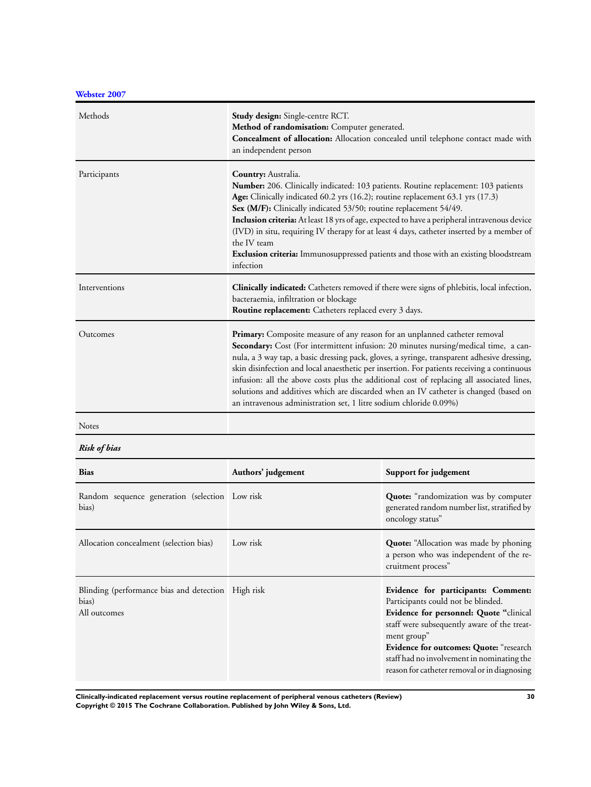**[Webster 2007](#page-22-0)**

| Methods       | Study design: Single-centre RCT.<br>Method of randomisation: Computer generated.<br>Concealment of allocation: Allocation concealed until telephone contact made with<br>an independent person                                                                                                                                                                                                                                                                                                                                                                                                                           |
|---------------|--------------------------------------------------------------------------------------------------------------------------------------------------------------------------------------------------------------------------------------------------------------------------------------------------------------------------------------------------------------------------------------------------------------------------------------------------------------------------------------------------------------------------------------------------------------------------------------------------------------------------|
| Participants  | Country: Australia.<br><b>Number:</b> 206. Clinically indicated: 103 patients. Routine replacement: 103 patients<br>Age: Clinically indicated 60.2 yrs (16.2); routine replacement 63.1 yrs (17.3)<br>Sex (M/F): Clinically indicated 53/50; routine replacement 54/49.<br>Inclusion criteria: At least 18 yrs of age, expected to have a peripheral intravenous device<br>(IVD) in situ, requiring IV therapy for at least 4 days, catheter inserted by a member of<br>the IV team<br>Exclusion criteria: Immunosuppressed patients and those with an existing bloodstream<br>infection                                 |
| Interventions | Clinically indicated: Catheters removed if there were signs of phlebitis, local infection,<br>bacteraemia, infiltration or blockage<br>Routine replacement: Catheters replaced every 3 days.                                                                                                                                                                                                                                                                                                                                                                                                                             |
| Outcomes      | Primary: Composite measure of any reason for an unplanned catheter removal<br>Secondary: Cost (For intermittent infusion: 20 minutes nursing/medical time, a can-<br>nula, a 3 way tap, a basic dressing pack, gloves, a syringe, transparent adhesive dressing,<br>skin disinfection and local anaesthetic per insertion. For patients receiving a continuous<br>infusion: all the above costs plus the additional cost of replacing all associated lines,<br>solutions and additives which are discarded when an IV catheter is changed (based on<br>an intravenous administration set, 1 litre sodium chloride 0.09%) |
|               |                                                                                                                                                                                                                                                                                                                                                                                                                                                                                                                                                                                                                          |

Notes

*Risk of bias*

| <b>Bias</b>                                                                 | Authors' judgement | Support for judgement                                                                                                                                                                                                                                                                                                       |
|-----------------------------------------------------------------------------|--------------------|-----------------------------------------------------------------------------------------------------------------------------------------------------------------------------------------------------------------------------------------------------------------------------------------------------------------------------|
| Random sequence generation (selection Low risk<br>bias)                     |                    | <b>Quote:</b> "randomization was by computer<br>generated random number list, stratified by<br>oncology status"                                                                                                                                                                                                             |
| Allocation concealment (selection bias)                                     | Low risk           | <b>Quote:</b> "Allocation was made by phoning"<br>a person who was independent of the re-<br>cruitment process"                                                                                                                                                                                                             |
| Blinding (performance bias and detection High risk<br>bias)<br>All outcomes |                    | Evidence for participants: Comment:<br>Participants could not be blinded.<br>Evidence for personnel: Quote "clinical<br>staff were subsequently aware of the treat-<br>ment group"<br>Evidence for outcomes: Quote: "research<br>staff had no involvement in nominating the<br>reason for catheter removal or in diagnosing |

**Clinically-indicated replacement versus routine replacement of peripheral venous catheters (Review) 30 Copyright © 2015 The Cochrane Collaboration. Published by John Wiley & Sons, Ltd.**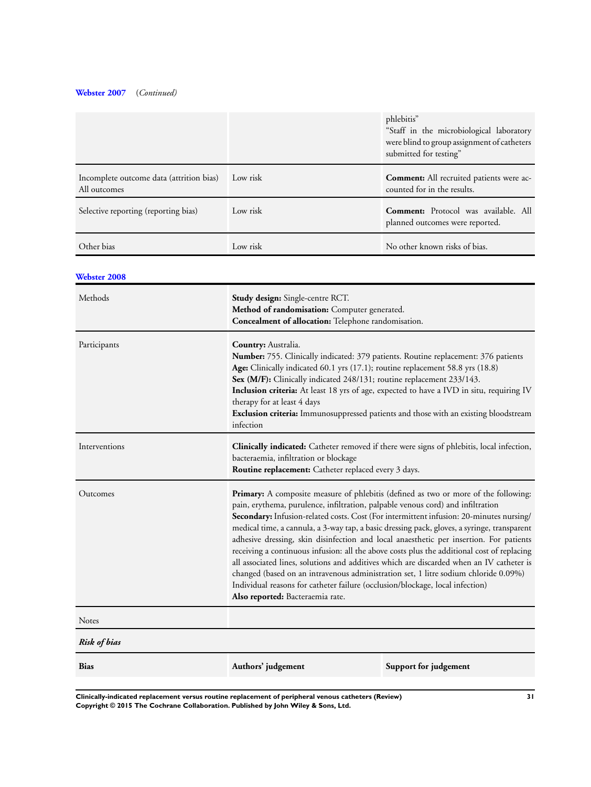# **[Webster 2007](#page-22-0)** (*Continued)*

|                                                                   |          | phlebitis"<br>"Staff in the microbiological laboratory<br>were blind to group assignment of catheters<br>submitted for testing" |
|-------------------------------------------------------------------|----------|---------------------------------------------------------------------------------------------------------------------------------|
| Incomplete outcome data (attrition bias) Low risk<br>All outcomes |          | <b>Comment:</b> All recruited patients were ac-<br>counted for in the results.                                                  |
| Selective reporting (reporting bias)                              | Low risk | <b>Comment:</b> Protocol was available. All<br>planned outcomes were reported.                                                  |
| Other bias                                                        | Low risk | No other known risks of bias.                                                                                                   |

**[Webster 2008](#page-22-0)**

| Methods             | Study design: Single-centre RCT.<br>Method of randomisation: Computer generated.<br>Concealment of allocation: Telephone randomisation.                                                                                                                                                                                                                                                                                                                                                                                                                                                                                                                                                                                                                                                                                                                          |                       |  |  |  |
|---------------------|------------------------------------------------------------------------------------------------------------------------------------------------------------------------------------------------------------------------------------------------------------------------------------------------------------------------------------------------------------------------------------------------------------------------------------------------------------------------------------------------------------------------------------------------------------------------------------------------------------------------------------------------------------------------------------------------------------------------------------------------------------------------------------------------------------------------------------------------------------------|-----------------------|--|--|--|
| Participants        | Country: Australia.<br><b>Number:</b> 755. Clinically indicated: 379 patients. Routine replacement: 376 patients<br>Age: Clinically indicated 60.1 yrs (17.1); routine replacement 58.8 yrs (18.8)<br>Sex (M/F): Clinically indicated 248/131; routine replacement 233/143.<br>Inclusion criteria: At least 18 yrs of age, expected to have a IVD in situ, requiring IV<br>therapy for at least 4 days<br>Exclusion criteria: Immunosuppressed patients and those with an existing bloodstream<br>infection                                                                                                                                                                                                                                                                                                                                                      |                       |  |  |  |
| Interventions       | <b>Clinically indicated:</b> Catheter removed if there were signs of phlebitis, local infection,<br>bacteraemia, infiltration or blockage<br>Routine replacement: Catheter replaced every 3 days.                                                                                                                                                                                                                                                                                                                                                                                                                                                                                                                                                                                                                                                                |                       |  |  |  |
| Outcomes            | Primary: A composite measure of phlebitis (defined as two or more of the following:<br>pain, erythema, purulence, infiltration, palpable venous cord) and infiltration<br>Secondary: Infusion-related costs. Cost (For intermittent infusion: 20-minutes nursing/<br>medical time, a cannula, a 3-way tap, a basic dressing pack, gloves, a syringe, transparent<br>adhesive dressing, skin disinfection and local anaesthetic per insertion. For patients<br>receiving a continuous infusion: all the above costs plus the additional cost of replacing<br>all associated lines, solutions and additives which are discarded when an IV catheter is<br>changed (based on an intravenous administration set, 1 litre sodium chloride 0.09%)<br>Individual reasons for catheter failure (occlusion/blockage, local infection)<br>Also reported: Bacteraemia rate. |                       |  |  |  |
| Notes               |                                                                                                                                                                                                                                                                                                                                                                                                                                                                                                                                                                                                                                                                                                                                                                                                                                                                  |                       |  |  |  |
| <b>Risk of bias</b> |                                                                                                                                                                                                                                                                                                                                                                                                                                                                                                                                                                                                                                                                                                                                                                                                                                                                  |                       |  |  |  |
| <b>Bias</b>         | Authors' judgement                                                                                                                                                                                                                                                                                                                                                                                                                                                                                                                                                                                                                                                                                                                                                                                                                                               | Support for judgement |  |  |  |

**Clinically-indicated replacement versus routine replacement of peripheral venous catheters (Review) 31 Copyright © 2015 The Cochrane Collaboration. Published by John Wiley & Sons, Ltd.**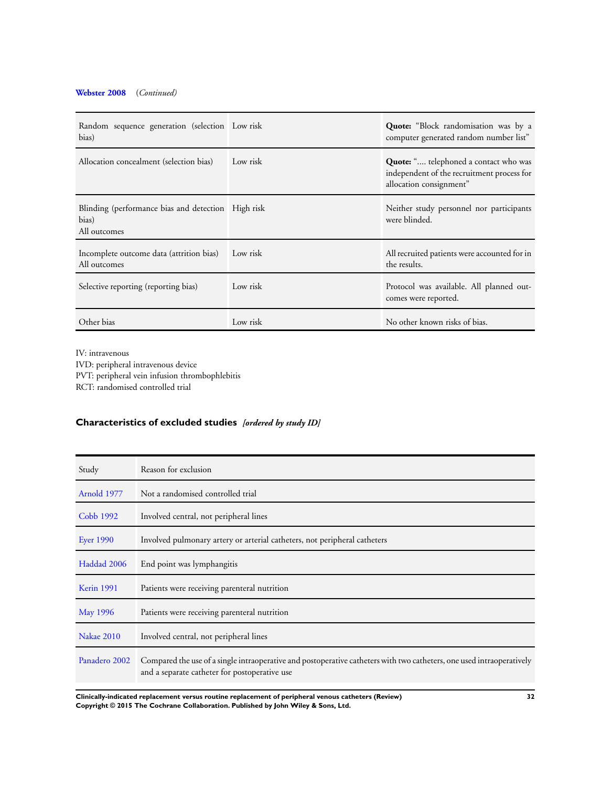# <span id="page-33-0"></span>**[Webster 2008](#page-22-0)** (*Continued)*

| Random sequence generation (selection Low risk<br>bias)                     |          | <b>Quote:</b> "Block randomisation was by a<br>computer generated random number list"                          |
|-----------------------------------------------------------------------------|----------|----------------------------------------------------------------------------------------------------------------|
| Allocation concealment (selection bias)                                     | Low risk | Quote: " telephoned a contact who was<br>independent of the recruitment process for<br>allocation consignment" |
| Blinding (performance bias and detection High risk<br>bias)<br>All outcomes |          | Neither study personnel nor participants<br>were blinded.                                                      |
| Incomplete outcome data (attrition bias)<br>All outcomes                    | Low risk | All recruited patients were accounted for in<br>the results.                                                   |
| Selective reporting (reporting bias)                                        | Low risk | Protocol was available. All planned out-<br>comes were reported.                                               |
| Other bias                                                                  | Low risk | No other known risks of bias.                                                                                  |

IV: intravenous

IVD: peripheral intravenous device

PVT: peripheral vein infusion thrombophlebitis

RCT: randomised controlled trial

# **Characteristics of excluded studies** *[ordered by study ID]*

| Study             | Reason for exclusion                                                                                                                                                   |
|-------------------|------------------------------------------------------------------------------------------------------------------------------------------------------------------------|
| Arnold 1977       | Not a randomised controlled trial                                                                                                                                      |
| Cobb 1992         | Involved central, not peripheral lines                                                                                                                                 |
| <b>Eyer 1990</b>  | Involved pulmonary artery or arterial catheters, not peripheral catheters                                                                                              |
| Haddad 2006       | End point was lymphangitis                                                                                                                                             |
| <b>Kerin 1991</b> | Patients were receiving parenteral nutrition                                                                                                                           |
| <b>May 1996</b>   | Patients were receiving parenteral nutrition                                                                                                                           |
| <b>Nakae 2010</b> | Involved central, not peripheral lines                                                                                                                                 |
| Panadero 2002     | Compared the use of a single intraoperative and postoperative catheters with two catheters, one used intraoperatively<br>and a separate catheter for postoperative use |

**Clinically-indicated replacement versus routine replacement of peripheral venous catheters (Review) 32 Copyright © 2015 The Cochrane Collaboration. Published by John Wiley & Sons, Ltd.**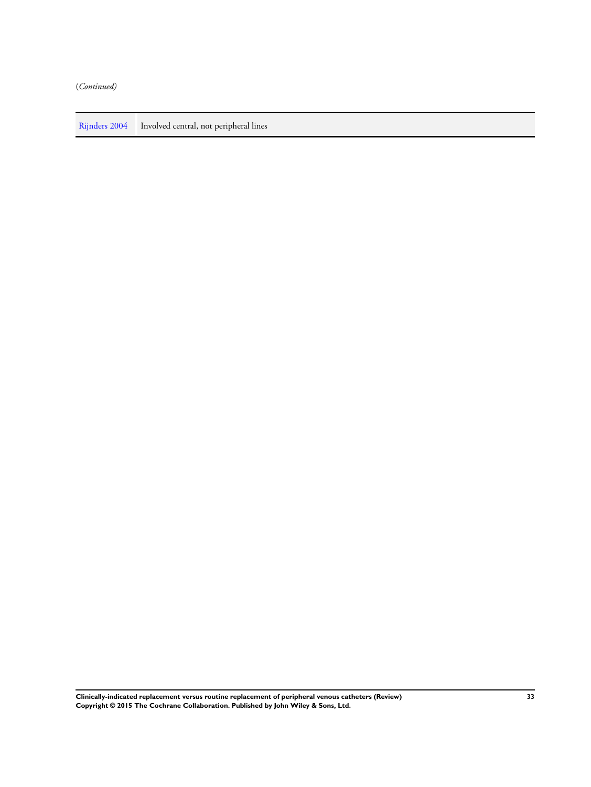(*Continued)*

[Rijnders 2004](#page-22-0) Involved central, not peripheral lines

**Clinically-indicated replacement versus routine replacement of peripheral venous catheters (Review) 33 Copyright © 2015 The Cochrane Collaboration. Published by John Wiley & Sons, Ltd.**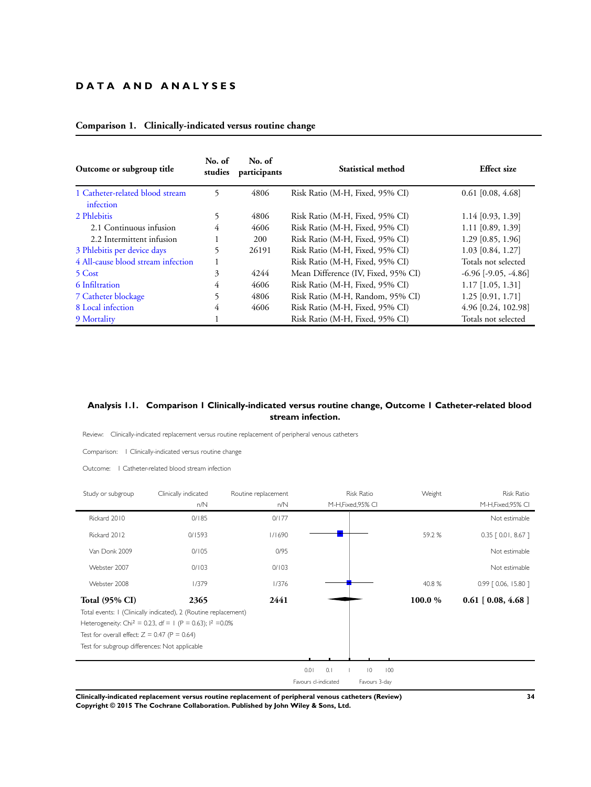# **D A T A A N D A N A L Y S E S**

| Outcome or subgroup title                    | No. of<br>studies | No. of<br>participants | Statistical method                  | <b>Effect</b> size       |
|----------------------------------------------|-------------------|------------------------|-------------------------------------|--------------------------|
| 1 Catheter-related blood stream<br>infection | 5                 | 4806                   | Risk Ratio (M-H, Fixed, 95% CI)     | $0.61$ [0.08, 4.68]      |
| 2 Phlebitis                                  |                   | 4806                   | Risk Ratio (M-H, Fixed, 95% CI)     | 1.14 [0.93, 1.39]        |
| 2.1 Continuous infusion                      | 4                 | 4606                   | Risk Ratio (M-H, Fixed, 95% CI)     | $1.11$ [0.89, 1.39]      |
| 2.2 Intermittent infusion                    |                   | 200                    | Risk Ratio (M-H, Fixed, 95% CI)     | $1.29$ [0.85, 1.96]      |
| 3 Phlebitis per device days                  | 5                 | 26191                  | Risk Ratio (M-H, Fixed, 95% CI)     | 1.03 [0.84, 1.27]        |
| 4 All-cause blood stream infection           |                   |                        | Risk Ratio (M-H, Fixed, 95% CI)     | Totals not selected      |
| 5 Cost                                       | 3                 | 4244                   | Mean Difference (IV, Fixed, 95% CI) | $-6.96$ $[-9.05, -4.86]$ |
| 6 Infiltration                               | 4                 | 4606                   | Risk Ratio (M-H, Fixed, 95% CI)     | $1.17$ [1.05, 1.31]      |
| 7 Catheter blockage                          |                   | 4806                   | Risk Ratio (M-H, Random, 95% CI)    | $1.25$ [0.91, 1.71]      |
| 8 Local infection                            | 4                 | 4606                   | Risk Ratio (M-H, Fixed, 95% CI)     | 4.96 [0.24, 102.98]      |
| 9 Mortality                                  |                   |                        | Risk Ratio (M-H, Fixed, 95% CI)     | Totals not selected      |

# **Comparison 1. Clinically-indicated versus routine change**

# **Analysis 1.1. Comparison 1 Clinically-indicated versus routine change, Outcome 1 Catheter-related blood stream infection.**

Review: Clinically-indicated replacement versus routine replacement of peripheral venous catheters

Comparison: 1 Clinically-indicated versus routine change

Outcome: 1 Catheter-related blood stream infection

| Study or subgroup                              | Clinically indicated                                                   | Routine replacement | <b>Risk Ratio</b>                     | Weight | <b>Risk Ratio</b>      |
|------------------------------------------------|------------------------------------------------------------------------|---------------------|---------------------------------------|--------|------------------------|
|                                                | n/N                                                                    | n/N                 | M-H, Fixed, 95% CI                    |        | M-H, Fixed, 95% CI     |
| Rickard 2010                                   | 0/185                                                                  | 0/177               |                                       |        | Not estimable          |
| Rickard 2012                                   | 0/1593                                                                 | 1/1690              |                                       | 59.2 % | $0.35$ [ 0.01, 8.67 ]  |
| Van Donk 2009                                  | 0/105                                                                  | 0/95                |                                       |        | Not estimable          |
| Webster 2007                                   | 0/103                                                                  | 0/103               |                                       |        | Not estimable          |
| Webster 2008                                   | 1/379                                                                  | 1/376               |                                       | 40.8 % | $0.99$ $[0.06, 15.80]$ |
| <b>Total (95% CI)</b>                          | 2365                                                                   | 2441                |                                       | 100.0% | $0.61$ [ 0.08, 4.68 ]  |
|                                                | Total events: I (Clinically indicated), 2 (Routine replacement)        |                     |                                       |        |                        |
|                                                | Heterogeneity: Chi <sup>2</sup> = 0.23, df = 1 (P = 0.63); $1^2$ =0.0% |                     |                                       |        |                        |
| Test for overall effect: $Z = 0.47$ (P = 0.64) |                                                                        |                     |                                       |        |                        |
| Test for subgroup differences: Not applicable  |                                                                        |                     |                                       |        |                        |
|                                                |                                                                        |                     |                                       |        |                        |
|                                                |                                                                        |                     | 0.1<br>0.01<br>$ 0\rangle$<br>100     |        |                        |
|                                                |                                                                        |                     | Favours cl-indicated<br>Favours 3-day |        |                        |

**Clinically-indicated replacement versus routine replacement of peripheral venous catheters (Review) 34 Copyright © 2015 The Cochrane Collaboration. Published by John Wiley & Sons, Ltd.**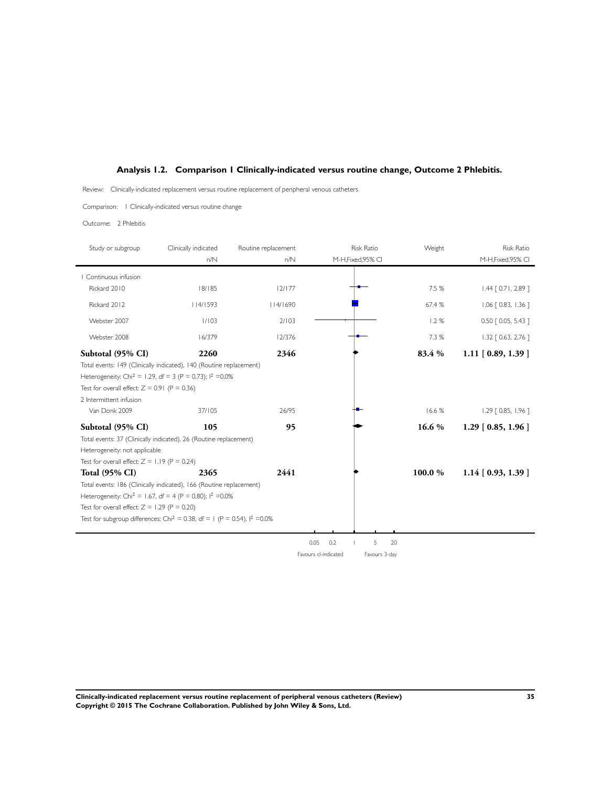# <span id="page-36-0"></span>**Analysis 1.2. Comparison 1 Clinically-indicated versus routine change, Outcome 2 Phlebitis.**

Review: Clinically-indicated replacement versus routine replacement of peripheral venous catheters

Comparison: 1 Clinically-indicated versus routine change

Outcome: 2 Phlebitis

| Study or subgroup                                                                                                                                                                                                                           | Clinically indicated | Routine replacement | <b>Risk Ratio</b>  | Weight | <b>Risk Ratio</b>     |
|---------------------------------------------------------------------------------------------------------------------------------------------------------------------------------------------------------------------------------------------|----------------------|---------------------|--------------------|--------|-----------------------|
|                                                                                                                                                                                                                                             | n/N                  | n/N                 | M-H, Fixed, 95% CI |        | M-H, Fixed, 95% CI    |
| Continuous infusion                                                                                                                                                                                                                         |                      |                     |                    |        |                       |
| Rickard 2010                                                                                                                                                                                                                                | 18/185               | 12/177              |                    | 7.5 %  | $1.44$ $[0.71, 2.89]$ |
| Rickard 2012                                                                                                                                                                                                                                | 4/   593             | 114/1690            |                    | 67.4%  | $1.06$ $[0.83, 1.36]$ |
| Webster 2007                                                                                                                                                                                                                                | 1/103                | 2/103               |                    | 1.2%   | $0.50$ $[0.05, 5.43]$ |
| Webster 2008                                                                                                                                                                                                                                | 16/379               | 12/376              |                    | 7.3 %  | $1.32$ $[0.63, 2.76]$ |
| Subtotal (95% CI)                                                                                                                                                                                                                           | 2260                 | 2346                |                    | 83.4 % | $1.11$ [ 0.89, 1.39 ] |
| Total events: 149 (Clinically indicated), 140 (Routine replacement)<br>Heterogeneity: Chi <sup>2</sup> = 1.29, df = 3 (P = 0.73); $1^2$ =0.0%<br>Test for overall effect: $Z = 0.91$ (P = 0.36)<br>2 Intermittent infusion<br>Van Donk 2009 | 37/105               | 26/95               |                    | 16.6%  | $1.29$ $[0.85, 1.96]$ |
| Subtotal (95% CI)                                                                                                                                                                                                                           | 105                  | 95                  |                    | 16.6 % | $1.29$ [ 0.85, 1.96 ] |
| Total events: 37 (Clinically indicated), 26 (Routine replacement)                                                                                                                                                                           |                      |                     |                    |        |                       |
| Heterogeneity: not applicable                                                                                                                                                                                                               |                      |                     |                    |        |                       |
| Test for overall effect: $Z = 1.19$ (P = 0.24)                                                                                                                                                                                              |                      |                     |                    |        |                       |
| <b>Total (95% CI)</b>                                                                                                                                                                                                                       | 2365                 | 2441                |                    | 100.0% | $1.14$ [ 0.93, 1.39 ] |
| Total events: 186 (Clinically indicated), 166 (Routine replacement)                                                                                                                                                                         |                      |                     |                    |        |                       |
| Heterogeneity: Chi <sup>2</sup> = 1.67, df = 4 (P = 0.80); $1^2$ = 0.0%                                                                                                                                                                     |                      |                     |                    |        |                       |
| Test for overall effect: $Z = 1.29$ (P = 0.20)                                                                                                                                                                                              |                      |                     |                    |        |                       |
| Test for subgroup differences: Chi <sup>2</sup> = 0.38, df = 1 (P = 0.54), $1^2$ = 0.0%                                                                                                                                                     |                      |                     |                    |        |                       |
|                                                                                                                                                                                                                                             |                      |                     |                    |        |                       |

0.05 0.2 1 5 20 Favours cl-indicated Favours 3-day

**Clinically-indicated replacement versus routine replacement of peripheral venous catheters (Review) 35 Copyright © 2015 The Cochrane Collaboration. Published by John Wiley & Sons, Ltd.**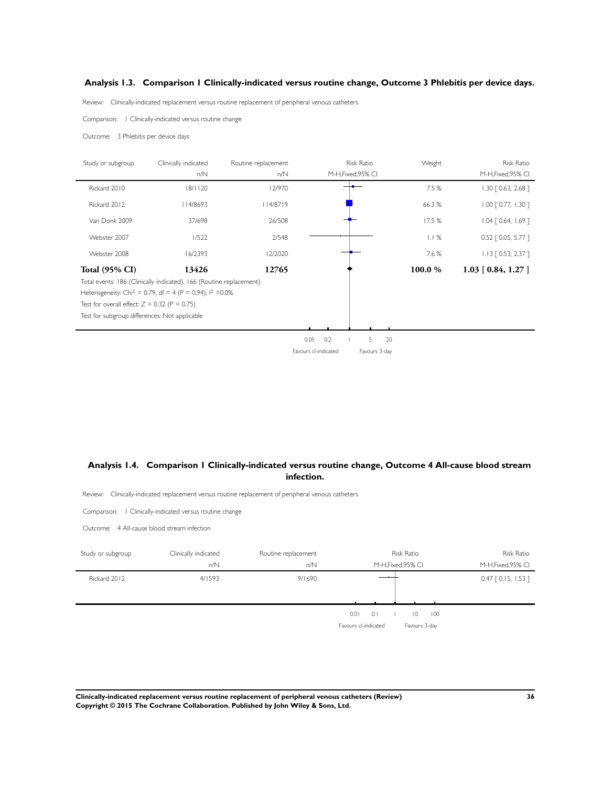# <span id="page-37-0"></span>**Analysis 1.3. Comparison 1 Clinically-indicated versus routine change, Outcome 3 Phlebitis per device days.**

Review: Clinically-indicated replacement versus routine replacement of peripheral venous catheters

Comparison: 1 Clinically-indicated versus routine change

Outcome: 3 Phlebitis per device days

Ŷ.

j.

| Study or subgroup                              | Clinically indicated                                                   | Routine replacement |                      | <b>Risk Ratio</b>  | Weight | <b>Risk Ratio</b>     |
|------------------------------------------------|------------------------------------------------------------------------|---------------------|----------------------|--------------------|--------|-----------------------|
|                                                | n/N                                                                    | n/N                 |                      | M-H, Fixed, 95% CI |        | M-H, Fixed, 95% CI    |
| Rickard 2010                                   | 18/1120                                                                | 12/970              |                      |                    | 7.5 %  | $1.30$ $[0.63, 2.68]$ |
| Rickard 2012                                   | 4/8693                                                                 | 4/87   9            |                      |                    | 66.3%  | $1.00$ $[0.77, 1.30]$ |
| Van Donk 2009                                  | 37/698                                                                 | 26/508              |                      |                    | 17.5 % | $1.04$ $[0.64, 1.69]$ |
| Webster 2007                                   | 1/522                                                                  | 2/548               |                      |                    | 1.1%   | $0.52$ $[0.05, 5.77]$ |
| Webster 2008                                   | 16/2393                                                                | 12/2020             |                      |                    | 7.6 %  | $1.13$ $[0.53, 2.37]$ |
| <b>Total (95% CI)</b>                          | 13426                                                                  | 12765               |                      |                    | 100.0% | $1.03$ [ 0.84, 1.27 ] |
|                                                | Total events: 186 (Clinically indicated), 166 (Routine replacement)    |                     |                      |                    |        |                       |
|                                                | Heterogeneity: Chi <sup>2</sup> = 0.79, df = 4 (P = 0.94); $l^2$ =0.0% |                     |                      |                    |        |                       |
| Test for overall effect: $Z = 0.32$ (P = 0.75) |                                                                        |                     |                      |                    |        |                       |
| Test for subgroup differences: Not applicable  |                                                                        |                     |                      |                    |        |                       |
|                                                |                                                                        |                     |                      |                    |        |                       |
|                                                |                                                                        |                     | 0.2<br>0.05          | 5                  | 20     |                       |
|                                                |                                                                        |                     | Favours cl-indicated | Favours 3-day      |        |                       |

# **Analysis 1.4. Comparison 1 Clinically-indicated versus routine change, Outcome 4 All-cause blood stream infection.**

Review: Clinically-indicated replacement versus routine replacement of peripheral venous catheters

Comparison: 1 Clinically-indicated versus routine change

Outcome: 4 All-cause blood stream infection

| Study or subgroup | Clinically indicated<br>n/N | Routine replacement<br>n/N |                                     | <b>Risk Ratio</b><br>M-H, Fixed, 95% CI |                                        | <b>Risk Ratio</b><br>M-H, Fixed, 95% CI |                       |
|-------------------|-----------------------------|----------------------------|-------------------------------------|-----------------------------------------|----------------------------------------|-----------------------------------------|-----------------------|
| Rickard 2012      | 4/1593                      | 9/1690                     |                                     |                                         |                                        |                                         | $0.47$ [ 0.15, 1.53 ] |
|                   |                             |                            |                                     |                                         |                                        |                                         |                       |
|                   |                             |                            | 0.01<br>0.1<br>Favours cl-indicated |                                         | 100<br>$\overline{0}$<br>Favours 3-day |                                         |                       |

**Clinically-indicated replacement versus routine replacement of peripheral venous catheters (Review) 36 Copyright © 2015 The Cochrane Collaboration. Published by John Wiley & Sons, Ltd.**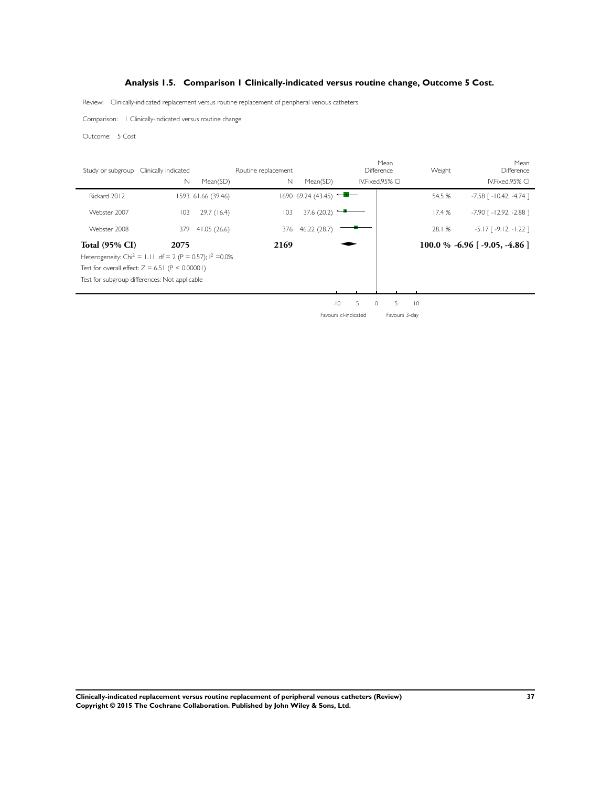# **Analysis 1.5. Comparison 1 Clinically-indicated versus routine change, Outcome 5 Cost.**

Review: Clinically-indicated replacement versus routine replacement of peripheral venous catheters

Comparison: 1 Clinically-indicated versus routine change

Outcome: 5 Cost

| Study or subgroup                                                                                                                                                                                      | Clinically indicated<br>N | Mean(SD)           | Routine replacement<br>N | Mean(SD)                          |             | Mean<br>Difference<br>IV, Fixed, 95% CI | Weight         | Mean<br>Difference<br>IV, Fixed, 95% CI |
|--------------------------------------------------------------------------------------------------------------------------------------------------------------------------------------------------------|---------------------------|--------------------|--------------------------|-----------------------------------|-------------|-----------------------------------------|----------------|-----------------------------------------|
| Rickard 2012                                                                                                                                                                                           |                           | 1593 61.66 (39.46) |                          | $1690$ 69.24 (43.45) $\leftarrow$ |             |                                         | 54.5 %         | $-7.58$ [ $-10.42$ , $-4.74$ ]          |
| Webster 2007                                                                                                                                                                                           | 103                       | 29.7(16.4)         | 103                      | 37.6 (20.2) $\rightarrow$         |             |                                         | 17.4%          | $-7.90$ [ $-12.92$ , $-2.88$ ]          |
| Webster 2008                                                                                                                                                                                           | 379                       | 41.05(26.6)        | 376                      | 46.22 (28.7)                      |             |                                         | 28.1 %         | $-5.17$ [ $-9.12$ , $-1.22$ ]           |
| <b>Total (95% CI)</b><br>Heterogeneity: Chi <sup>2</sup> = 1.11, df = 2 (P = 0.57); $1^2$ = 0.0%<br>Test for overall effect: $Z = 6.51$ (P < 0.00001)<br>Test for subgroup differences: Not applicable | 2075                      |                    | 2169                     |                                   |             |                                         |                | $100.0 \% -6.96$ [ -9.05, -4.86 ]       |
|                                                                                                                                                                                                        |                           |                    |                          |                                   | -5<br>$-10$ | 5.<br>$\Omega$                          | $\overline{0}$ |                                         |

Favours cl-indicated Favours 3-day

**Clinically-indicated replacement versus routine replacement of peripheral venous catheters (Review) 37 Copyright © 2015 The Cochrane Collaboration. Published by John Wiley & Sons, Ltd.**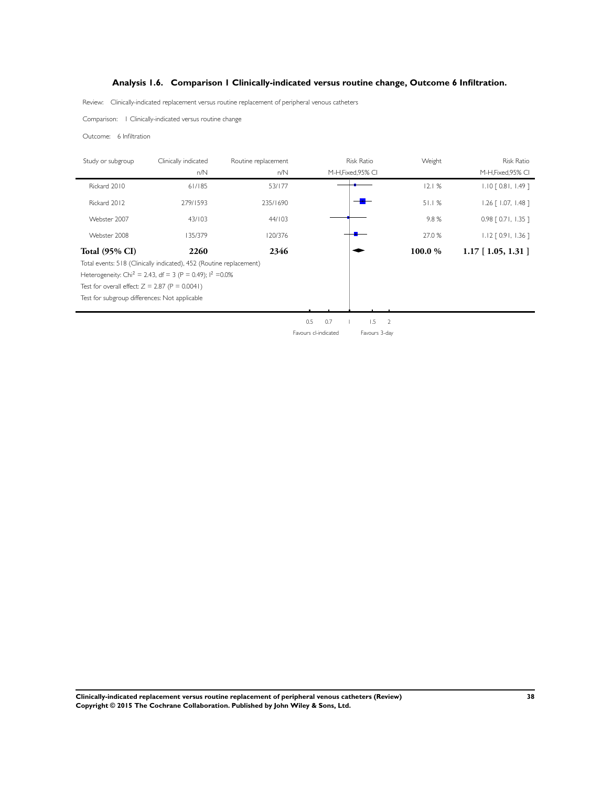# **Analysis 1.6. Comparison 1 Clinically-indicated versus routine change, Outcome 6 Infiltration.**

<span id="page-39-0"></span>Review: Clinically-indicated replacement versus routine replacement of peripheral venous catheters

Comparison: 1 Clinically-indicated versus routine change

Outcome: 6 Infiltration

| Study or subgroup                                | Clinically indicated                                                        | Routine replacement |                      | <b>Risk Ratio</b>  |                       | Weight | <b>Risk Ratio</b>       |  |                    |
|--------------------------------------------------|-----------------------------------------------------------------------------|---------------------|----------------------|--------------------|-----------------------|--------|-------------------------|--|--------------------|
|                                                  | n/N                                                                         | n/N                 |                      | M-H, Fixed, 95% CI |                       |        |                         |  | M-H, Fixed, 95% CI |
| Rickard 2010                                     | 61/185                                                                      | 53/177              |                      |                    |                       | 12.1%  | $1.10$ $[0.81, 1.49]$   |  |                    |
| Rickard 2012                                     | 279/1593                                                                    | 235/1690            |                      |                    |                       | 51.1%  | $1.26$ $[$ 1.07, 1.48 ] |  |                    |
| Webster 2007                                     | 43/103                                                                      | 44/103              |                      |                    |                       | 9.8%   | $0.98$ [ 0.71, 1.35 ]   |  |                    |
| Webster 2008                                     | 135/379                                                                     | 120/376             |                      |                    |                       | 27.0 % | $1.12$ [ 0.91, 1.36 ]   |  |                    |
| <b>Total (95% CI)</b>                            | 2260                                                                        | 2346                |                      |                    |                       | 100.0% | $1.17$ [ 1.05, 1.31 ]   |  |                    |
|                                                  | Total events: 518 (Clinically indicated), 452 (Routine replacement)         |                     |                      |                    |                       |        |                         |  |                    |
|                                                  | Heterogeneity: Chi <sup>2</sup> = 2.43, df = 3 (P = 0.49); $\vert^2$ = 0.0% |                     |                      |                    |                       |        |                         |  |                    |
| Test for overall effect: $Z = 2.87$ (P = 0.0041) |                                                                             |                     |                      |                    |                       |        |                         |  |                    |
| Test for subgroup differences: Not applicable    |                                                                             |                     |                      |                    |                       |        |                         |  |                    |
|                                                  |                                                                             |                     |                      |                    |                       |        |                         |  |                    |
|                                                  |                                                                             |                     | 0.5                  | 0.7                | 1.5<br>$\overline{2}$ |        |                         |  |                    |
|                                                  |                                                                             |                     | Favours cl-indicated |                    | Favours 3-day         |        |                         |  |                    |

**Clinically-indicated replacement versus routine replacement of peripheral venous catheters (Review) 38 Copyright © 2015 The Cochrane Collaboration. Published by John Wiley & Sons, Ltd.**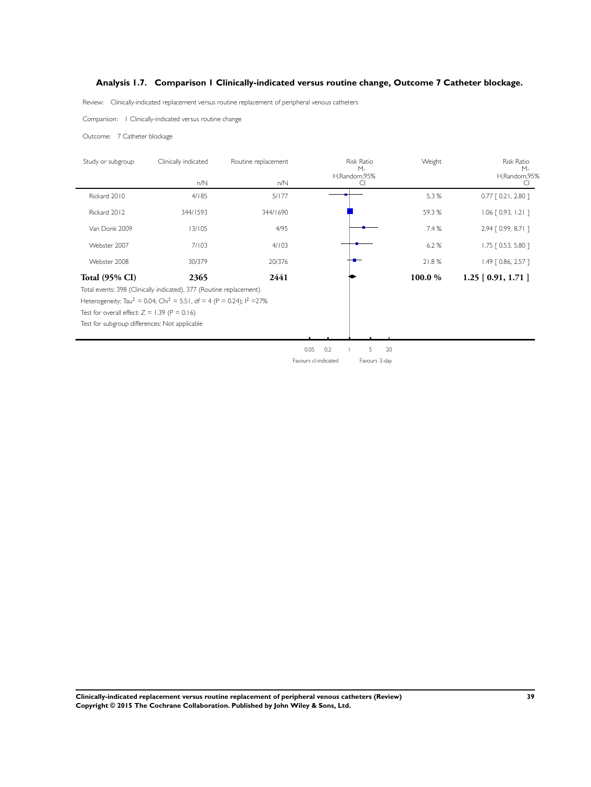# <span id="page-40-0"></span>**Analysis 1.7. Comparison 1 Clinically-indicated versus routine change, Outcome 7 Catheter blockage.**

Review: Clinically-indicated replacement versus routine replacement of peripheral venous catheters

Comparison: 1 Clinically-indicated versus routine change

Outcome: 7 Catheter blockage

| Study or subgroup                                                                                                        | Clinically indicated                                                                                                                                                           | Routine replacement | <b>Risk Ratio</b><br>$M -$ | Weight        | <b>Risk Ratio</b><br>$M -$ |
|--------------------------------------------------------------------------------------------------------------------------|--------------------------------------------------------------------------------------------------------------------------------------------------------------------------------|---------------------|----------------------------|---------------|----------------------------|
|                                                                                                                          | n/N                                                                                                                                                                            | n/N                 | H,Random,95%<br>CI         |               | H,Random,95%               |
| Rickard 2010                                                                                                             | 4/185                                                                                                                                                                          | 5/177               |                            | 5.3 %         | $0.77$ $[0.21, 2.80]$      |
| Rickard 2012                                                                                                             | 344/1593                                                                                                                                                                       | 344/1690            |                            | 59.3%         | $1.06$ $[0.93, 1.21]$      |
| Van Donk 2009                                                                                                            | 13/105                                                                                                                                                                         | 4/95                |                            | 7.4 %         | 2.94 [ 0.99, 8.7   ]       |
| Webster 2007                                                                                                             | 7/103                                                                                                                                                                          | 4/103               |                            | 6.2%          | $1.75$ $[0.53, 5.80]$      |
| Webster 2008                                                                                                             | 30/379                                                                                                                                                                         | 20/376              |                            | 21.8%         | $1.49$ $[0.86, 2.57]$      |
| <b>Total (95% CI)</b><br>Test for overall effect: $Z = 1.39$ (P = 0.16)<br>Test for subgroup differences: Not applicable | 2365<br>Total events: 398 (Clinically indicated), 377 (Routine replacement)<br>Heterogeneity: Tau <sup>2</sup> = 0.04; Chi <sup>2</sup> = 5.51, df = 4 (P = 0.24); $1^2$ = 27% | 2441                |                            | 100.0 %       | $1.25$ [ 0.91, 1.71 ]      |
|                                                                                                                          |                                                                                                                                                                                |                     | 0.2<br>0.05<br>5           | 20            |                            |
|                                                                                                                          |                                                                                                                                                                                |                     | Favours cl-indicated       | Favours 3-day |                            |

**Clinically-indicated replacement versus routine replacement of peripheral venous catheters (Review) 39 Copyright © 2015 The Cochrane Collaboration. Published by John Wiley & Sons, Ltd.**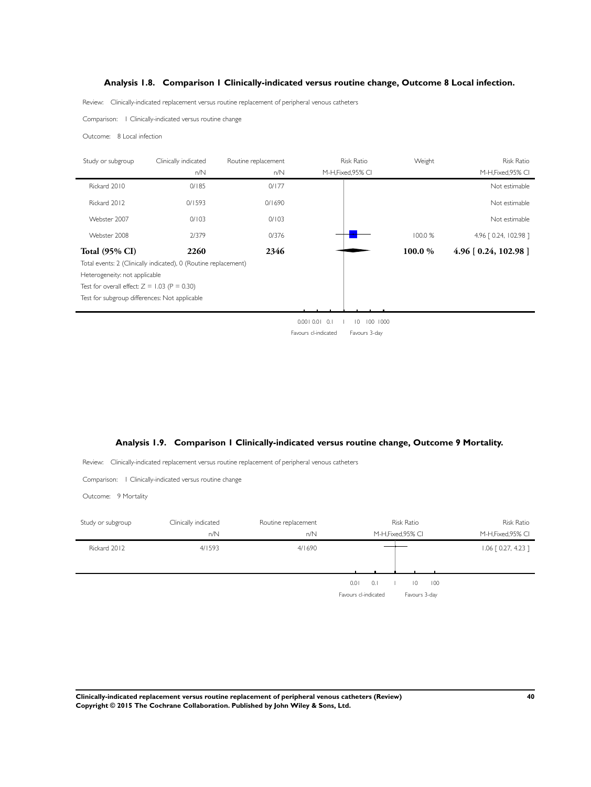# **Analysis 1.8. Comparison 1 Clinically-indicated versus routine change, Outcome 8 Local infection.**

<span id="page-41-0"></span>Review: Clinically-indicated replacement versus routine replacement of peripheral venous catheters

Comparison: 1 Clinically-indicated versus routine change

Outcome: 8 Local infection

| Study or subgroup                              | Clinically indicated                                            | Routine replacement | <b>Risk Ratio</b>                              | Weight | <b>Risk Ratio</b>             |
|------------------------------------------------|-----------------------------------------------------------------|---------------------|------------------------------------------------|--------|-------------------------------|
|                                                | n/N                                                             | n/N                 | M-H, Fixed, 95% CI                             |        | M-H, Fixed, 95% CI            |
| Rickard 2010                                   | 0/185                                                           | 0/177               |                                                |        | Not estimable                 |
| Rickard 2012                                   | 0/1593                                                          | 0/1690              |                                                |        | Not estimable                 |
| Webster 2007                                   | 0/103                                                           | 0/103               |                                                |        | Not estimable                 |
| Webster 2008                                   | 2/379                                                           | 0/376               |                                                | 100.0% | 4.96 [ 0.24, 102.98 ]         |
| <b>Total (95% CI)</b>                          | 2260                                                            | 2346                |                                                | 100.0% | $4.96 \mid 0.24, 102.98 \mid$ |
|                                                | Total events: 2 (Clinically indicated), 0 (Routine replacement) |                     |                                                |        |                               |
| Heterogeneity: not applicable                  |                                                                 |                     |                                                |        |                               |
| Test for overall effect: $Z = 1.03$ (P = 0.30) |                                                                 |                     |                                                |        |                               |
| Test for subgroup differences: Not applicable  |                                                                 |                     |                                                |        |                               |
|                                                |                                                                 |                     |                                                |        |                               |
|                                                |                                                                 |                     | 0.0010.01<br>100 1000<br>$\overline{0}$<br>0.1 |        |                               |

Favours cl-indicated Favours 3-day

# **Analysis 1.9. Comparison 1 Clinically-indicated versus routine change, Outcome 9 Mortality.**

Review: Clinically-indicated replacement versus routine replacement of peripheral venous catheters

Comparison: 1 Clinically-indicated versus routine change

Outcome: 9 Mortality

| Study or subgroup | Clinically indicated | Routine replacement | <b>Risk Ratio</b>                                                             | <b>Risk Ratio</b>     |
|-------------------|----------------------|---------------------|-------------------------------------------------------------------------------|-----------------------|
|                   | n/N                  | n/N                 | M-H, Fixed, 95% CI                                                            | M-H, Fixed, 95% CI    |
| Rickard 2012      | 4/1593               | 4/1690              |                                                                               | $1.06$ $[0.27, 4.23]$ |
|                   |                      |                     |                                                                               |                       |
|                   |                      |                     | 0.01<br>0.1<br>$\overline{0}$<br>100<br>Favours cl-indicated<br>Favours 3-day |                       |

**Clinically-indicated replacement versus routine replacement of peripheral venous catheters (Review) 40 Copyright © 2015 The Cochrane Collaboration. Published by John Wiley & Sons, Ltd.**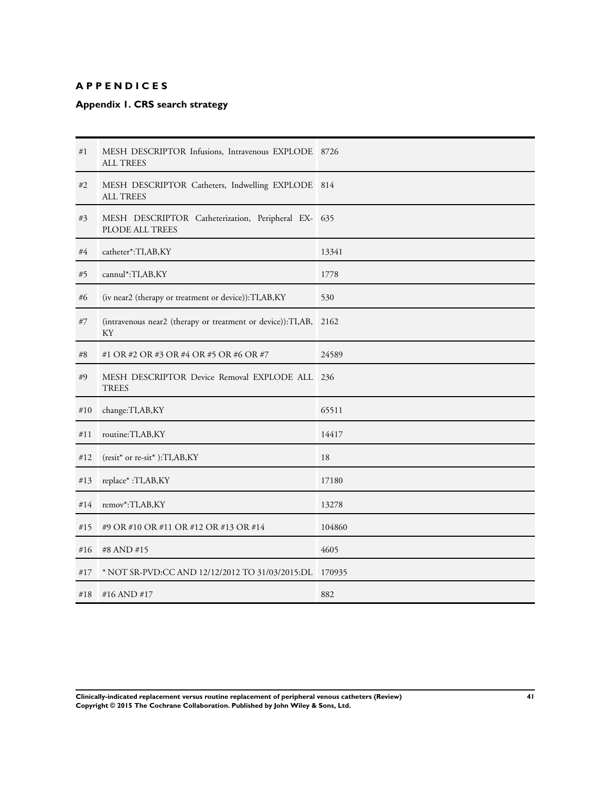# <span id="page-42-0"></span>**A P P E N D I C E S**

# **Appendix 1. CRS search strategy**

| #1     | MESH DESCRIPTOR Infusions, Intravenous EXPLODE 8726<br><b>ALL TREES</b> |        |
|--------|-------------------------------------------------------------------------|--------|
| #2     | MESH DESCRIPTOR Catheters, Indwelling EXPLODE 814<br><b>ALL TREES</b>   |        |
| #3     | MESH DESCRIPTOR Catheterization, Peripheral EX- 635<br>PLODE ALL TREES  |        |
| #4     | catheter*:TI,AB,KY                                                      | 13341  |
| #5     | cannul*:TI,AB,KY                                                        | 1778   |
| #6     | (iv near2 (therapy or treatment or device)):TI,AB,KY                    | 530    |
| #7     | (intravenous near2 (therapy or treatment or device)): TI, AB,<br>KY     | 2162   |
| #8     | #1 OR #2 OR #3 OR #4 OR #5 OR #6 OR #7                                  | 24589  |
| #9     | MESH DESCRIPTOR Device Removal EXPLODE ALL 236<br><b>TREES</b>          |        |
| $\#10$ | change:TI,AB,KY                                                         | 65511  |
| #11    | routine:TI,AB,KY                                                        | 14417  |
| $\#12$ | (resit* or re-sit*):TI,AB,KY                                            | 18     |
| #13    | replace*:TI,AB,KY                                                       | 17180  |
| #14    | remov*:TI,AB,KY                                                         | 13278  |
| #15    | #9 OR #10 OR #11 OR #12 OR #13 OR #14                                   | 104860 |
| #16    | #8 AND #15                                                              | 4605   |
| #17    | * NOT SR-PVD:CC AND 12/12/2012 TO 31/03/2015:DL                         | 170935 |
| #18    | #16 AND #17                                                             | 882    |

**Clinically-indicated replacement versus routine replacement of peripheral venous catheters (Review) 41 Copyright © 2015 The Cochrane Collaboration. Published by John Wiley & Sons, Ltd.**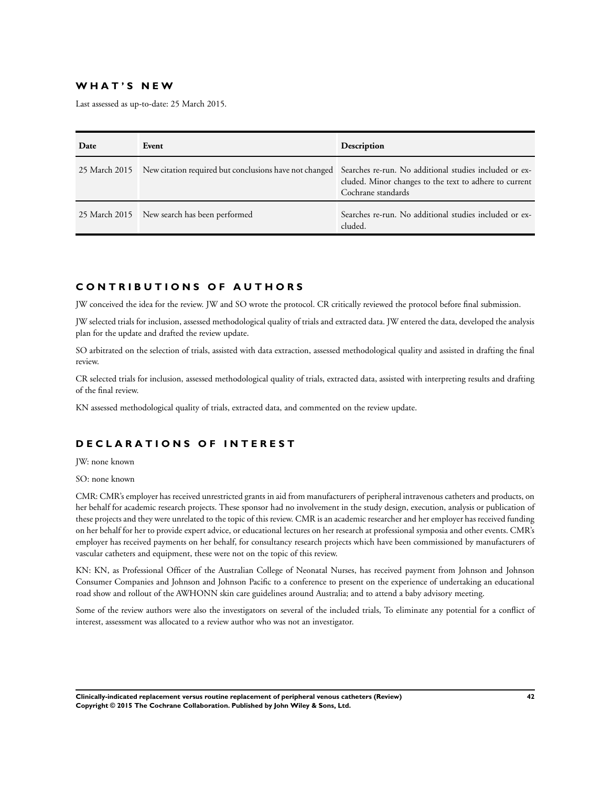# **W H A T ' S N E W**

Last assessed as up-to-date: 25 March 2015.

| Date | Event                                                                                                                       | Description                                                                  |
|------|-----------------------------------------------------------------------------------------------------------------------------|------------------------------------------------------------------------------|
|      | 25 March 2015 New citation required but conclusions have not changed Searches re-run. No additional studies included or ex- | cluded. Minor changes to the text to adhere to current<br>Cochrane standards |
|      | 25 March 2015 New search has been performed                                                                                 | Searches re-run. No additional studies included or ex-<br>cluded.            |

# **C O N T R I B U T I O N S O F A U T H O R S**

JW conceived the idea for the review. JW and SO wrote the protocol. CR critically reviewed the protocol before final submission.

JW selected trials for inclusion, assessed methodological quality of trials and extracted data. JW entered the data, developed the analysis plan for the update and drafted the review update.

SO arbitrated on the selection of trials, assisted with data extraction, assessed methodological quality and assisted in drafting the final review.

CR selected trials for inclusion, assessed methodological quality of trials, extracted data, assisted with interpreting results and drafting of the final review.

KN assessed methodological quality of trials, extracted data, and commented on the review update.

# **D E C L A R A T I O N S O F I N T E R E S T**

JW: none known

SO: none known

CMR: CMR's employer has received unrestricted grants in aid from manufacturers of peripheral intravenous catheters and products, on her behalf for academic research projects. These sponsor had no involvement in the study design, execution, analysis or publication of these projects and they were unrelated to the topic of this review. CMR is an academic researcher and her employer has received funding on her behalf for her to provide expert advice, or educational lectures on her research at professional symposia and other events. CMR's employer has received payments on her behalf, for consultancy research projects which have been commissioned by manufacturers of vascular catheters and equipment, these were not on the topic of this review.

KN: KN, as Professional Officer of the Australian College of Neonatal Nurses, has received payment from Johnson and Johnson Consumer Companies and Johnson and Johnson Pacific to a conference to present on the experience of undertaking an educational road show and rollout of the AWHONN skin care guidelines around Australia; and to attend a baby advisory meeting.

Some of the review authors were also the investigators on several of the included trials, To eliminate any potential for a conflict of interest, assessment was allocated to a review author who was not an investigator.

**Clinically-indicated replacement versus routine replacement of peripheral venous catheters (Review) 42 Copyright © 2015 The Cochrane Collaboration. Published by John Wiley & Sons, Ltd.**